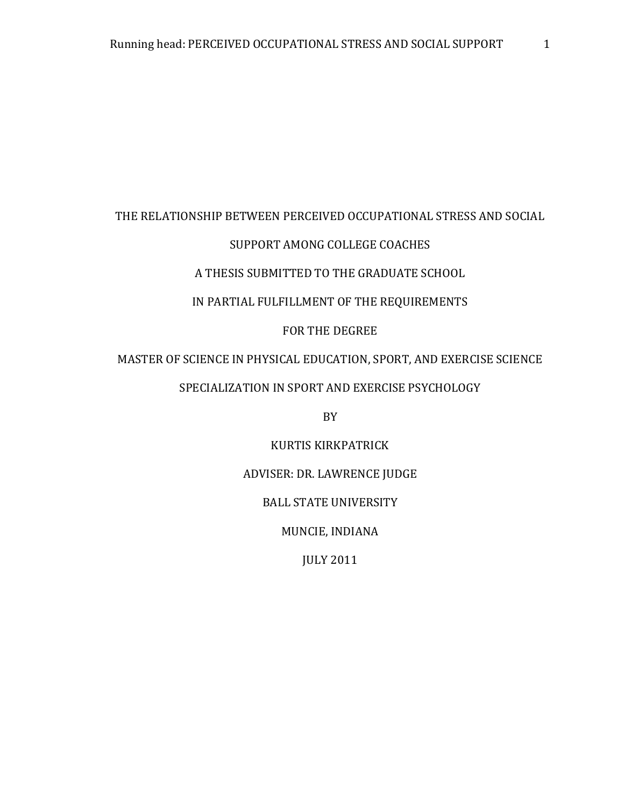### THE RELATIONSHIP BETWEEN PERCEIVED OCCUPATIONAL STRESS AND SOCIAL

# SUPPORT AMONG COLLEGE COACHES

### A THESIS SUBMITTED TO THE GRADUATE SCHOOL

# IN PARTIAL FULFILLMENT OF THE REQUIREMENTS

### FOR THE DEGREE

# MASTER OF SCIENCE IN PHYSICAL EDUCATION, SPORT, AND EXERCISE SCIENCE

# SPECIALIZATION IN SPORT AND EXERCISE PSYCHOLOGY

BY

### KURTIS KIRKPATRICK

### ADVISER: DR. LAWRENCE JUDGE

## BALL STATE UNIVERSITY

MUNCIE, INDIANA

JULY 2011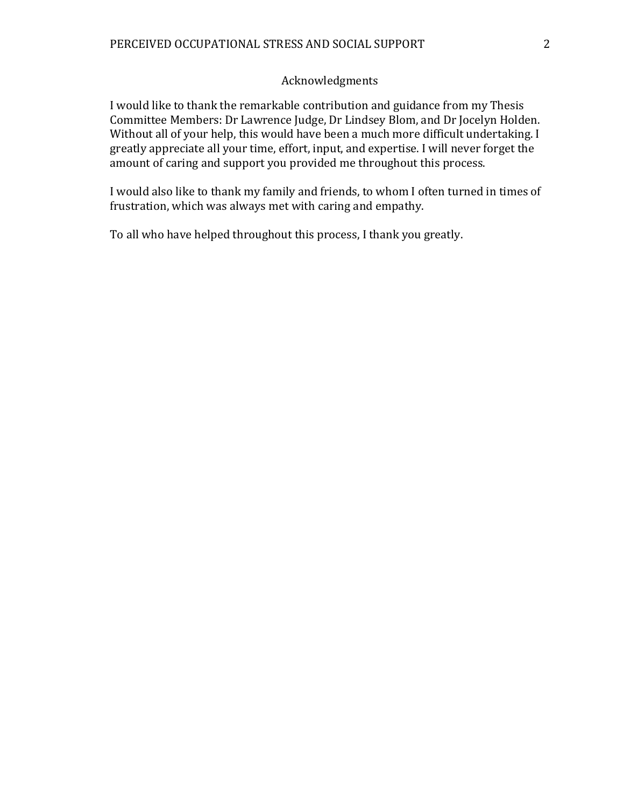### Acknowledgments

I would like to thank the remarkable contribution and guidance from my Thesis Committee Members: Dr Lawrence Judge, Dr Lindsey Blom, and Dr Jocelyn Holden. Without all of your help, this would have been a much more difficult undertaking. I greatly appreciate all your time, effort, input, and expertise. I will never forget the amount of caring and support you provided me throughout this process.

I would also like to thank my family and friends, to whom I often turned in times of frustration, which was always met with caring and empathy.

To all who have helped throughout this process, I thank you greatly.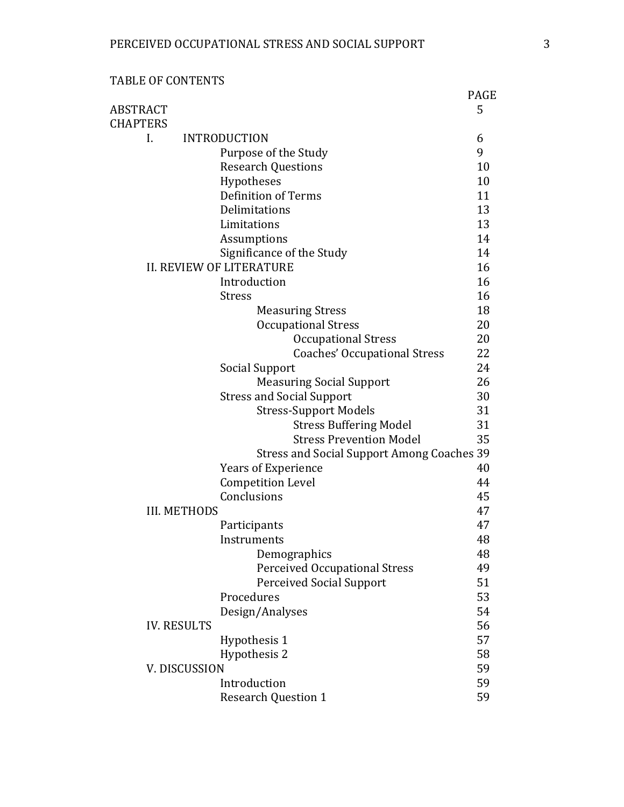|  |  | TABLE OF CONTENTS |
|--|--|-------------------|
|--|--|-------------------|

|                                                   | <b>PAGE</b> |
|---------------------------------------------------|-------------|
| <b>ABSTRACT</b>                                   | 5           |
| <b>CHAPTERS</b>                                   |             |
| <b>INTRODUCTION</b><br>I.                         | 6           |
| Purpose of the Study                              | 9           |
| <b>Research Questions</b>                         | 10          |
| Hypotheses                                        | 10          |
| Definition of Terms                               | 11          |
| Delimitations                                     | 13          |
| Limitations                                       | 13          |
| Assumptions                                       | 14          |
| Significance of the Study                         | 14          |
| <b>II. REVIEW OF LITERATURE</b>                   |             |
| Introduction                                      | 16          |
| <b>Stress</b>                                     | 16          |
| <b>Measuring Stress</b>                           | 18          |
| <b>Occupational Stress</b>                        | 20          |
| <b>Occupational Stress</b>                        | 20          |
| <b>Coaches' Occupational Stress</b>               | 22          |
| Social Support                                    | 24          |
| <b>Measuring Social Support</b>                   | 26          |
| <b>Stress and Social Support</b>                  | 30          |
| <b>Stress-Support Models</b>                      | 31          |
| <b>Stress Buffering Model</b>                     | 31          |
| <b>Stress Prevention Model</b>                    | 35          |
| <b>Stress and Social Support Among Coaches 39</b> |             |
| <b>Years of Experience</b>                        | 40          |
| <b>Competition Level</b>                          | 44          |
| Conclusions                                       | 45          |
| <b>III. METHODS</b>                               | 47          |
| Participants                                      | 47          |
| Instruments                                       | 48          |
| Demographics                                      | 48          |
| <b>Perceived Occupational Stress</b>              | 49          |
| <b>Perceived Social Support</b>                   | 51          |
| Procedures                                        | 53          |
| Design/Analyses                                   | 54          |
| <b>IV. RESULTS</b>                                | 56          |
| Hypothesis 1                                      | 57          |
| Hypothesis 2                                      | 58          |
| V. DISCUSSION                                     | 59          |
| Introduction                                      | 59          |
| <b>Research Question 1</b>                        | 59          |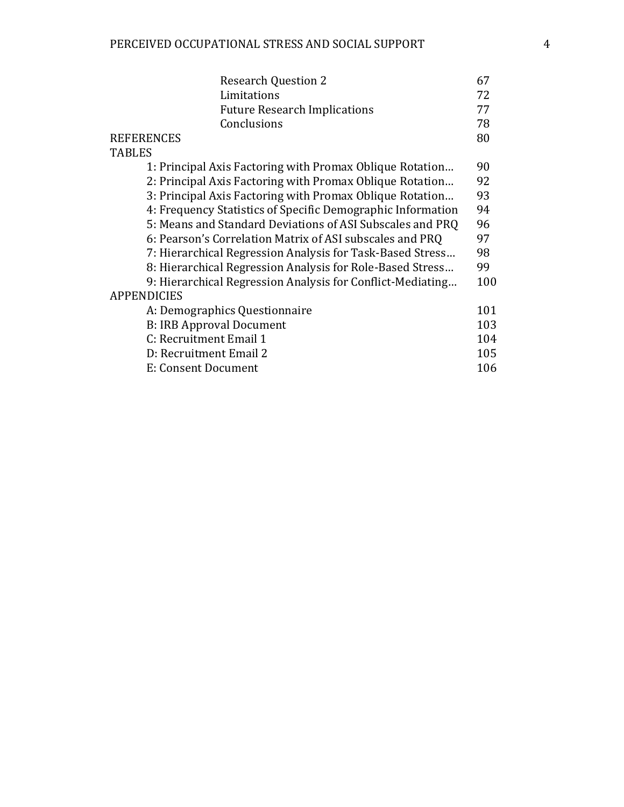| <b>Research Question 2</b>                                  |     |
|-------------------------------------------------------------|-----|
| Limitations                                                 | 72  |
| <b>Future Research Implications</b>                         | 77  |
| Conclusions                                                 | 78  |
| <b>REFERENCES</b>                                           | 80  |
| <b>TABLES</b>                                               |     |
| 1: Principal Axis Factoring with Promax Oblique Rotation    | 90  |
| 2: Principal Axis Factoring with Promax Oblique Rotation    |     |
| 3: Principal Axis Factoring with Promax Oblique Rotation    | 93  |
| 4: Frequency Statistics of Specific Demographic Information | 94  |
| 5: Means and Standard Deviations of ASI Subscales and PRQ   |     |
| 6: Pearson's Correlation Matrix of ASI subscales and PRQ    | 97  |
| 7: Hierarchical Regression Analysis for Task-Based Stress   |     |
| 8: Hierarchical Regression Analysis for Role-Based Stress   |     |
| 9: Hierarchical Regression Analysis for Conflict-Mediating  | 100 |
| <b>APPENDICIES</b>                                          |     |
| A: Demographics Questionnaire                               | 101 |
| <b>B: IRB Approval Document</b>                             | 103 |
| C: Recruitment Email 1                                      | 104 |
| D: Recruitment Email 2                                      | 105 |
| E: Consent Document                                         | 106 |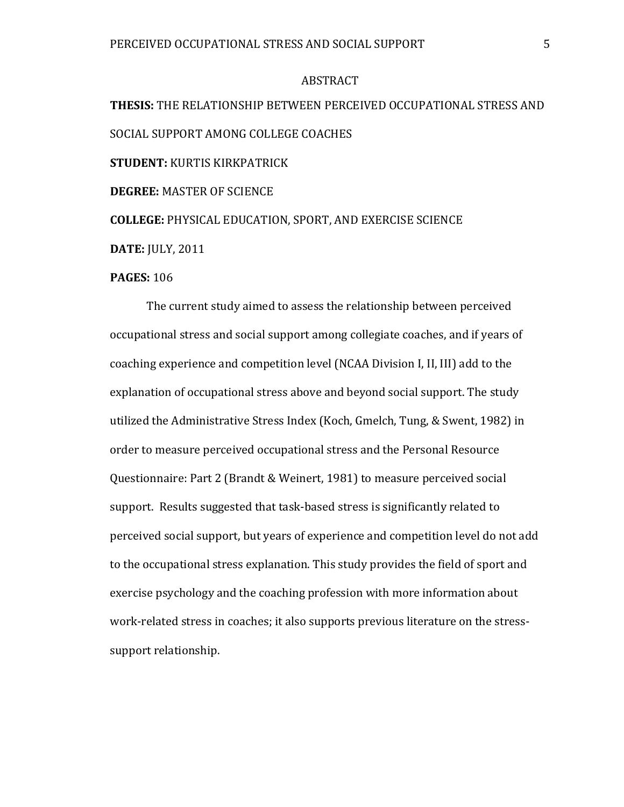### ABSTRACT

**THESIS:** THE RELATIONSHIP BETWEEN PERCEIVED OCCUPATIONAL STRESS AND SOCIAL SUPPORT AMONG COLLEGE COACHES **STUDENT:** KURTIS KIRKPATRICK **DEGREE:** MASTER OF SCIENCE **COLLEGE:** PHYSICAL EDUCATION, SPORT, AND EXERCISE SCIENCE **DATE:** JULY, 2011

### **PAGES:** 106

The current study aimed to assess the relationship between perceived occupational stress and social support among collegiate coaches, and if years of coaching experience and competition level (NCAA Division I, II, III) add to the explanation of occupational stress above and beyond social support. The study utilized the Administrative Stress Index (Koch, Gmelch, Tung, & Swent, 1982) in order to measure perceived occupational stress and the Personal Resource Questionnaire: Part 2 (Brandt & Weinert, 1981) to measure perceived social support. Results suggested that task-based stress is significantly related to perceived social support, but years of experience and competition level do not add to the occupational stress explanation. This study provides the field of sport and exercise psychology and the coaching profession with more information about work-related stress in coaches; it also supports previous literature on the stresssupport relationship.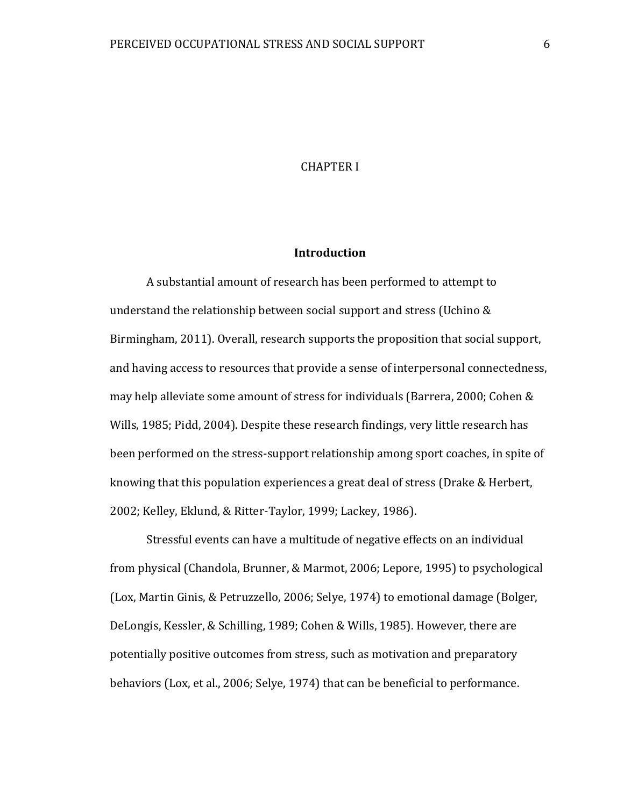### CHAPTER I

### **Introduction**

A substantial amount of research has been performed to attempt to understand the relationship between social support and stress (Uchino & Birmingham, 2011). Overall, research supports the proposition that social support, and having access to resources that provide a sense of interpersonal connectedness, may help alleviate some amount of stress for individuals (Barrera, 2000; Cohen & Wills, 1985; Pidd, 2004). Despite these research findings, very little research has been performed on the stress-support relationship among sport coaches, in spite of knowing that this population experiences a great deal of stress (Drake & Herbert, 2002; Kelley, Eklund, & Ritter-Taylor, 1999; Lackey, 1986).

Stressful events can have a multitude of negative effects on an individual from physical (Chandola, Brunner, & Marmot, 2006; Lepore, 1995) to psychological (Lox, Martin Ginis, & Petruzzello, 2006; Selye, 1974) to emotional damage (Bolger, DeLongis, Kessler, & Schilling, 1989; Cohen & Wills, 1985). However, there are potentially positive outcomes from stress, such as motivation and preparatory behaviors (Lox, et al., 2006; Selye, 1974) that can be beneficial to performance.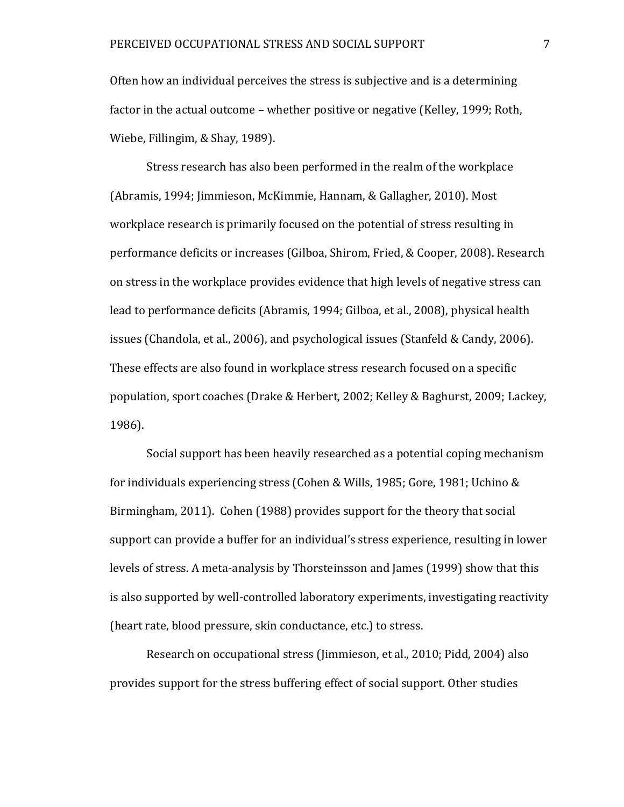Often how an individual perceives the stress is subjective and is a determining factor in the actual outcome – whether positive or negative (Kelley, 1999; Roth, Wiebe, Fillingim, & Shay, 1989).

Stress research has also been performed in the realm of the workplace (Abramis, 1994; Jimmieson, McKimmie, Hannam, & Gallagher, 2010). Most workplace research is primarily focused on the potential of stress resulting in performance deficits or increases (Gilboa, Shirom, Fried, & Cooper, 2008). Research on stress in the workplace provides evidence that high levels of negative stress can lead to performance deficits (Abramis, 1994; Gilboa, et al., 2008), physical health issues (Chandola, et al., 2006), and psychological issues (Stanfeld & Candy, 2006). These effects are also found in workplace stress research focused on a specific population, sport coaches (Drake & Herbert, 2002; Kelley & Baghurst, 2009; Lackey, 1986).

Social support has been heavily researched as a potential coping mechanism for individuals experiencing stress (Cohen & Wills, 1985; Gore, 1981; Uchino & Birmingham, 2011). Cohen (1988) provides support for the theory that social support can provide a buffer for an individual's stress experience, resulting in lower levels of stress. A meta-analysis by Thorsteinsson and James (1999) show that this is also supported by well-controlled laboratory experiments, investigating reactivity (heart rate, blood pressure, skin conductance, etc.) to stress.

Research on occupational stress (Jimmieson, et al., 2010; Pidd, 2004) also provides support for the stress buffering effect of social support. Other studies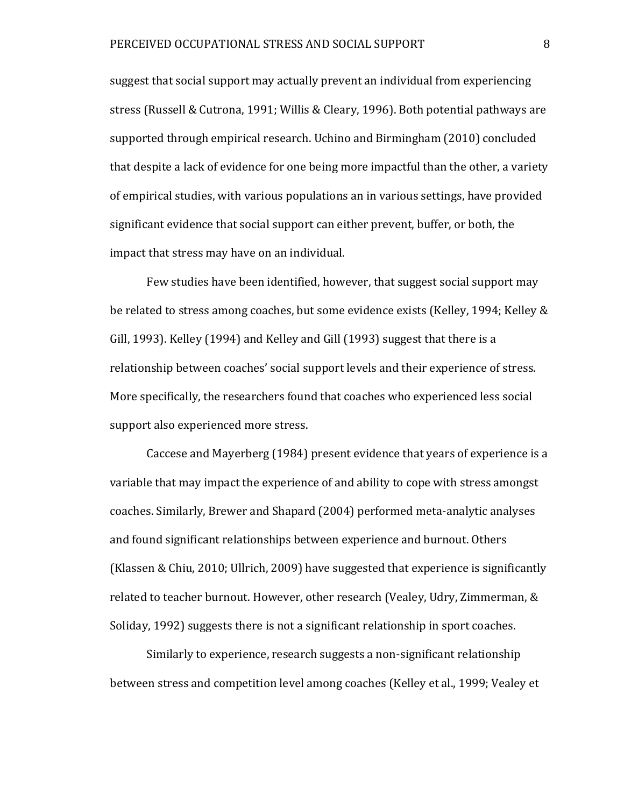suggest that social support may actually prevent an individual from experiencing stress (Russell & Cutrona, 1991; Willis & Cleary, 1996). Both potential pathways are supported through empirical research. Uchino and Birmingham (2010) concluded that despite a lack of evidence for one being more impactful than the other, a variety of empirical studies, with various populations an in various settings, have provided significant evidence that social support can either prevent, buffer, or both, the impact that stress may have on an individual.

Few studies have been identified, however, that suggest social support may be related to stress among coaches, but some evidence exists (Kelley, 1994; Kelley & Gill, 1993). Kelley (1994) and Kelley and Gill (1993) suggest that there is a relationship between coaches' social support levels and their experience of stress. More specifically, the researchers found that coaches who experienced less social support also experienced more stress.

Caccese and Mayerberg (1984) present evidence that years of experience is a variable that may impact the experience of and ability to cope with stress amongst coaches. Similarly, Brewer and Shapard (2004) performed meta-analytic analyses and found significant relationships between experience and burnout. Others (Klassen & Chiu, 2010; Ullrich, 2009) have suggested that experience is significantly related to teacher burnout. However, other research (Vealey, Udry, Zimmerman, & Soliday, 1992) suggests there is not a significant relationship in sport coaches.

Similarly to experience, research suggests a non-significant relationship between stress and competition level among coaches (Kelley et al., 1999; Vealey et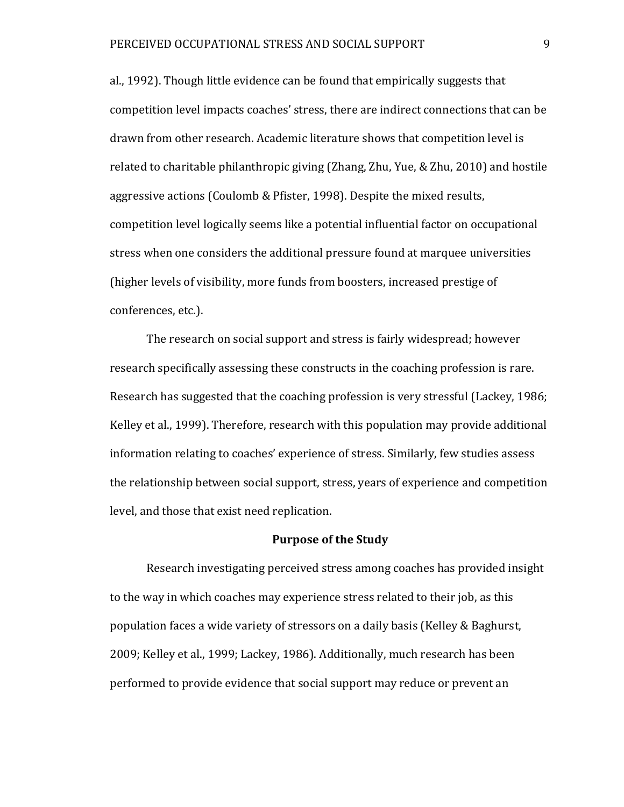al., 1992). Though little evidence can be found that empirically suggests that competition level impacts coaches' stress, there are indirect connections that can be drawn from other research. Academic literature shows that competition level is related to charitable philanthropic giving (Zhang, Zhu, Yue, & Zhu, 2010) and hostile aggressive actions (Coulomb & Pfister, 1998). Despite the mixed results, competition level logically seems like a potential influential factor on occupational stress when one considers the additional pressure found at marquee universities (higher levels of visibility, more funds from boosters, increased prestige of conferences, etc.).

The research on social support and stress is fairly widespread; however research specifically assessing these constructs in the coaching profession is rare. Research has suggested that the coaching profession is very stressful (Lackey, 1986; Kelley et al., 1999). Therefore, research with this population may provide additional information relating to coaches' experience of stress. Similarly, few studies assess the relationship between social support, stress, years of experience and competition level, and those that exist need replication.

### **Purpose of the Study**

Research investigating perceived stress among coaches has provided insight to the way in which coaches may experience stress related to their job, as this population faces a wide variety of stressors on a daily basis (Kelley & Baghurst, 2009; Kelley et al., 1999; Lackey, 1986). Additionally, much research has been performed to provide evidence that social support may reduce or prevent an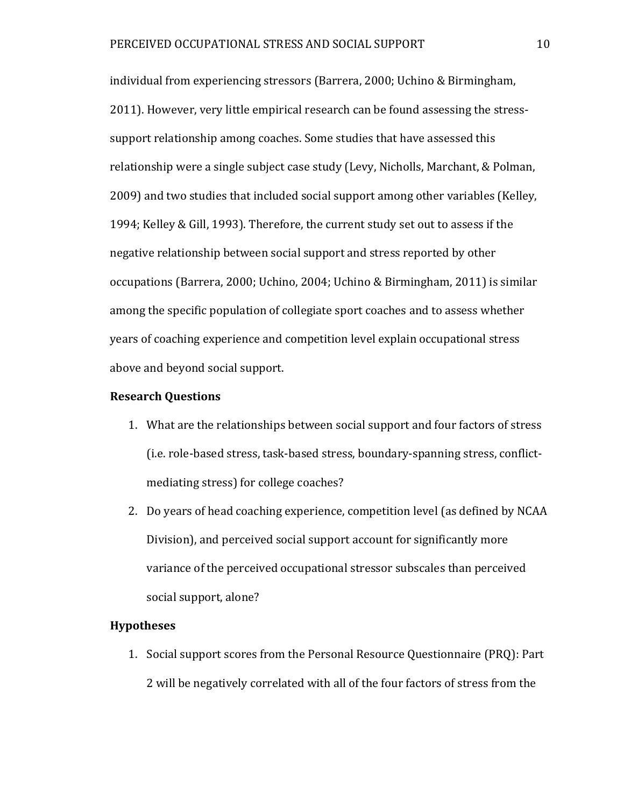individual from experiencing stressors (Barrera, 2000; Uchino & Birmingham, 2011). However, very little empirical research can be found assessing the stresssupport relationship among coaches. Some studies that have assessed this relationship were a single subject case study (Levy, Nicholls, Marchant, & Polman, 2009) and two studies that included social support among other variables (Kelley, 1994; Kelley & Gill, 1993). Therefore, the current study set out to assess if the negative relationship between social support and stress reported by other occupations (Barrera, 2000; Uchino, 2004; Uchino & Birmingham, 2011) is similar among the specific population of collegiate sport coaches and to assess whether years of coaching experience and competition level explain occupational stress above and beyond social support.

#### **Research Questions**

- 1. What are the relationships between social support and four factors of stress (i.e. role-based stress, task-based stress, boundary-spanning stress, conflictmediating stress) for college coaches?
- 2. Do years of head coaching experience, competition level (as defined by NCAA Division), and perceived social support account for significantly more variance of the perceived occupational stressor subscales than perceived social support, alone?

### **Hypotheses**

1. Social support scores from the Personal Resource Questionnaire (PRQ): Part 2 will be negatively correlated with all of the four factors of stress from the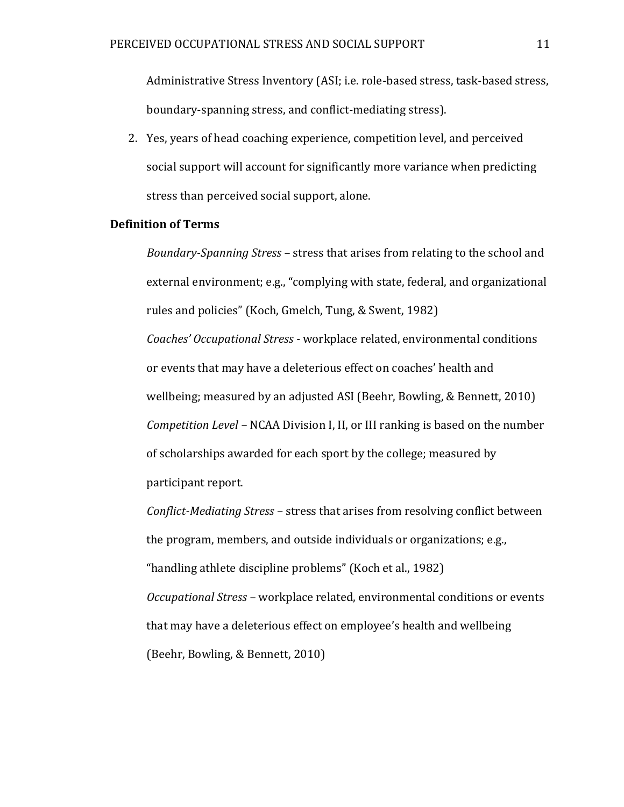Administrative Stress Inventory (ASI; i.e. role-based stress, task-based stress, boundary-spanning stress, and conflict-mediating stress).

2. Yes, years of head coaching experience, competition level, and perceived social support will account for significantly more variance when predicting stress than perceived social support, alone.

### **Definition of Terms**

*Boundary-Spanning Stress –* stress that arises from relating to the school and external environment; e.g., "complying with state, federal, and organizational rules and policies" (Koch, Gmelch, Tung, & Swent, 1982) *Coaches' Occupational Stress -* workplace related, environmental conditions or events that may have a deleterious effect on coaches' health and wellbeing; measured by an adjusted ASI (Beehr, Bowling, & Bennett, 2010) *Competition Level –* NCAA Division I, II, or III ranking is based on the number of scholarships awarded for each sport by the college; measured by participant report.

*Conflict-Mediating Stress –* stress that arises from resolving conflict between the program, members, and outside individuals or organizations; e.g., "handling athlete discipline problems" (Koch et al., 1982) *Occupational Stress –* workplace related, environmental conditions or events that may have a deleterious effect on employee's health and wellbeing (Beehr, Bowling, & Bennett, 2010)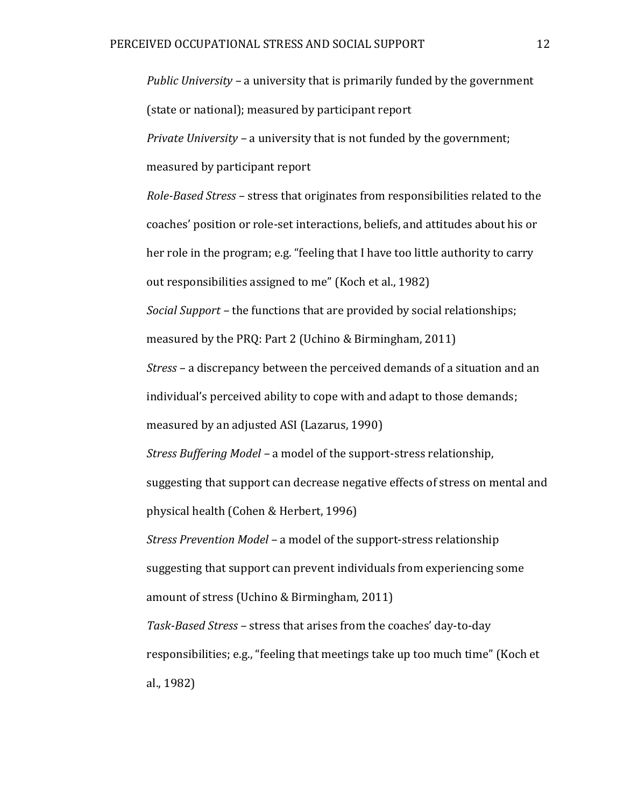*Public University –* a university that is primarily funded by the government (state or national); measured by participant report

*Private University –* a university that is not funded by the government;

measured by participant report

*Role-Based Stress –* stress that originates from responsibilities related to the coaches' position or role-set interactions, beliefs, and attitudes about his or her role in the program; e.g. "feeling that I have too little authority to carry out responsibilities assigned to me" (Koch et al., 1982)

*Social Support –* the functions that are provided by social relationships;

measured by the PRQ: Part 2 (Uchino & Birmingham, 2011)

*Stress –* a discrepancy between the perceived demands of a situation and an individual's perceived ability to cope with and adapt to those demands;

measured by an adjusted ASI (Lazarus, 1990)

*Stress Buffering Model –* a model of the support-stress relationship,

suggesting that support can decrease negative effects of stress on mental and physical health (Cohen & Herbert, 1996)

*Stress Prevention Model –* a model of the support-stress relationship suggesting that support can prevent individuals from experiencing some amount of stress (Uchino & Birmingham, 2011)

*Task-Based Stress –* stress that arises from the coaches' day-to-day responsibilities; e.g., "feeling that meetings take up too much time" (Koch et al., 1982)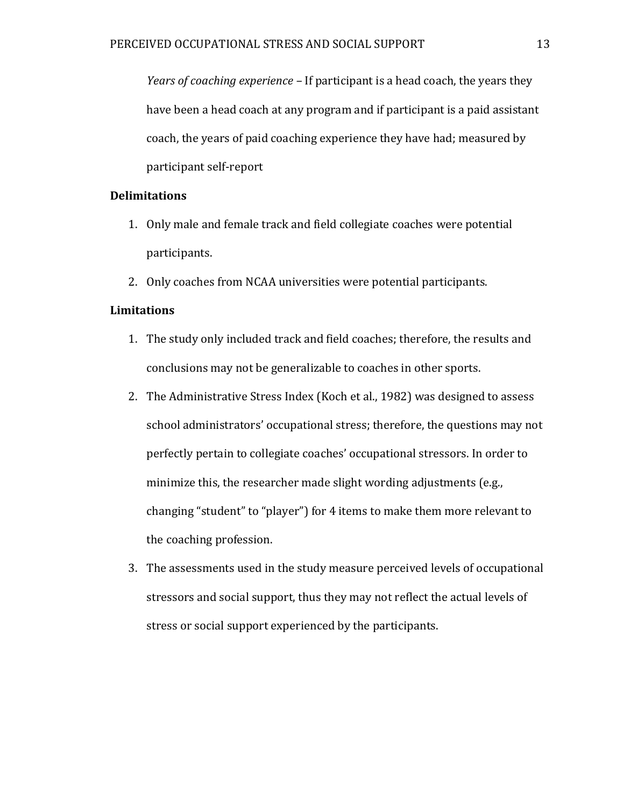*Years of coaching experience –* If participant is a head coach, the years they have been a head coach at any program and if participant is a paid assistant coach, the years of paid coaching experience they have had; measured by participant self-report

### **Delimitations**

- 1. Only male and female track and field collegiate coaches were potential participants.
- 2. Only coaches from NCAA universities were potential participants.

## **Limitations**

- 1. The study only included track and field coaches; therefore, the results and conclusions may not be generalizable to coaches in other sports.
- 2. The Administrative Stress Index (Koch et al., 1982) was designed to assess school administrators' occupational stress; therefore, the questions may not perfectly pertain to collegiate coaches' occupational stressors. In order to minimize this, the researcher made slight wording adjustments (e.g., changing "student" to "player") for 4 items to make them more relevant to the coaching profession.
- 3. The assessments used in the study measure perceived levels of occupational stressors and social support, thus they may not reflect the actual levels of stress or social support experienced by the participants.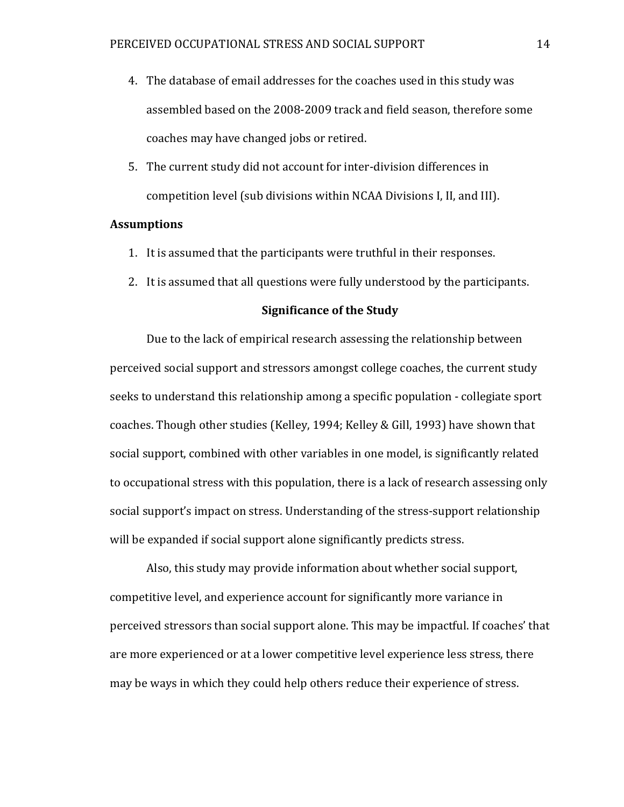- 4. The database of email addresses for the coaches used in this study was assembled based on the 2008-2009 track and field season, therefore some coaches may have changed jobs or retired.
- 5. The current study did not account for inter-division differences in competition level (sub divisions within NCAA Divisions I, II, and III).

## **Assumptions**

- 1. It is assumed that the participants were truthful in their responses.
- 2. It is assumed that all questions were fully understood by the participants.

### **Significance of the Study**

Due to the lack of empirical research assessing the relationship between perceived social support and stressors amongst college coaches, the current study seeks to understand this relationship among a specific population - collegiate sport coaches. Though other studies (Kelley, 1994; Kelley & Gill, 1993) have shown that social support, combined with other variables in one model, is significantly related to occupational stress with this population, there is a lack of research assessing only social support's impact on stress. Understanding of the stress-support relationship will be expanded if social support alone significantly predicts stress.

Also, this study may provide information about whether social support, competitive level, and experience account for significantly more variance in perceived stressors than social support alone. This may be impactful. If coaches' that are more experienced or at a lower competitive level experience less stress, there may be ways in which they could help others reduce their experience of stress.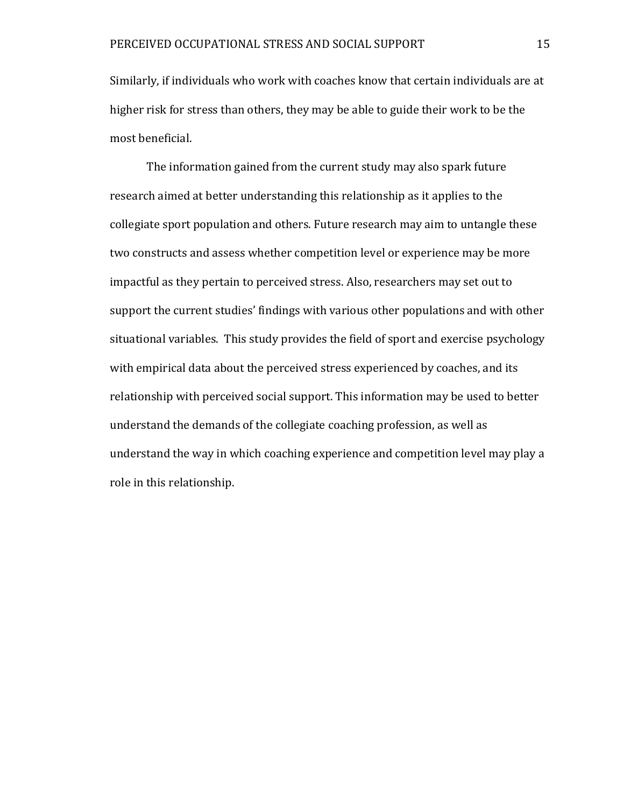Similarly, if individuals who work with coaches know that certain individuals are at higher risk for stress than others, they may be able to guide their work to be the most beneficial.

The information gained from the current study may also spark future research aimed at better understanding this relationship as it applies to the collegiate sport population and others. Future research may aim to untangle these two constructs and assess whether competition level or experience may be more impactful as they pertain to perceived stress. Also, researchers may set out to support the current studies' findings with various other populations and with other situational variables. This study provides the field of sport and exercise psychology with empirical data about the perceived stress experienced by coaches, and its relationship with perceived social support. This information may be used to better understand the demands of the collegiate coaching profession, as well as understand the way in which coaching experience and competition level may play a role in this relationship.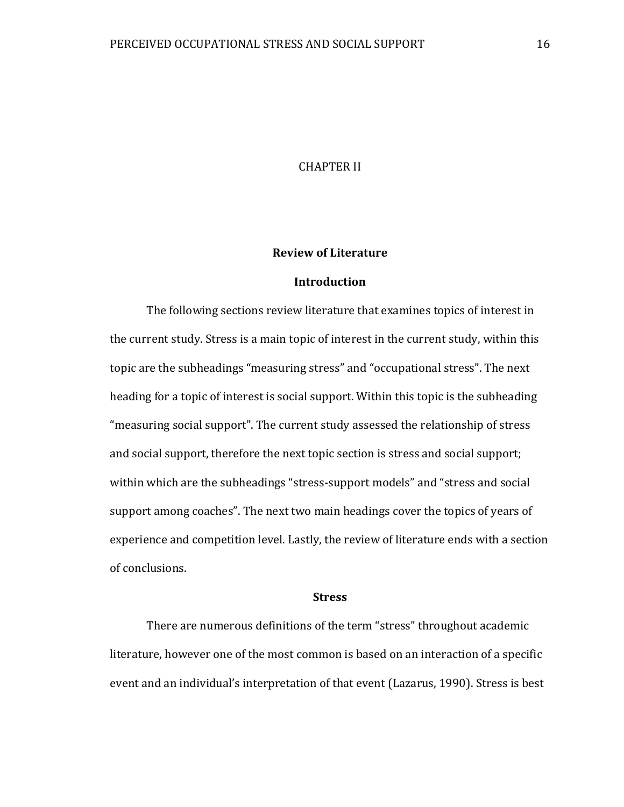### CHAPTER II

#### **Review of Literature**

### **Introduction**

The following sections review literature that examines topics of interest in the current study. Stress is a main topic of interest in the current study, within this topic are the subheadings "measuring stress" and "occupational stress". The next heading for a topic of interest is social support. Within this topic is the subheading "measuring social support". The current study assessed the relationship of stress and social support, therefore the next topic section is stress and social support; within which are the subheadings "stress-support models" and "stress and social support among coaches". The next two main headings cover the topics of years of experience and competition level. Lastly, the review of literature ends with a section of conclusions.

#### **Stress**

There are numerous definitions of the term "stress" throughout academic literature, however one of the most common is based on an interaction of a specific event and an individual's interpretation of that event (Lazarus, 1990). Stress is best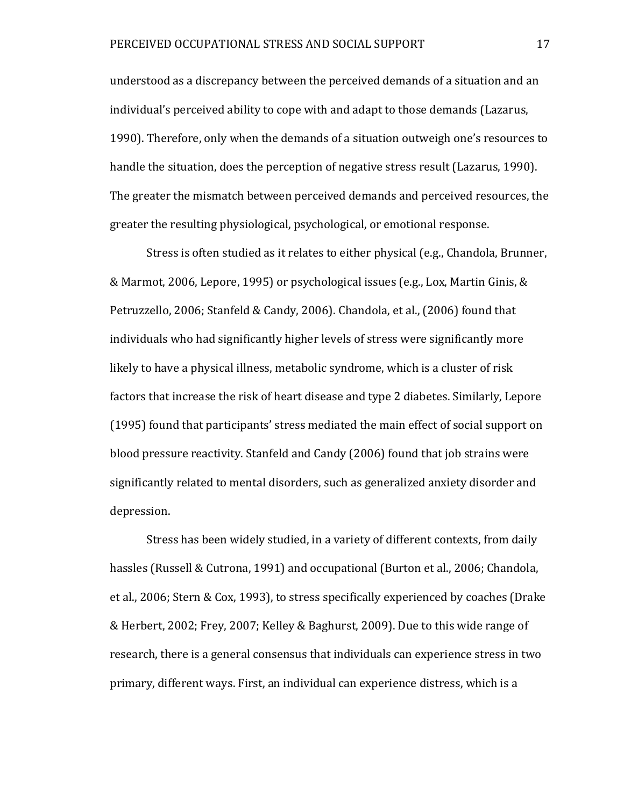understood as a discrepancy between the perceived demands of a situation and an individual's perceived ability to cope with and adapt to those demands (Lazarus, 1990). Therefore, only when the demands of a situation outweigh one's resources to handle the situation, does the perception of negative stress result (Lazarus, 1990). The greater the mismatch between perceived demands and perceived resources, the greater the resulting physiological, psychological, or emotional response.

Stress is often studied as it relates to either physical (e.g., Chandola, Brunner, & Marmot, 2006, Lepore, 1995) or psychological issues (e.g., Lox, Martin Ginis, & Petruzzello, 2006; Stanfeld & Candy, 2006). Chandola, et al., (2006) found that individuals who had significantly higher levels of stress were significantly more likely to have a physical illness, metabolic syndrome, which is a cluster of risk factors that increase the risk of heart disease and type 2 diabetes. Similarly, Lepore (1995) found that participants' stress mediated the main effect of social support on blood pressure reactivity. Stanfeld and Candy (2006) found that job strains were significantly related to mental disorders, such as generalized anxiety disorder and depression.

Stress has been widely studied, in a variety of different contexts, from daily hassles (Russell & Cutrona, 1991) and occupational (Burton et al., 2006; Chandola, et al., 2006; Stern & Cox, 1993), to stress specifically experienced by coaches (Drake & Herbert, 2002; Frey, 2007; Kelley & Baghurst, 2009). Due to this wide range of research, there is a general consensus that individuals can experience stress in two primary, different ways. First, an individual can experience distress, which is a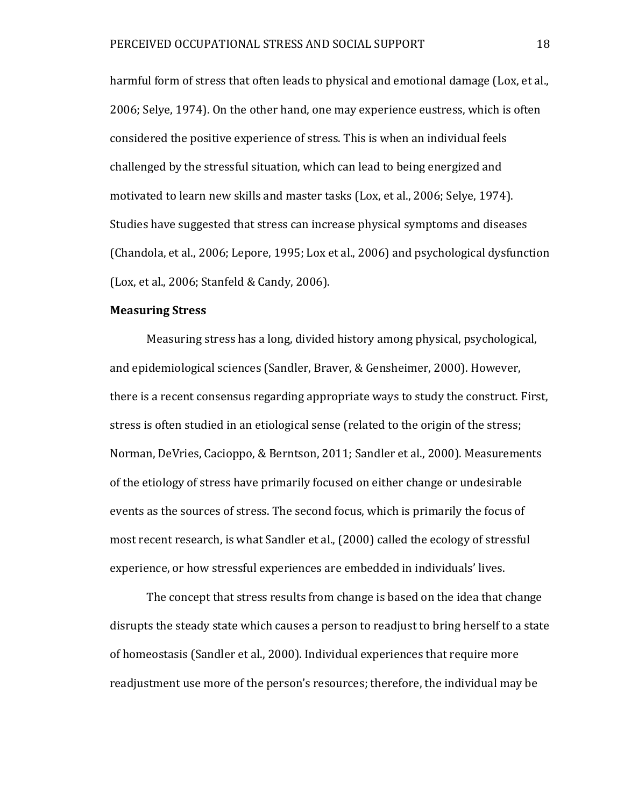harmful form of stress that often leads to physical and emotional damage (Lox, et al., 2006; Selye, 1974). On the other hand, one may experience eustress, which is often considered the positive experience of stress. This is when an individual feels challenged by the stressful situation, which can lead to being energized and motivated to learn new skills and master tasks (Lox, et al., 2006; Selye, 1974). Studies have suggested that stress can increase physical symptoms and diseases (Chandola, et al., 2006; Lepore, 1995; Lox et al., 2006) and psychological dysfunction (Lox, et al., 2006; Stanfeld & Candy, 2006).

#### **Measuring Stress**

Measuring stress has a long, divided history among physical, psychological, and epidemiological sciences (Sandler, Braver, & Gensheimer, 2000). However, there is a recent consensus regarding appropriate ways to study the construct. First, stress is often studied in an etiological sense (related to the origin of the stress; Norman, DeVries, Cacioppo, & Berntson, 2011; Sandler et al., 2000). Measurements of the etiology of stress have primarily focused on either change or undesirable events as the sources of stress. The second focus, which is primarily the focus of most recent research, is what Sandler et al., (2000) called the ecology of stressful experience, or how stressful experiences are embedded in individuals' lives.

The concept that stress results from change is based on the idea that change disrupts the steady state which causes a person to readjust to bring herself to a state of homeostasis (Sandler et al., 2000). Individual experiences that require more readjustment use more of the person's resources; therefore, the individual may be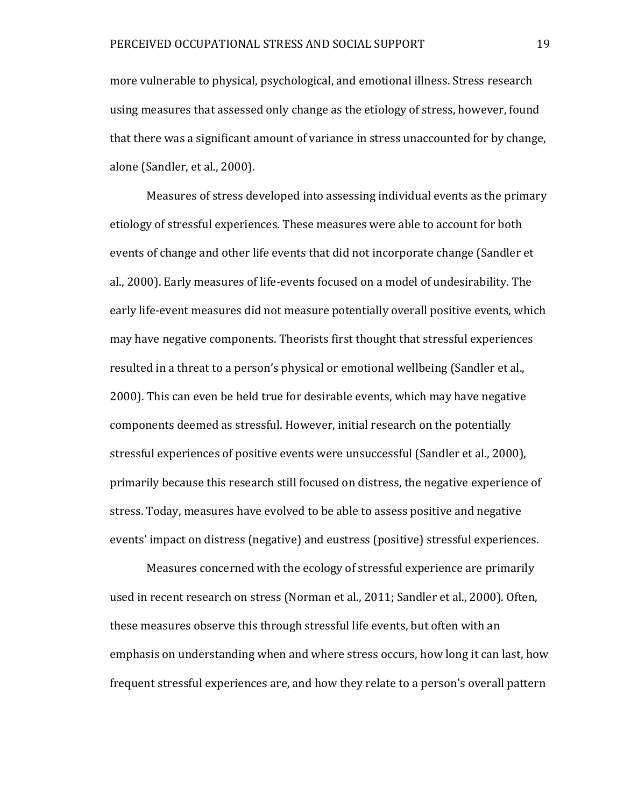more vulnerable to physical, psychological, and emotional illness. Stress research using measures that assessed only change as the etiology of stress, however, found that there was a significant amount of variance in stress unaccounted for by change, alone (Sandler, et al., 2000).

Measures of stress developed into assessing individual events as the primary etiology of stressful experiences. These measures were able to account for both events of change and other life events that did not incorporate change (Sandler et al., 2000). Early measures of life-events focused on a model of undesirability. The early life-event measures did not measure potentially overall positive events, which may have negative components. Theorists first thought that stressful experiences resulted in a threat to a person's physical or emotional wellbeing (Sandler et al., 2000). This can even be held true for desirable events, which may have negative components deemed as stressful. However, initial research on the potentially stressful experiences of positive events were unsuccessful (Sandler et al., 2000), primarily because this research still focused on distress, the negative experience of stress. Today, measures have evolved to be able to assess positive and negative events' impact on distress (negative) and eustress (positive) stressful experiences.

Measures concerned with the ecology of stressful experience are primarily used in recent research on stress (Norman et al., 2011; Sandler et al., 2000). Often, these measures observe this through stressful life events, but often with an emphasis on understanding when and where stress occurs, how long it can last, how frequent stressful experiences are, and how they relate to a person's overall pattern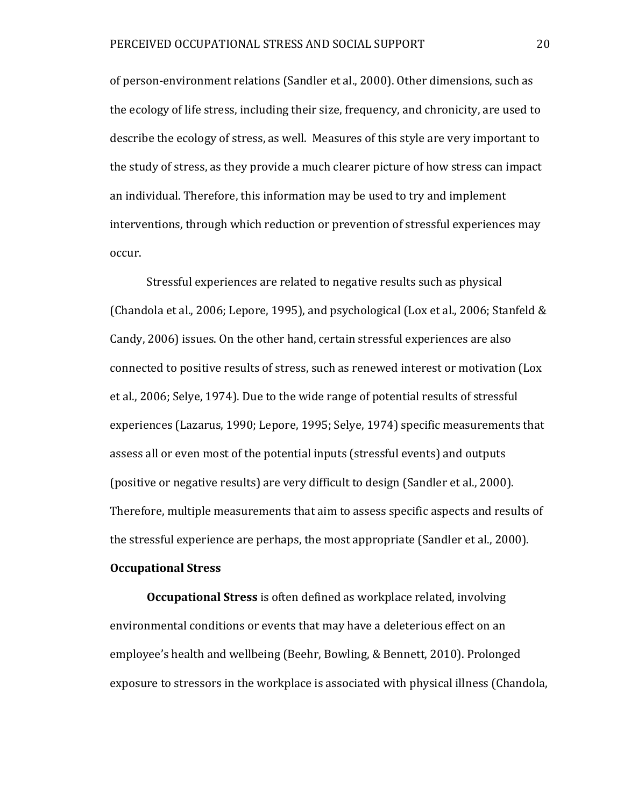of person-environment relations (Sandler et al., 2000). Other dimensions, such as the ecology of life stress, including their size, frequency, and chronicity, are used to describe the ecology of stress, as well. Measures of this style are very important to the study of stress, as they provide a much clearer picture of how stress can impact an individual. Therefore, this information may be used to try and implement interventions, through which reduction or prevention of stressful experiences may occur.

Stressful experiences are related to negative results such as physical (Chandola et al., 2006; Lepore, 1995), and psychological (Lox et al., 2006; Stanfeld & Candy, 2006) issues. On the other hand, certain stressful experiences are also connected to positive results of stress, such as renewed interest or motivation (Lox et al., 2006; Selye, 1974). Due to the wide range of potential results of stressful experiences (Lazarus, 1990; Lepore, 1995; Selye, 1974) specific measurements that assess all or even most of the potential inputs (stressful events) and outputs (positive or negative results) are very difficult to design (Sandler et al., 2000). Therefore, multiple measurements that aim to assess specific aspects and results of the stressful experience are perhaps, the most appropriate (Sandler et al., 2000).

# **Occupational Stress**

**Occupational Stress** is often defined as workplace related, involving environmental conditions or events that may have a deleterious effect on an employee's health and wellbeing (Beehr, Bowling, & Bennett, 2010). Prolonged exposure to stressors in the workplace is associated with physical illness (Chandola,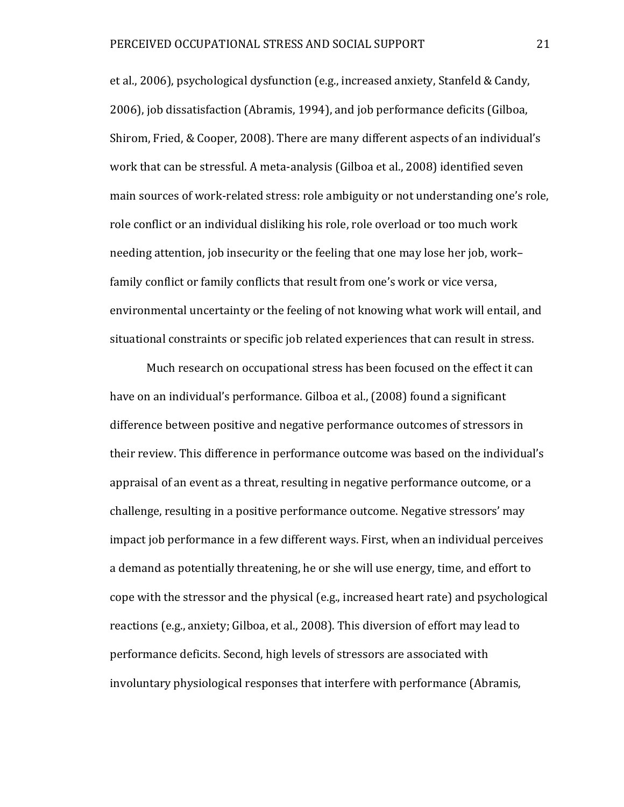et al., 2006), psychological dysfunction (e.g., increased anxiety, Stanfeld & Candy, 2006), job dissatisfaction (Abramis, 1994), and job performance deficits (Gilboa, Shirom, Fried, & Cooper, 2008). There are many different aspects of an individual's work that can be stressful. A meta-analysis (Gilboa et al., 2008) identified seven main sources of work-related stress: role ambiguity or not understanding one's role, role conflict or an individual disliking his role, role overload or too much work needing attention, job insecurity or the feeling that one may lose her job, work– family conflict or family conflicts that result from one's work or vice versa, environmental uncertainty or the feeling of not knowing what work will entail, and situational constraints or specific job related experiences that can result in stress.

Much research on occupational stress has been focused on the effect it can have on an individual's performance. Gilboa et al., (2008) found a significant difference between positive and negative performance outcomes of stressors in their review. This difference in performance outcome was based on the individual's appraisal of an event as a threat, resulting in negative performance outcome, or a challenge, resulting in a positive performance outcome. Negative stressors' may impact job performance in a few different ways. First, when an individual perceives a demand as potentially threatening, he or she will use energy, time, and effort to cope with the stressor and the physical (e.g., increased heart rate) and psychological reactions (e.g., anxiety; Gilboa, et al., 2008). This diversion of effort may lead to performance deficits. Second, high levels of stressors are associated with involuntary physiological responses that interfere with performance (Abramis,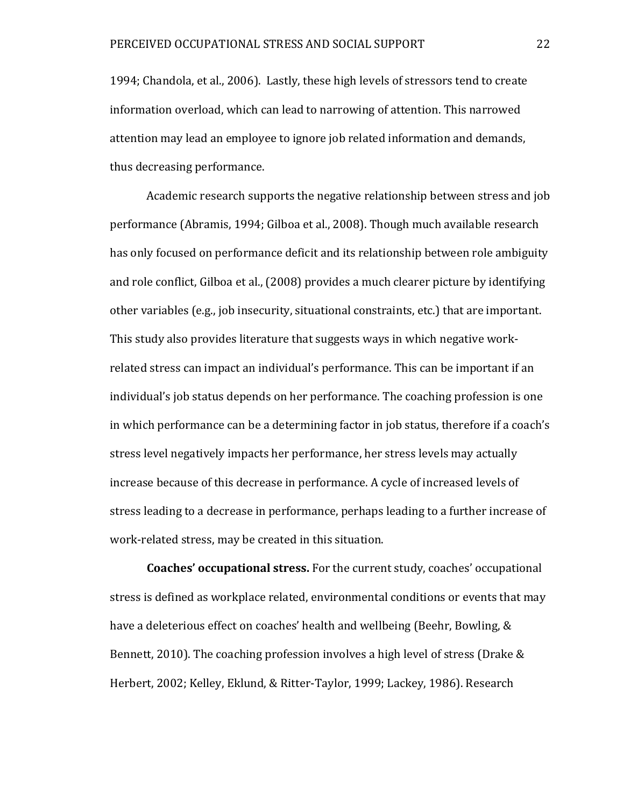1994; Chandola, et al., 2006). Lastly, these high levels of stressors tend to create information overload, which can lead to narrowing of attention. This narrowed attention may lead an employee to ignore job related information and demands, thus decreasing performance.

Academic research supports the negative relationship between stress and job performance (Abramis, 1994; Gilboa et al., 2008). Though much available research has only focused on performance deficit and its relationship between role ambiguity and role conflict, Gilboa et al., (2008) provides a much clearer picture by identifying other variables (e.g., job insecurity, situational constraints, etc.) that are important. This study also provides literature that suggests ways in which negative workrelated stress can impact an individual's performance. This can be important if an individual's job status depends on her performance. The coaching profession is one in which performance can be a determining factor in job status, therefore if a coach's stress level negatively impacts her performance, her stress levels may actually increase because of this decrease in performance. A cycle of increased levels of stress leading to a decrease in performance, perhaps leading to a further increase of work-related stress, may be created in this situation.

**Coaches' occupational stress.** For the current study, coaches' occupational stress is defined as workplace related, environmental conditions or events that may have a deleterious effect on coaches' health and wellbeing (Beehr, Bowling, & Bennett, 2010). The coaching profession involves a high level of stress (Drake & Herbert, 2002; Kelley, Eklund, & Ritter-Taylor, 1999; Lackey, 1986). Research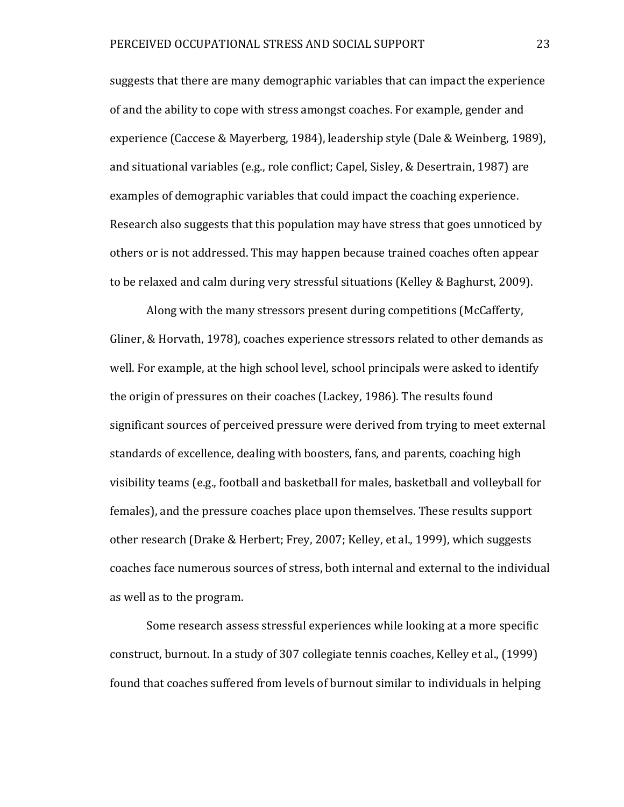suggests that there are many demographic variables that can impact the experience of and the ability to cope with stress amongst coaches. For example, gender and experience (Caccese & Mayerberg, 1984), leadership style (Dale & Weinberg, 1989), and situational variables (e.g., role conflict; Capel, Sisley, & Desertrain, 1987) are examples of demographic variables that could impact the coaching experience. Research also suggests that this population may have stress that goes unnoticed by others or is not addressed. This may happen because trained coaches often appear to be relaxed and calm during very stressful situations (Kelley & Baghurst, 2009).

Along with the many stressors present during competitions (McCafferty, Gliner, & Horvath, 1978), coaches experience stressors related to other demands as well. For example, at the high school level, school principals were asked to identify the origin of pressures on their coaches (Lackey, 1986). The results found significant sources of perceived pressure were derived from trying to meet external standards of excellence, dealing with boosters, fans, and parents, coaching high visibility teams (e.g., football and basketball for males, basketball and volleyball for females), and the pressure coaches place upon themselves. These results support other research (Drake & Herbert; Frey, 2007; Kelley, et al., 1999), which suggests coaches face numerous sources of stress, both internal and external to the individual as well as to the program.

Some research assess stressful experiences while looking at a more specific construct, burnout. In a study of 307 collegiate tennis coaches, Kelley et al., (1999) found that coaches suffered from levels of burnout similar to individuals in helping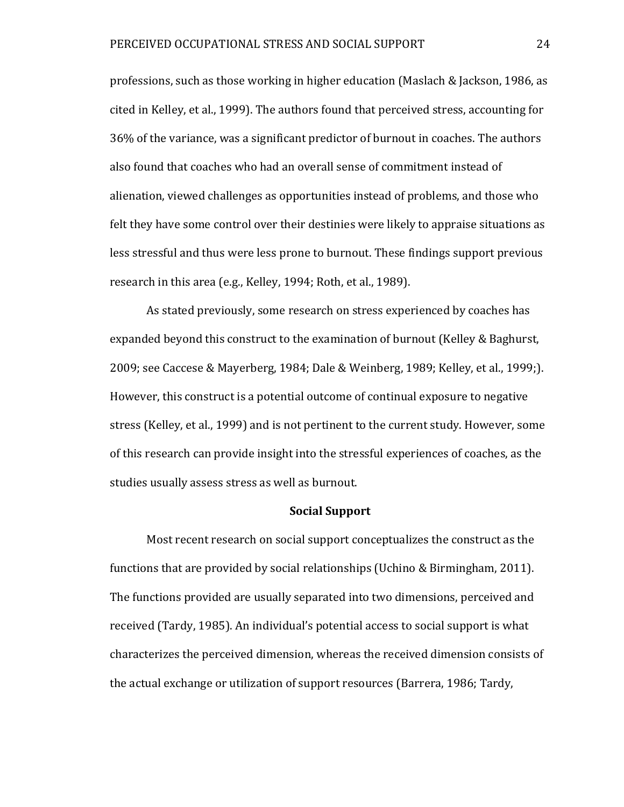professions, such as those working in higher education (Maslach & Jackson, 1986, as cited in Kelley, et al., 1999). The authors found that perceived stress, accounting for 36% of the variance, was a significant predictor of burnout in coaches. The authors also found that coaches who had an overall sense of commitment instead of alienation, viewed challenges as opportunities instead of problems, and those who felt they have some control over their destinies were likely to appraise situations as less stressful and thus were less prone to burnout. These findings support previous research in this area (e.g., Kelley, 1994; Roth, et al., 1989).

As stated previously, some research on stress experienced by coaches has expanded beyond this construct to the examination of burnout (Kelley & Baghurst, 2009; see Caccese & Mayerberg, 1984; Dale & Weinberg, 1989; Kelley, et al., 1999;). However, this construct is a potential outcome of continual exposure to negative stress (Kelley, et al., 1999) and is not pertinent to the current study. However, some of this research can provide insight into the stressful experiences of coaches, as the studies usually assess stress as well as burnout.

#### **Social Support**

Most recent research on social support conceptualizes the construct as the functions that are provided by social relationships (Uchino & Birmingham, 2011). The functions provided are usually separated into two dimensions, perceived and received (Tardy, 1985). An individual's potential access to social support is what characterizes the perceived dimension, whereas the received dimension consists of the actual exchange or utilization of support resources (Barrera, 1986; Tardy,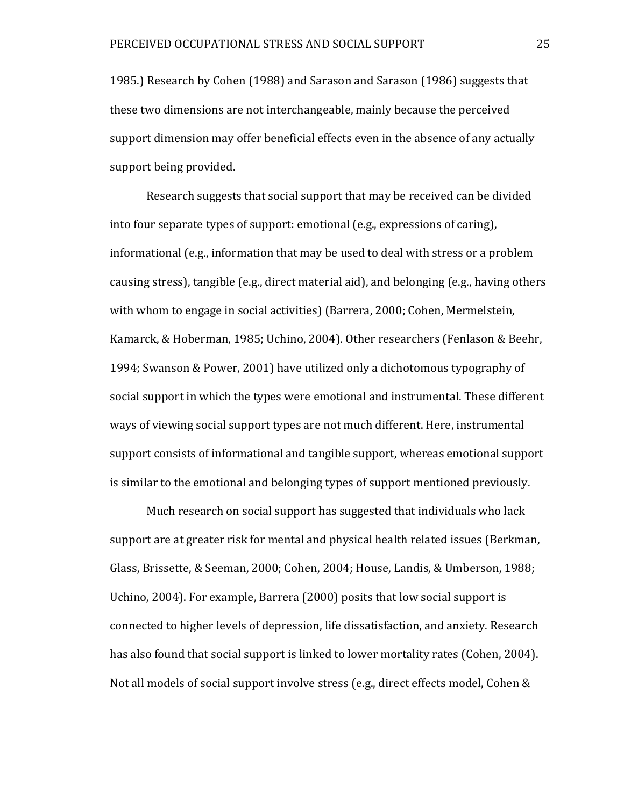1985.) Research by Cohen (1988) and Sarason and Sarason (1986) suggests that these two dimensions are not interchangeable, mainly because the perceived support dimension may offer beneficial effects even in the absence of any actually support being provided.

Research suggests that social support that may be received can be divided into four separate types of support: emotional (e.g., expressions of caring), informational (e.g., information that may be used to deal with stress or a problem causing stress), tangible (e.g., direct material aid), and belonging (e.g., having others with whom to engage in social activities) (Barrera, 2000; Cohen, Mermelstein, Kamarck, & Hoberman, 1985; Uchino, 2004). Other researchers (Fenlason & Beehr, 1994; Swanson & Power, 2001) have utilized only a dichotomous typography of social support in which the types were emotional and instrumental. These different ways of viewing social support types are not much different. Here, instrumental support consists of informational and tangible support, whereas emotional support is similar to the emotional and belonging types of support mentioned previously.

Much research on social support has suggested that individuals who lack support are at greater risk for mental and physical health related issues (Berkman, Glass, Brissette, & Seeman, 2000; Cohen, 2004; House, Landis, & Umberson, 1988; Uchino, 2004). For example, Barrera (2000) posits that low social support is connected to higher levels of depression, life dissatisfaction, and anxiety. Research has also found that social support is linked to lower mortality rates (Cohen, 2004). Not all models of social support involve stress (e.g., direct effects model, Cohen &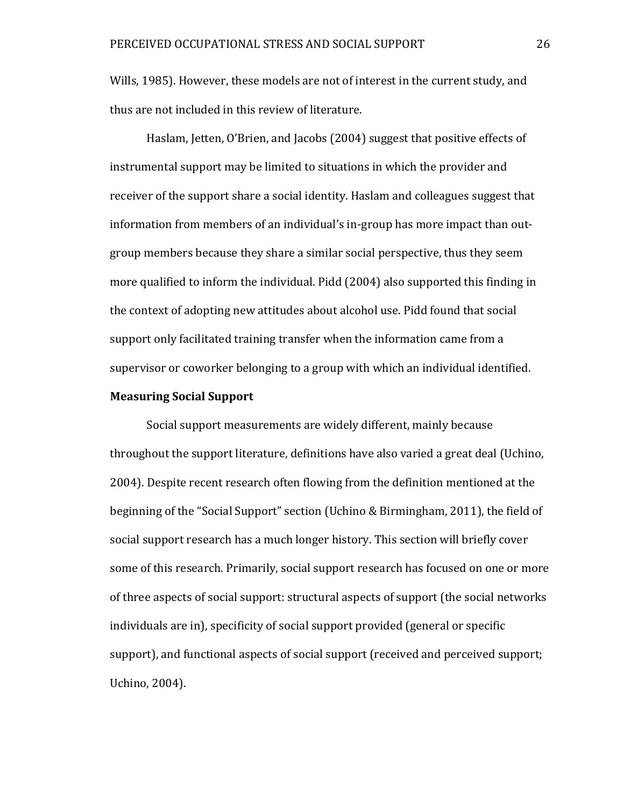Wills, 1985). However, these models are not of interest in the current study, and thus are not included in this review of literature.

Haslam, Jetten, O'Brien, and Jacobs (2004) suggest that positive effects of instrumental support may be limited to situations in which the provider and receiver of the support share a social identity. Haslam and colleagues suggest that information from members of an individual's in-group has more impact than outgroup members because they share a similar social perspective, thus they seem more qualified to inform the individual. Pidd (2004) also supported this finding in the context of adopting new attitudes about alcohol use. Pidd found that social support only facilitated training transfer when the information came from a supervisor or coworker belonging to a group with which an individual identified.

#### **Measuring Social Support**

Social support measurements are widely different, mainly because throughout the support literature, definitions have also varied a great deal (Uchino, 2004). Despite recent research often flowing from the definition mentioned at the beginning of the "Social Support" section (Uchino & Birmingham, 2011), the field of social support research has a much longer history. This section will briefly cover some of this research. Primarily, social support research has focused on one or more of three aspects of social support: structural aspects of support (the social networks individuals are in), specificity of social support provided (general or specific support), and functional aspects of social support (received and perceived support; Uchino, 2004).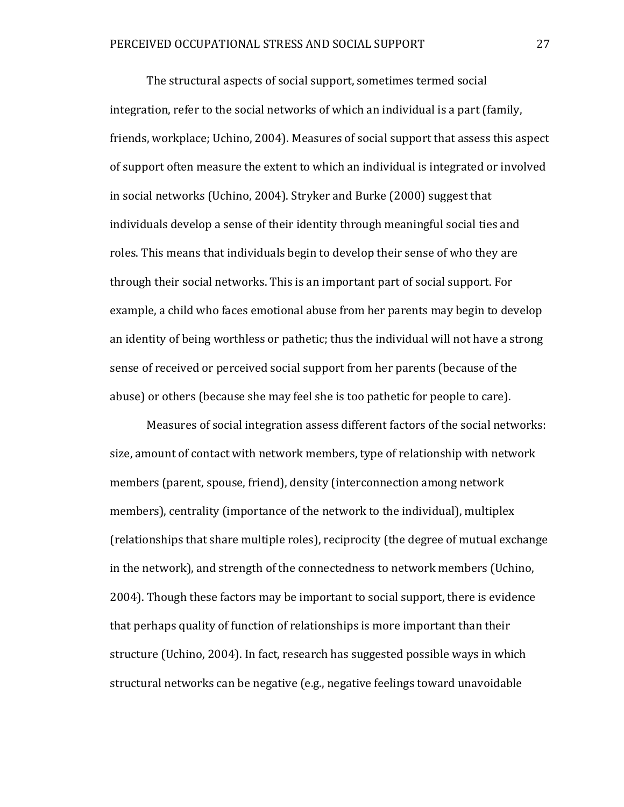The structural aspects of social support, sometimes termed social integration, refer to the social networks of which an individual is a part (family, friends, workplace; Uchino, 2004). Measures of social support that assess this aspect of support often measure the extent to which an individual is integrated or involved in social networks (Uchino, 2004). Stryker and Burke (2000) suggest that individuals develop a sense of their identity through meaningful social ties and roles. This means that individuals begin to develop their sense of who they are through their social networks. This is an important part of social support. For example, a child who faces emotional abuse from her parents may begin to develop an identity of being worthless or pathetic; thus the individual will not have a strong sense of received or perceived social support from her parents (because of the abuse) or others (because she may feel she is too pathetic for people to care).

Measures of social integration assess different factors of the social networks: size, amount of contact with network members, type of relationship with network members (parent, spouse, friend), density (interconnection among network members), centrality (importance of the network to the individual), multiplex (relationships that share multiple roles), reciprocity (the degree of mutual exchange in the network), and strength of the connectedness to network members (Uchino, 2004). Though these factors may be important to social support, there is evidence that perhaps quality of function of relationships is more important than their structure (Uchino, 2004). In fact, research has suggested possible ways in which structural networks can be negative (e.g., negative feelings toward unavoidable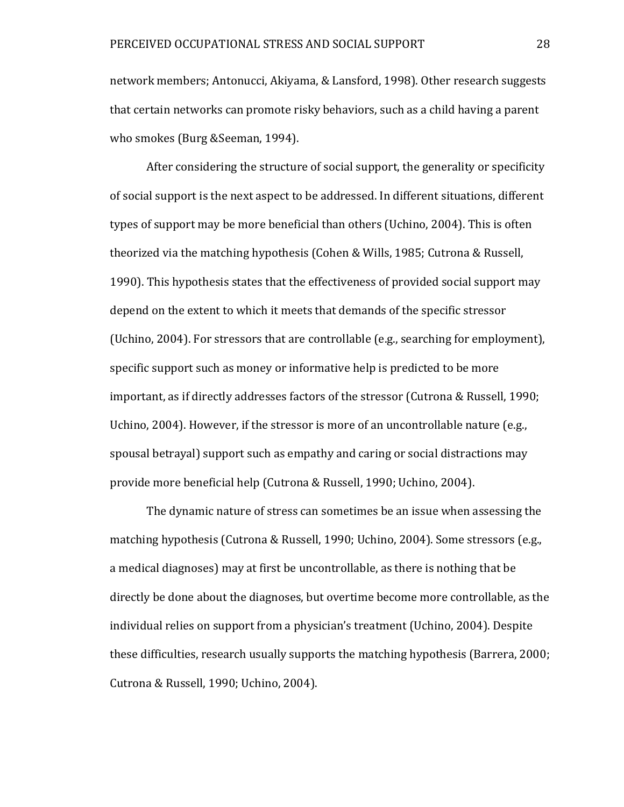network members; Antonucci, Akiyama, & Lansford, 1998). Other research suggests that certain networks can promote risky behaviors, such as a child having a parent who smokes (Burg &Seeman, 1994).

After considering the structure of social support, the generality or specificity of social support is the next aspect to be addressed. In different situations, different types of support may be more beneficial than others (Uchino, 2004). This is often theorized via the matching hypothesis (Cohen & Wills, 1985; Cutrona & Russell, 1990). This hypothesis states that the effectiveness of provided social support may depend on the extent to which it meets that demands of the specific stressor (Uchino, 2004). For stressors that are controllable (e.g., searching for employment), specific support such as money or informative help is predicted to be more important, as if directly addresses factors of the stressor (Cutrona & Russell, 1990; Uchino, 2004). However, if the stressor is more of an uncontrollable nature (e.g., spousal betrayal) support such as empathy and caring or social distractions may provide more beneficial help (Cutrona & Russell, 1990; Uchino, 2004).

The dynamic nature of stress can sometimes be an issue when assessing the matching hypothesis (Cutrona & Russell, 1990; Uchino, 2004). Some stressors (e.g., a medical diagnoses) may at first be uncontrollable, as there is nothing that be directly be done about the diagnoses, but overtime become more controllable, as the individual relies on support from a physician's treatment (Uchino, 2004). Despite these difficulties, research usually supports the matching hypothesis (Barrera, 2000; Cutrona & Russell, 1990; Uchino, 2004).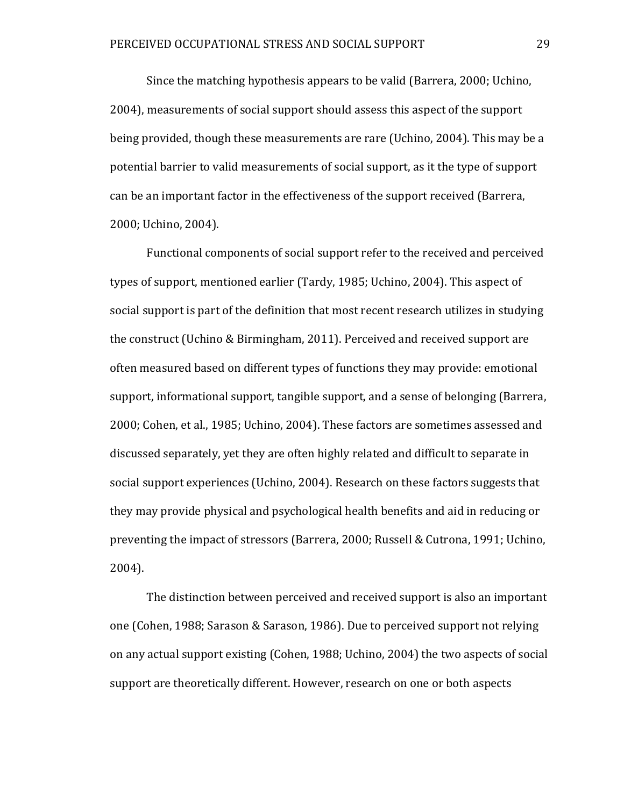Since the matching hypothesis appears to be valid (Barrera, 2000; Uchino, 2004), measurements of social support should assess this aspect of the support being provided, though these measurements are rare (Uchino, 2004). This may be a potential barrier to valid measurements of social support, as it the type of support can be an important factor in the effectiveness of the support received (Barrera, 2000; Uchino, 2004).

Functional components of social support refer to the received and perceived types of support, mentioned earlier (Tardy, 1985; Uchino, 2004). This aspect of social support is part of the definition that most recent research utilizes in studying the construct (Uchino & Birmingham, 2011). Perceived and received support are often measured based on different types of functions they may provide: emotional support, informational support, tangible support, and a sense of belonging (Barrera, 2000; Cohen, et al., 1985; Uchino, 2004). These factors are sometimes assessed and discussed separately, yet they are often highly related and difficult to separate in social support experiences (Uchino, 2004). Research on these factors suggests that they may provide physical and psychological health benefits and aid in reducing or preventing the impact of stressors (Barrera, 2000; Russell & Cutrona, 1991; Uchino, 2004).

The distinction between perceived and received support is also an important one (Cohen, 1988; Sarason & Sarason, 1986). Due to perceived support not relying on any actual support existing (Cohen, 1988; Uchino, 2004) the two aspects of social support are theoretically different. However, research on one or both aspects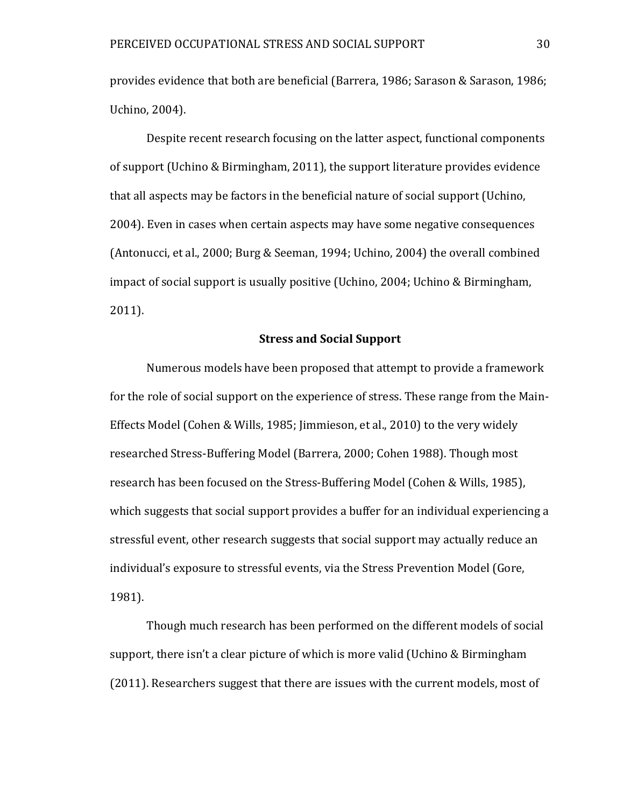provides evidence that both are beneficial (Barrera, 1986; Sarason & Sarason, 1986; Uchino, 2004).

Despite recent research focusing on the latter aspect, functional components of support (Uchino & Birmingham, 2011), the support literature provides evidence that all aspects may be factors in the beneficial nature of social support (Uchino, 2004). Even in cases when certain aspects may have some negative consequences (Antonucci, et al., 2000; Burg & Seeman, 1994; Uchino, 2004) the overall combined impact of social support is usually positive (Uchino, 2004; Uchino & Birmingham, 2011).

#### **Stress and Social Support**

Numerous models have been proposed that attempt to provide a framework for the role of social support on the experience of stress. These range from the Main-Effects Model (Cohen & Wills, 1985; Jimmieson, et al., 2010) to the very widely researched Stress-Buffering Model (Barrera, 2000; Cohen 1988). Though most research has been focused on the Stress-Buffering Model (Cohen & Wills, 1985), which suggests that social support provides a buffer for an individual experiencing a stressful event, other research suggests that social support may actually reduce an individual's exposure to stressful events, via the Stress Prevention Model (Gore, 1981).

Though much research has been performed on the different models of social support, there isn't a clear picture of which is more valid (Uchino & Birmingham (2011). Researchers suggest that there are issues with the current models, most of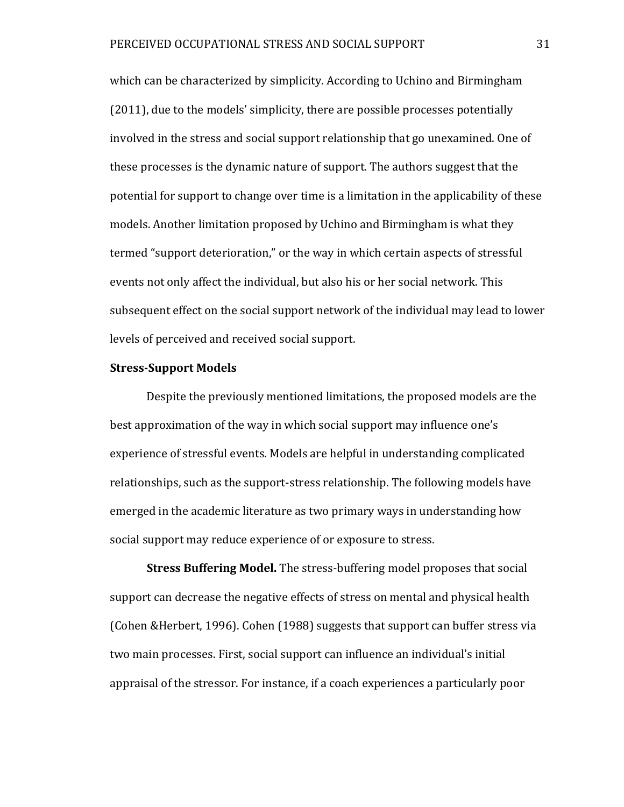which can be characterized by simplicity. According to Uchino and Birmingham (2011), due to the models' simplicity, there are possible processes potentially involved in the stress and social support relationship that go unexamined. One of these processes is the dynamic nature of support. The authors suggest that the potential for support to change over time is a limitation in the applicability of these models. Another limitation proposed by Uchino and Birmingham is what they termed "support deterioration," or the way in which certain aspects of stressful events not only affect the individual, but also his or her social network. This subsequent effect on the social support network of the individual may lead to lower levels of perceived and received social support.

### **Stress-Support Models**

Despite the previously mentioned limitations, the proposed models are the best approximation of the way in which social support may influence one's experience of stressful events. Models are helpful in understanding complicated relationships, such as the support-stress relationship. The following models have emerged in the academic literature as two primary ways in understanding how social support may reduce experience of or exposure to stress.

**Stress Buffering Model.** The stress-buffering model proposes that social support can decrease the negative effects of stress on mental and physical health (Cohen &Herbert, 1996). Cohen (1988) suggests that support can buffer stress via two main processes. First, social support can influence an individual's initial appraisal of the stressor. For instance, if a coach experiences a particularly poor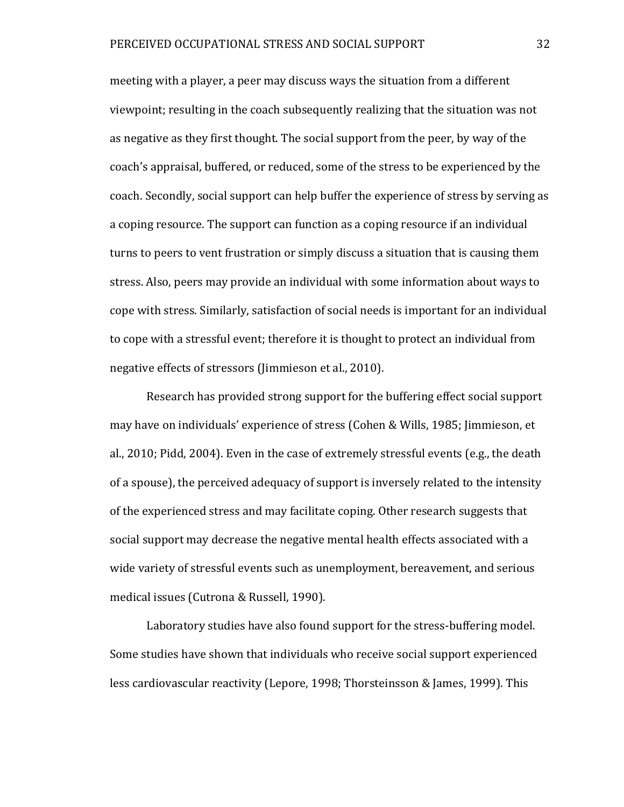meeting with a player, a peer may discuss ways the situation from a different viewpoint; resulting in the coach subsequently realizing that the situation was not as negative as they first thought. The social support from the peer, by way of the coach's appraisal, buffered, or reduced, some of the stress to be experienced by the coach. Secondly, social support can help buffer the experience of stress by serving as a coping resource. The support can function as a coping resource if an individual turns to peers to vent frustration or simply discuss a situation that is causing them stress. Also, peers may provide an individual with some information about ways to cope with stress. Similarly, satisfaction of social needs is important for an individual to cope with a stressful event; therefore it is thought to protect an individual from negative effects of stressors (Jimmieson et al., 2010).

Research has provided strong support for the buffering effect social support may have on individuals' experience of stress (Cohen & Wills, 1985; Jimmieson, et al., 2010; Pidd, 2004). Even in the case of extremely stressful events (e.g., the death of a spouse), the perceived adequacy of support is inversely related to the intensity of the experienced stress and may facilitate coping. Other research suggests that social support may decrease the negative mental health effects associated with a wide variety of stressful events such as unemployment, bereavement, and serious medical issues (Cutrona & Russell, 1990).

Laboratory studies have also found support for the stress-buffering model. Some studies have shown that individuals who receive social support experienced less cardiovascular reactivity (Lepore, 1998; Thorsteinsson & James, 1999). This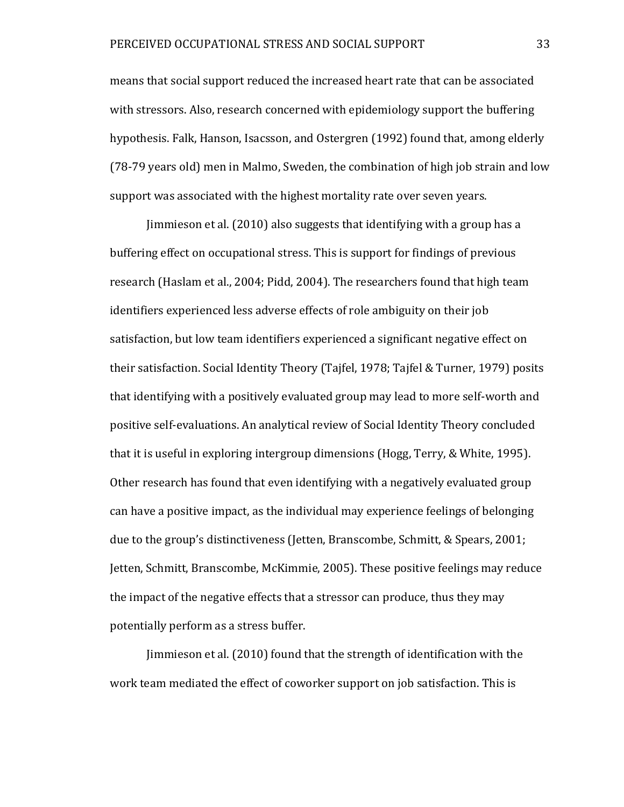means that social support reduced the increased heart rate that can be associated with stressors. Also, research concerned with epidemiology support the buffering hypothesis. Falk, Hanson, Isacsson, and Ostergren (1992) found that, among elderly (78-79 years old) men in Malmo, Sweden, the combination of high job strain and low support was associated with the highest mortality rate over seven years.

Jimmieson et al. (2010) also suggests that identifying with a group has a buffering effect on occupational stress. This is support for findings of previous research (Haslam et al., 2004; Pidd, 2004). The researchers found that high team identifiers experienced less adverse effects of role ambiguity on their job satisfaction, but low team identifiers experienced a significant negative effect on their satisfaction. Social Identity Theory (Tajfel, 1978; Tajfel & Turner, 1979) posits that identifying with a positively evaluated group may lead to more self-worth and positive self-evaluations. An analytical review of Social Identity Theory concluded that it is useful in exploring intergroup dimensions (Hogg, Terry, & White, 1995). Other research has found that even identifying with a negatively evaluated group can have a positive impact, as the individual may experience feelings of belonging due to the group's distinctiveness (Jetten, Branscombe, Schmitt, & Spears, 2001; Jetten, Schmitt, Branscombe, McKimmie, 2005). These positive feelings may reduce the impact of the negative effects that a stressor can produce, thus they may potentially perform as a stress buffer.

Jimmieson et al. (2010) found that the strength of identification with the work team mediated the effect of coworker support on job satisfaction. This is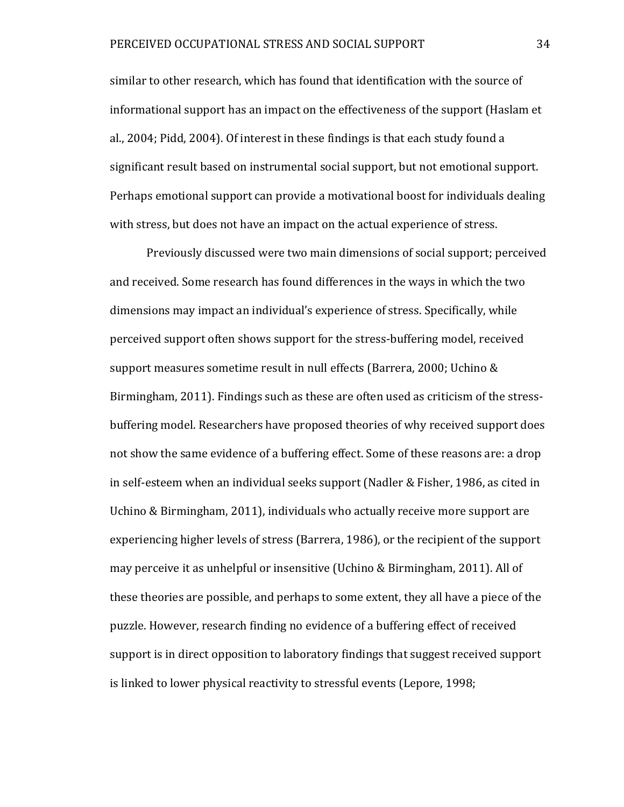similar to other research, which has found that identification with the source of informational support has an impact on the effectiveness of the support (Haslam et al., 2004; Pidd, 2004). Of interest in these findings is that each study found a significant result based on instrumental social support, but not emotional support. Perhaps emotional support can provide a motivational boost for individuals dealing with stress, but does not have an impact on the actual experience of stress.

Previously discussed were two main dimensions of social support; perceived and received. Some research has found differences in the ways in which the two dimensions may impact an individual's experience of stress. Specifically, while perceived support often shows support for the stress-buffering model, received support measures sometime result in null effects (Barrera, 2000; Uchino & Birmingham, 2011). Findings such as these are often used as criticism of the stressbuffering model. Researchers have proposed theories of why received support does not show the same evidence of a buffering effect. Some of these reasons are: a drop in self-esteem when an individual seeks support (Nadler & Fisher, 1986, as cited in Uchino & Birmingham, 2011), individuals who actually receive more support are experiencing higher levels of stress (Barrera, 1986), or the recipient of the support may perceive it as unhelpful or insensitive (Uchino & Birmingham, 2011). All of these theories are possible, and perhaps to some extent, they all have a piece of the puzzle. However, research finding no evidence of a buffering effect of received support is in direct opposition to laboratory findings that suggest received support is linked to lower physical reactivity to stressful events (Lepore, 1998;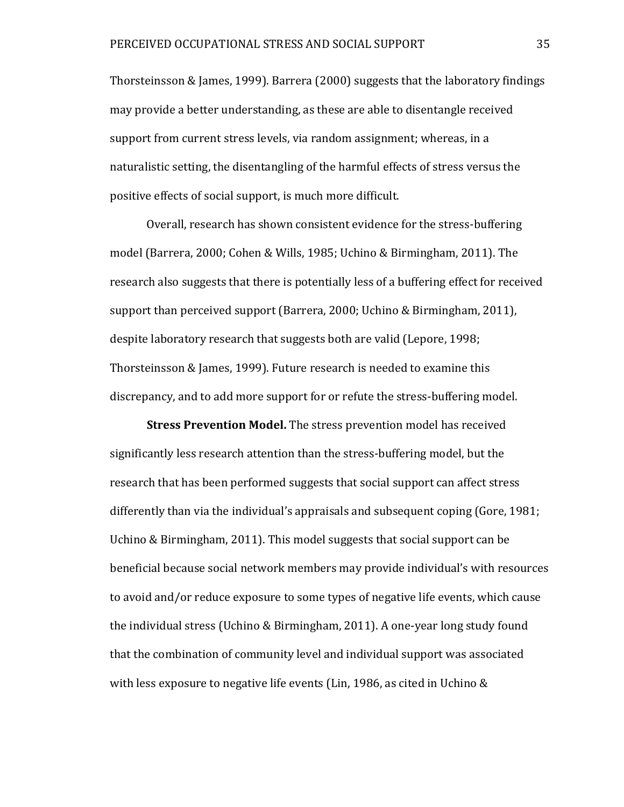Thorsteinsson & James, 1999). Barrera (2000) suggests that the laboratory findings may provide a better understanding, as these are able to disentangle received support from current stress levels, via random assignment; whereas, in a naturalistic setting, the disentangling of the harmful effects of stress versus the positive effects of social support, is much more difficult.

Overall, research has shown consistent evidence for the stress-buffering model (Barrera, 2000; Cohen & Wills, 1985; Uchino & Birmingham, 2011). The research also suggests that there is potentially less of a buffering effect for received support than perceived support (Barrera, 2000; Uchino & Birmingham, 2011), despite laboratory research that suggests both are valid (Lepore, 1998; Thorsteinsson & James, 1999). Future research is needed to examine this discrepancy, and to add more support for or refute the stress-buffering model.

**Stress Prevention Model.** The stress prevention model has received significantly less research attention than the stress-buffering model, but the research that has been performed suggests that social support can affect stress differently than via the individual's appraisals and subsequent coping (Gore, 1981; Uchino & Birmingham, 2011). This model suggests that social support can be beneficial because social network members may provide individual's with resources to avoid and/or reduce exposure to some types of negative life events, which cause the individual stress (Uchino & Birmingham, 2011). A one-year long study found that the combination of community level and individual support was associated with less exposure to negative life events (Lin, 1986, as cited in Uchino &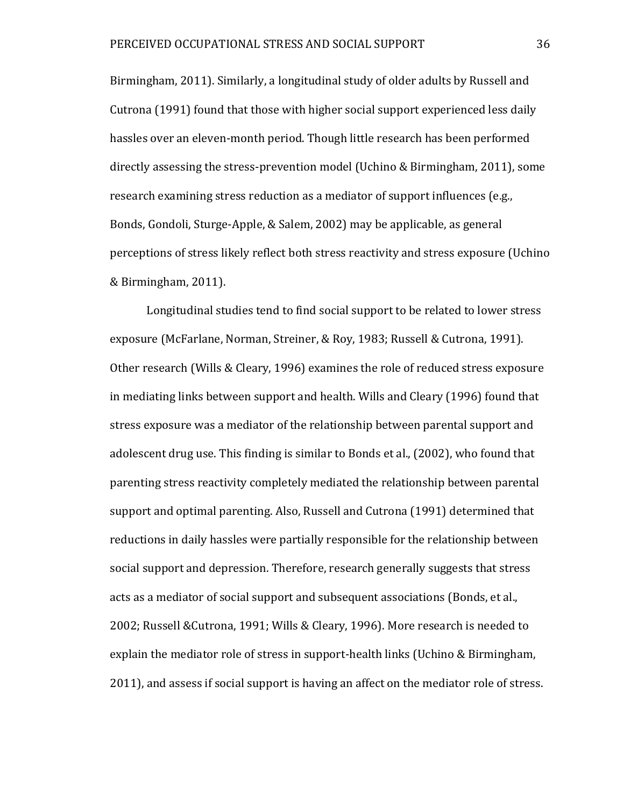Birmingham, 2011). Similarly, a longitudinal study of older adults by Russell and Cutrona (1991) found that those with higher social support experienced less daily hassles over an eleven-month period. Though little research has been performed directly assessing the stress-prevention model (Uchino & Birmingham, 2011), some research examining stress reduction as a mediator of support influences (e.g., Bonds, Gondoli, Sturge-Apple, & Salem, 2002) may be applicable, as general perceptions of stress likely reflect both stress reactivity and stress exposure (Uchino & Birmingham, 2011).

Longitudinal studies tend to find social support to be related to lower stress exposure (McFarlane, Norman, Streiner, & Roy, 1983; Russell & Cutrona, 1991). Other research (Wills & Cleary, 1996) examines the role of reduced stress exposure in mediating links between support and health. Wills and Cleary (1996) found that stress exposure was a mediator of the relationship between parental support and adolescent drug use. This finding is similar to Bonds et al., (2002), who found that parenting stress reactivity completely mediated the relationship between parental support and optimal parenting. Also, Russell and Cutrona (1991) determined that reductions in daily hassles were partially responsible for the relationship between social support and depression. Therefore, research generally suggests that stress acts as a mediator of social support and subsequent associations (Bonds, et al., 2002; Russell &Cutrona, 1991; Wills & Cleary, 1996). More research is needed to explain the mediator role of stress in support-health links (Uchino & Birmingham, 2011), and assess if social support is having an affect on the mediator role of stress.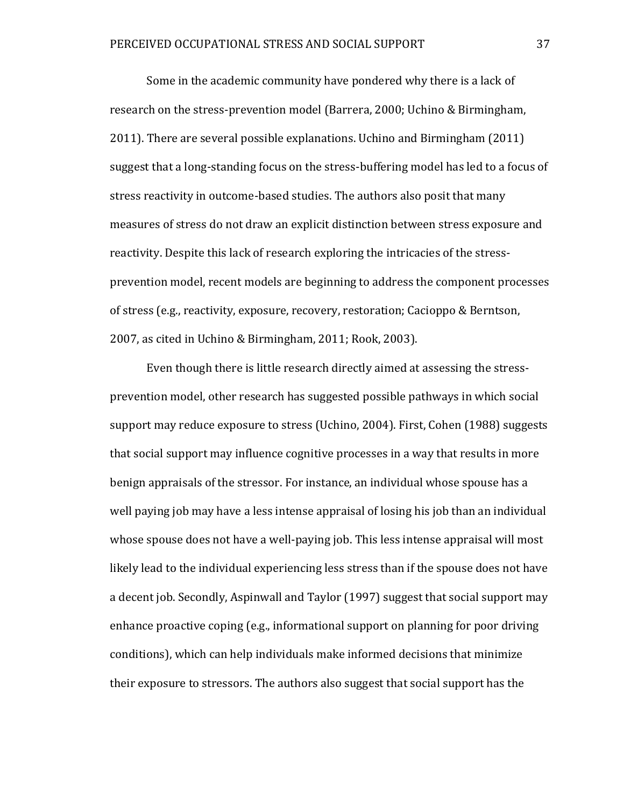Some in the academic community have pondered why there is a lack of research on the stress-prevention model (Barrera, 2000; Uchino & Birmingham, 2011). There are several possible explanations. Uchino and Birmingham (2011) suggest that a long-standing focus on the stress-buffering model has led to a focus of stress reactivity in outcome-based studies. The authors also posit that many measures of stress do not draw an explicit distinction between stress exposure and reactivity. Despite this lack of research exploring the intricacies of the stressprevention model, recent models are beginning to address the component processes of stress (e.g., reactivity, exposure, recovery, restoration; Cacioppo & Berntson, 2007, as cited in Uchino & Birmingham, 2011; Rook, 2003).

Even though there is little research directly aimed at assessing the stressprevention model, other research has suggested possible pathways in which social support may reduce exposure to stress (Uchino, 2004). First, Cohen (1988) suggests that social support may influence cognitive processes in a way that results in more benign appraisals of the stressor. For instance, an individual whose spouse has a well paying job may have a less intense appraisal of losing his job than an individual whose spouse does not have a well-paying job. This less intense appraisal will most likely lead to the individual experiencing less stress than if the spouse does not have a decent job. Secondly, Aspinwall and Taylor (1997) suggest that social support may enhance proactive coping (e.g., informational support on planning for poor driving conditions), which can help individuals make informed decisions that minimize their exposure to stressors. The authors also suggest that social support has the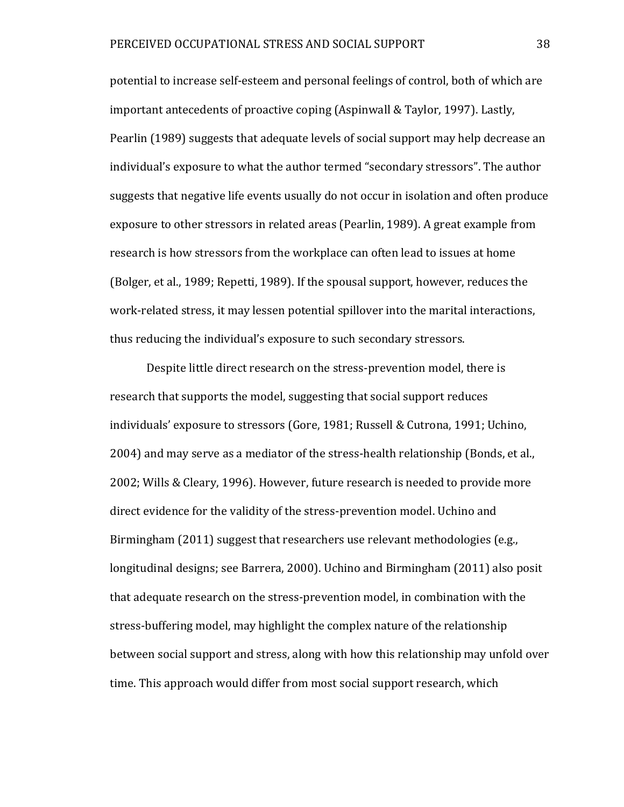potential to increase self-esteem and personal feelings of control, both of which are important antecedents of proactive coping (Aspinwall & Taylor, 1997). Lastly, Pearlin (1989) suggests that adequate levels of social support may help decrease an individual's exposure to what the author termed "secondary stressors". The author suggests that negative life events usually do not occur in isolation and often produce exposure to other stressors in related areas (Pearlin, 1989). A great example from research is how stressors from the workplace can often lead to issues at home (Bolger, et al., 1989; Repetti, 1989). If the spousal support, however, reduces the work-related stress, it may lessen potential spillover into the marital interactions, thus reducing the individual's exposure to such secondary stressors.

Despite little direct research on the stress-prevention model, there is research that supports the model, suggesting that social support reduces individuals' exposure to stressors (Gore, 1981; Russell & Cutrona, 1991; Uchino, 2004) and may serve as a mediator of the stress-health relationship (Bonds, et al., 2002; Wills & Cleary, 1996). However, future research is needed to provide more direct evidence for the validity of the stress-prevention model. Uchino and Birmingham (2011) suggest that researchers use relevant methodologies (e.g., longitudinal designs; see Barrera, 2000). Uchino and Birmingham (2011) also posit that adequate research on the stress-prevention model, in combination with the stress-buffering model, may highlight the complex nature of the relationship between social support and stress, along with how this relationship may unfold over time. This approach would differ from most social support research, which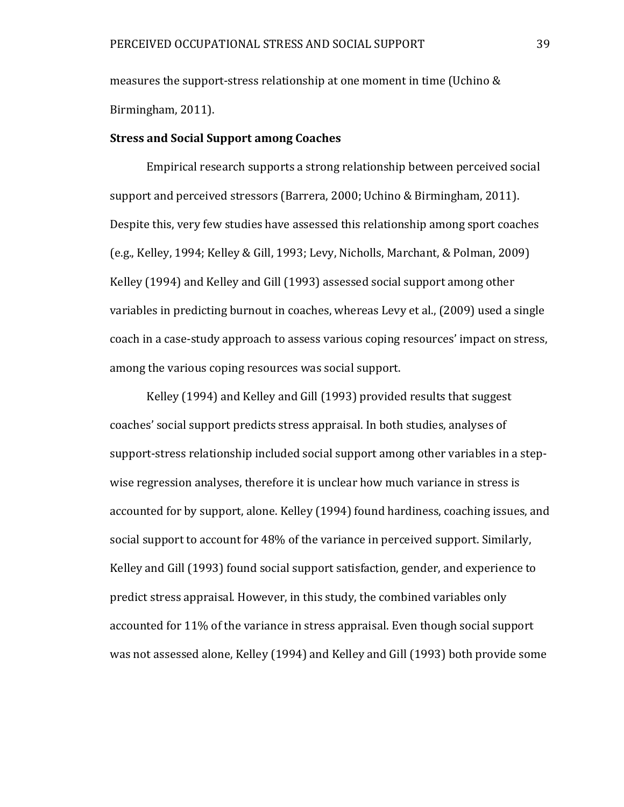measures the support-stress relationship at one moment in time (Uchino & Birmingham, 2011).

## **Stress and Social Support among Coaches**

Empirical research supports a strong relationship between perceived social support and perceived stressors (Barrera, 2000; Uchino & Birmingham, 2011). Despite this, very few studies have assessed this relationship among sport coaches (e.g., Kelley, 1994; Kelley & Gill, 1993; Levy, Nicholls, Marchant, & Polman, 2009) Kelley (1994) and Kelley and Gill (1993) assessed social support among other variables in predicting burnout in coaches, whereas Levy et al., (2009) used a single coach in a case-study approach to assess various coping resources' impact on stress, among the various coping resources was social support.

Kelley (1994) and Kelley and Gill (1993) provided results that suggest coaches' social support predicts stress appraisal. In both studies, analyses of support-stress relationship included social support among other variables in a stepwise regression analyses, therefore it is unclear how much variance in stress is accounted for by support, alone. Kelley (1994) found hardiness, coaching issues, and social support to account for 48% of the variance in perceived support. Similarly, Kelley and Gill (1993) found social support satisfaction, gender, and experience to predict stress appraisal. However, in this study, the combined variables only accounted for 11% of the variance in stress appraisal. Even though social support was not assessed alone, Kelley (1994) and Kelley and Gill (1993) both provide some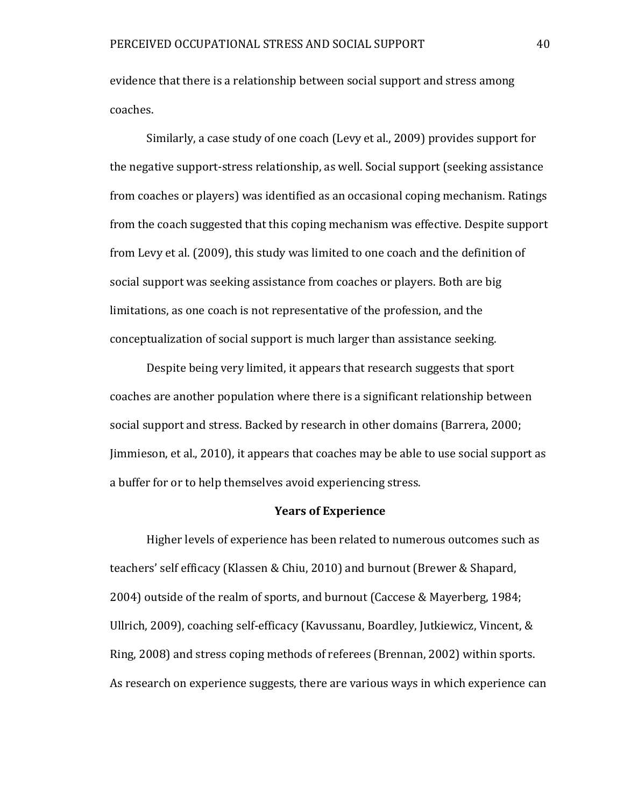evidence that there is a relationship between social support and stress among coaches.

Similarly, a case study of one coach (Levy et al., 2009) provides support for the negative support-stress relationship, as well. Social support (seeking assistance from coaches or players) was identified as an occasional coping mechanism. Ratings from the coach suggested that this coping mechanism was effective. Despite support from Levy et al. (2009), this study was limited to one coach and the definition of social support was seeking assistance from coaches or players. Both are big limitations, as one coach is not representative of the profession, and the conceptualization of social support is much larger than assistance seeking.

Despite being very limited, it appears that research suggests that sport coaches are another population where there is a significant relationship between social support and stress. Backed by research in other domains (Barrera, 2000; Jimmieson, et al., 2010), it appears that coaches may be able to use social support as a buffer for or to help themselves avoid experiencing stress.

#### **Years of Experience**

Higher levels of experience has been related to numerous outcomes such as teachers' self efficacy (Klassen & Chiu, 2010) and burnout (Brewer & Shapard, 2004) outside of the realm of sports, and burnout (Caccese & Mayerberg, 1984; Ullrich, 2009), coaching self-efficacy (Kavussanu, Boardley, Jutkiewicz, Vincent, & Ring, 2008) and stress coping methods of referees (Brennan, 2002) within sports. As research on experience suggests, there are various ways in which experience can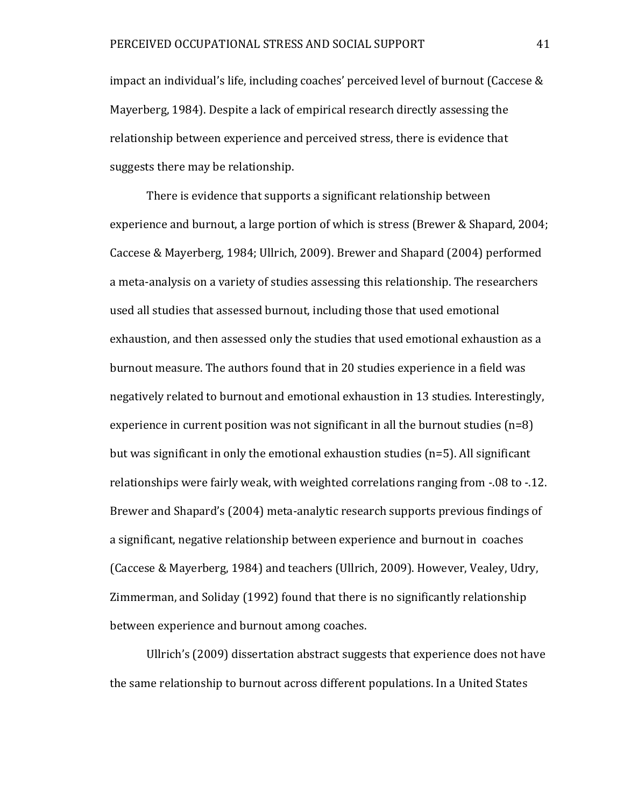impact an individual's life, including coaches' perceived level of burnout (Caccese & Mayerberg, 1984). Despite a lack of empirical research directly assessing the relationship between experience and perceived stress, there is evidence that suggests there may be relationship.

There is evidence that supports a significant relationship between experience and burnout, a large portion of which is stress (Brewer & Shapard, 2004; Caccese & Mayerberg, 1984; Ullrich, 2009). Brewer and Shapard (2004) performed a meta-analysis on a variety of studies assessing this relationship. The researchers used all studies that assessed burnout, including those that used emotional exhaustion, and then assessed only the studies that used emotional exhaustion as a burnout measure. The authors found that in 20 studies experience in a field was negatively related to burnout and emotional exhaustion in 13 studies. Interestingly, experience in current position was not significant in all the burnout studies  $(n=8)$ but was significant in only the emotional exhaustion studies (n=5). All significant relationships were fairly weak, with weighted correlations ranging from -.08 to -.12. Brewer and Shapard's (2004) meta-analytic research supports previous findings of a significant, negative relationship between experience and burnout in coaches (Caccese & Mayerberg, 1984) and teachers (Ullrich, 2009). However, Vealey, Udry, Zimmerman, and Soliday (1992) found that there is no significantly relationship between experience and burnout among coaches.

Ullrich's (2009) dissertation abstract suggests that experience does not have the same relationship to burnout across different populations. In a United States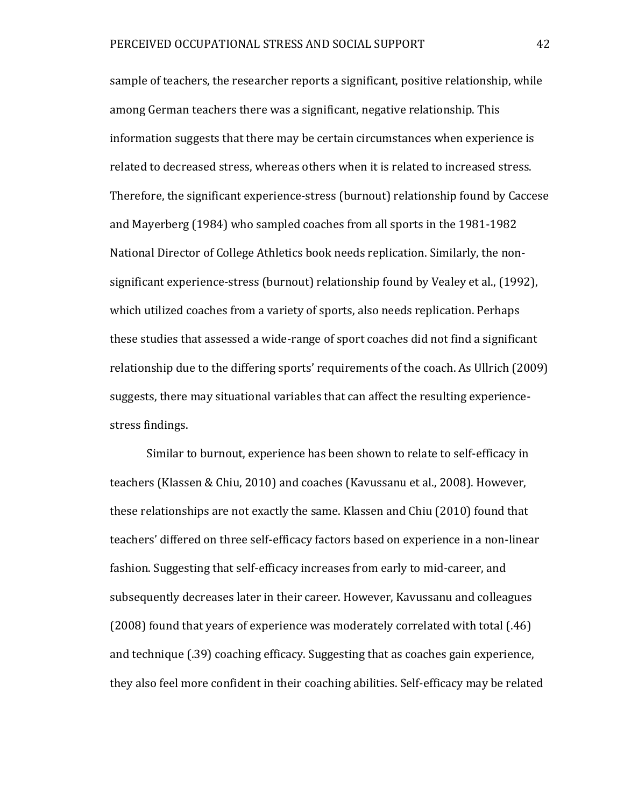sample of teachers, the researcher reports a significant, positive relationship, while among German teachers there was a significant, negative relationship. This information suggests that there may be certain circumstances when experience is related to decreased stress, whereas others when it is related to increased stress. Therefore, the significant experience-stress (burnout) relationship found by Caccese and Mayerberg (1984) who sampled coaches from all sports in the 1981-1982 National Director of College Athletics book needs replication. Similarly, the nonsignificant experience-stress (burnout) relationship found by Vealey et al., (1992), which utilized coaches from a variety of sports, also needs replication. Perhaps these studies that assessed a wide-range of sport coaches did not find a significant relationship due to the differing sports' requirements of the coach. As Ullrich (2009) suggests, there may situational variables that can affect the resulting experiencestress findings.

Similar to burnout, experience has been shown to relate to self-efficacy in teachers (Klassen & Chiu, 2010) and coaches (Kavussanu et al., 2008). However, these relationships are not exactly the same. Klassen and Chiu (2010) found that teachers' differed on three self-efficacy factors based on experience in a non-linear fashion. Suggesting that self-efficacy increases from early to mid-career, and subsequently decreases later in their career. However, Kavussanu and colleagues (2008) found that years of experience was moderately correlated with total (.46) and technique (.39) coaching efficacy. Suggesting that as coaches gain experience, they also feel more confident in their coaching abilities. Self-efficacy may be related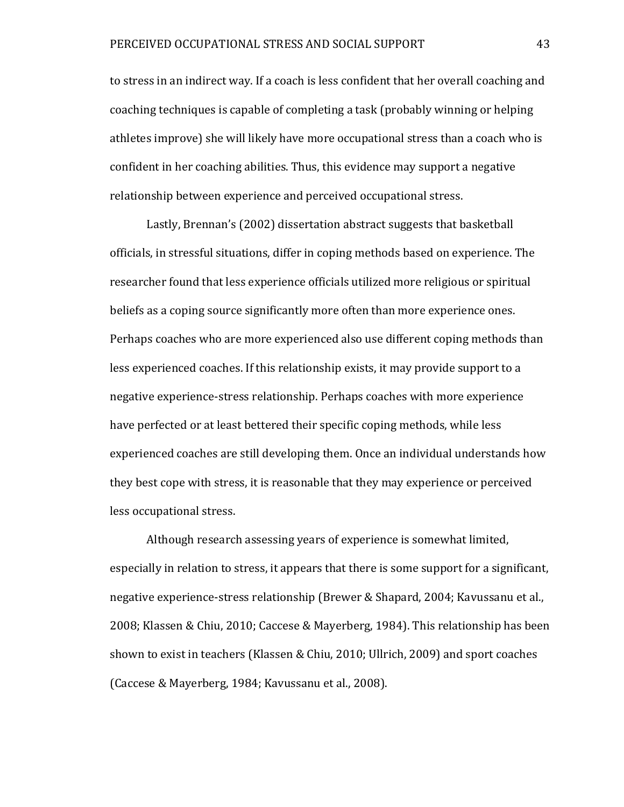to stress in an indirect way. If a coach is less confident that her overall coaching and coaching techniques is capable of completing a task (probably winning or helping athletes improve) she will likely have more occupational stress than a coach who is confident in her coaching abilities. Thus, this evidence may support a negative relationship between experience and perceived occupational stress.

Lastly, Brennan's (2002) dissertation abstract suggests that basketball officials, in stressful situations, differ in coping methods based on experience. The researcher found that less experience officials utilized more religious or spiritual beliefs as a coping source significantly more often than more experience ones. Perhaps coaches who are more experienced also use different coping methods than less experienced coaches. If this relationship exists, it may provide support to a negative experience-stress relationship. Perhaps coaches with more experience have perfected or at least bettered their specific coping methods, while less experienced coaches are still developing them. Once an individual understands how they best cope with stress, it is reasonable that they may experience or perceived less occupational stress.

Although research assessing years of experience is somewhat limited, especially in relation to stress, it appears that there is some support for a significant, negative experience-stress relationship (Brewer & Shapard, 2004; Kavussanu et al., 2008; Klassen & Chiu, 2010; Caccese & Mayerberg, 1984). This relationship has been shown to exist in teachers (Klassen & Chiu, 2010; Ullrich, 2009) and sport coaches (Caccese & Mayerberg, 1984; Kavussanu et al., 2008).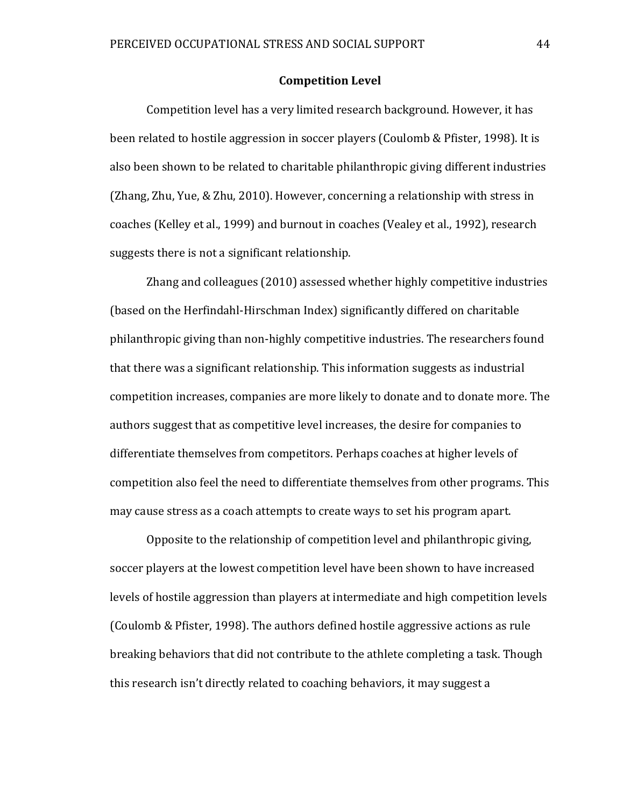#### **Competition Level**

Competition level has a very limited research background. However, it has been related to hostile aggression in soccer players (Coulomb & Pfister, 1998). It is also been shown to be related to charitable philanthropic giving different industries (Zhang, Zhu, Yue, & Zhu, 2010). However, concerning a relationship with stress in coaches (Kelley et al., 1999) and burnout in coaches (Vealey et al., 1992), research suggests there is not a significant relationship.

Zhang and colleagues (2010) assessed whether highly competitive industries (based on the Herfindahl-Hirschman Index) significantly differed on charitable philanthropic giving than non-highly competitive industries. The researchers found that there was a significant relationship. This information suggests as industrial competition increases, companies are more likely to donate and to donate more. The authors suggest that as competitive level increases, the desire for companies to differentiate themselves from competitors. Perhaps coaches at higher levels of competition also feel the need to differentiate themselves from other programs. This may cause stress as a coach attempts to create ways to set his program apart.

Opposite to the relationship of competition level and philanthropic giving, soccer players at the lowest competition level have been shown to have increased levels of hostile aggression than players at intermediate and high competition levels (Coulomb & Pfister, 1998). The authors defined hostile aggressive actions as rule breaking behaviors that did not contribute to the athlete completing a task. Though this research isn't directly related to coaching behaviors, it may suggest a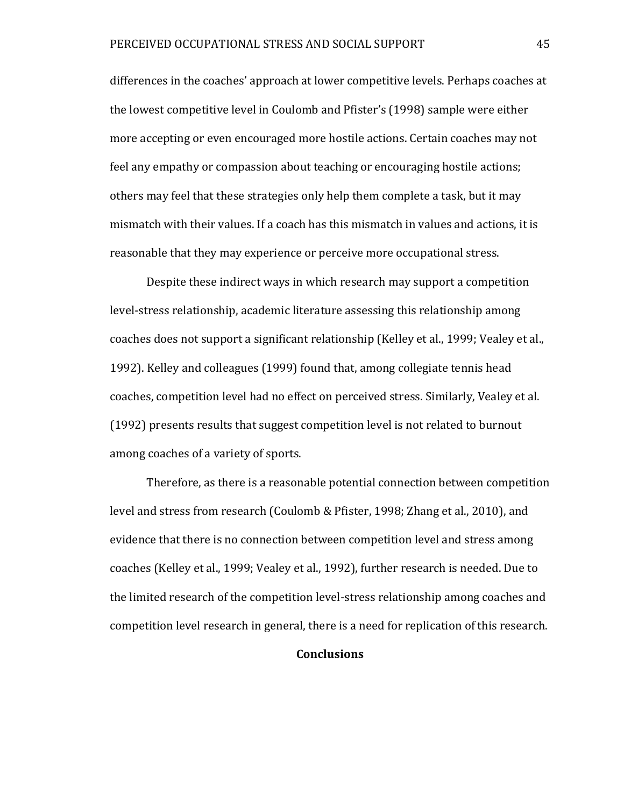differences in the coaches' approach at lower competitive levels. Perhaps coaches at the lowest competitive level in Coulomb and Pfister's (1998) sample were either more accepting or even encouraged more hostile actions. Certain coaches may not feel any empathy or compassion about teaching or encouraging hostile actions; others may feel that these strategies only help them complete a task, but it may mismatch with their values. If a coach has this mismatch in values and actions, it is reasonable that they may experience or perceive more occupational stress.

Despite these indirect ways in which research may support a competition level-stress relationship, academic literature assessing this relationship among coaches does not support a significant relationship (Kelley et al., 1999; Vealey et al., 1992). Kelley and colleagues (1999) found that, among collegiate tennis head coaches, competition level had no effect on perceived stress. Similarly, Vealey et al. (1992) presents results that suggest competition level is not related to burnout among coaches of a variety of sports.

Therefore, as there is a reasonable potential connection between competition level and stress from research (Coulomb & Pfister, 1998; Zhang et al., 2010), and evidence that there is no connection between competition level and stress among coaches (Kelley et al., 1999; Vealey et al., 1992), further research is needed. Due to the limited research of the competition level-stress relationship among coaches and competition level research in general, there is a need for replication of this research.

### **Conclusions**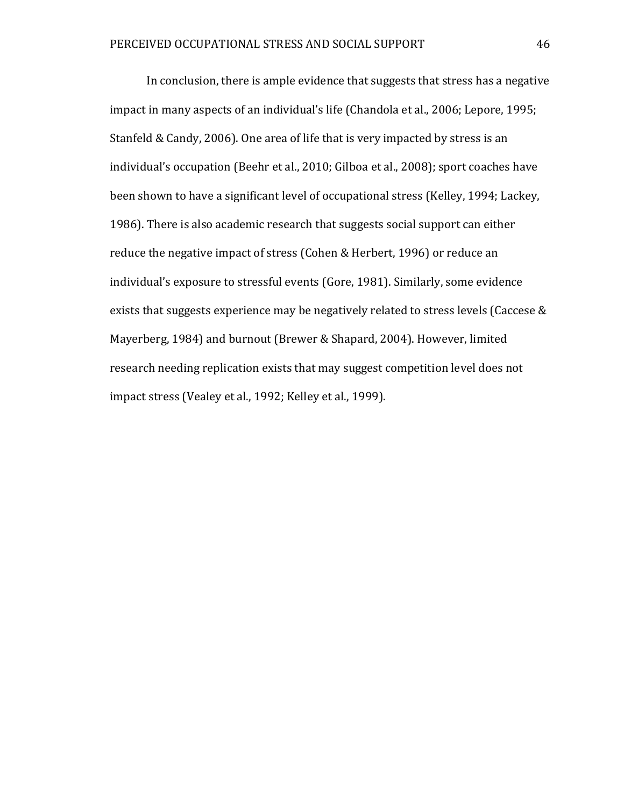In conclusion, there is ample evidence that suggests that stress has a negative impact in many aspects of an individual's life (Chandola et al., 2006; Lepore, 1995; Stanfeld & Candy, 2006). One area of life that is very impacted by stress is an individual's occupation (Beehr et al., 2010; Gilboa et al., 2008); sport coaches have been shown to have a significant level of occupational stress (Kelley, 1994; Lackey, 1986). There is also academic research that suggests social support can either reduce the negative impact of stress (Cohen & Herbert, 1996) or reduce an individual's exposure to stressful events (Gore, 1981). Similarly, some evidence exists that suggests experience may be negatively related to stress levels (Caccese & Mayerberg, 1984) and burnout (Brewer & Shapard, 2004). However, limited research needing replication exists that may suggest competition level does not impact stress (Vealey et al., 1992; Kelley et al., 1999).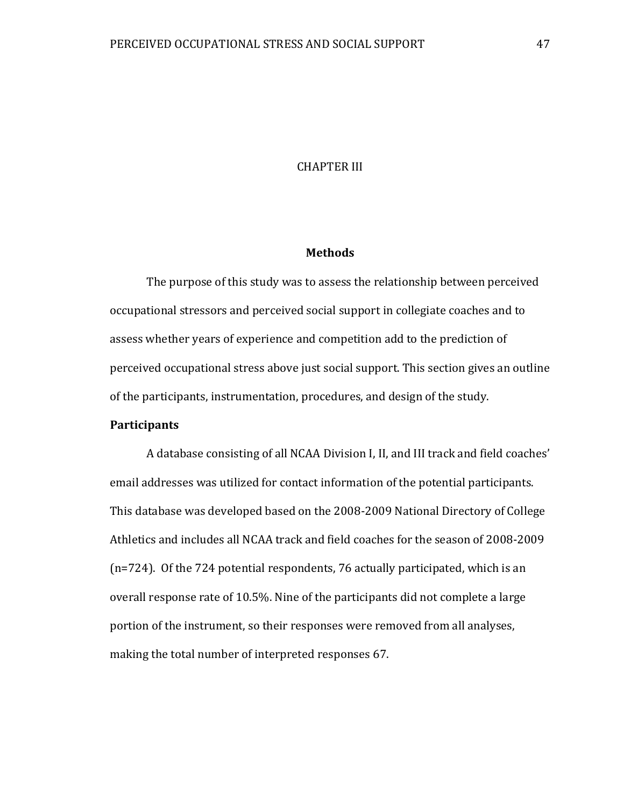## CHAPTER III

## **Methods**

The purpose of this study was to assess the relationship between perceived occupational stressors and perceived social support in collegiate coaches and to assess whether years of experience and competition add to the prediction of perceived occupational stress above just social support. This section gives an outline of the participants, instrumentation, procedures, and design of the study.

# **Participants**

A database consisting of all NCAA Division I, II, and III track and field coaches' email addresses was utilized for contact information of the potential participants. This database was developed based on the 2008-2009 National Directory of College Athletics and includes all NCAA track and field coaches for the season of 2008-2009 (n=724). Of the 724 potential respondents, 76 actually participated, which is an overall response rate of 10.5%. Nine of the participants did not complete a large portion of the instrument, so their responses were removed from all analyses, making the total number of interpreted responses 67.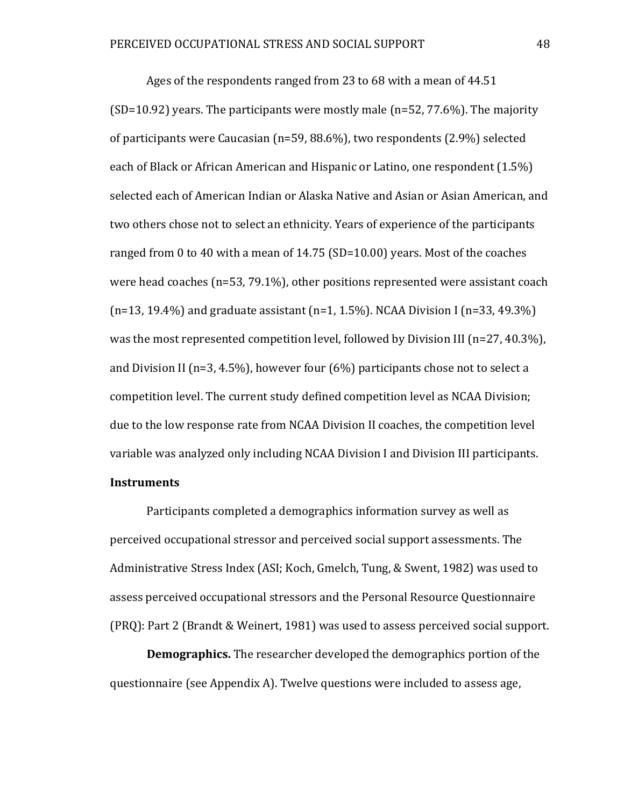Ages of the respondents ranged from 23 to 68 with a mean of 44.51 (SD=10.92) years. The participants were mostly male (n=52, 77.6%). The majority of participants were Caucasian (n=59, 88.6%), two respondents (2.9%) selected each of Black or African American and Hispanic or Latino, one respondent (1.5%) selected each of American Indian or Alaska Native and Asian or Asian American, and two others chose not to select an ethnicity. Years of experience of the participants ranged from 0 to 40 with a mean of 14.75 (SD=10.00) years. Most of the coaches were head coaches (n=53, 79.1%), other positions represented were assistant coach  $(n=13, 19.4\%)$  and graduate assistant  $(n=1, 1.5\%)$ . NCAA Division I  $(n=33, 49.3\%)$ was the most represented competition level, followed by Division III ( $n=27, 40.3\%$ ), and Division II (n=3, 4.5%), however four (6%) participants chose not to select a competition level. The current study defined competition level as NCAA Division; due to the low response rate from NCAA Division II coaches, the competition level variable was analyzed only including NCAA Division I and Division III participants. **Instruments**

Participants completed a demographics information survey as well as perceived occupational stressor and perceived social support assessments. The Administrative Stress Index (ASI; Koch, Gmelch, Tung, & Swent, 1982) was used to assess perceived occupational stressors and the Personal Resource Questionnaire (PRQ): Part 2 (Brandt & Weinert, 1981) was used to assess perceived social support.

**Demographics.** The researcher developed the demographics portion of the questionnaire (see Appendix A). Twelve questions were included to assess age,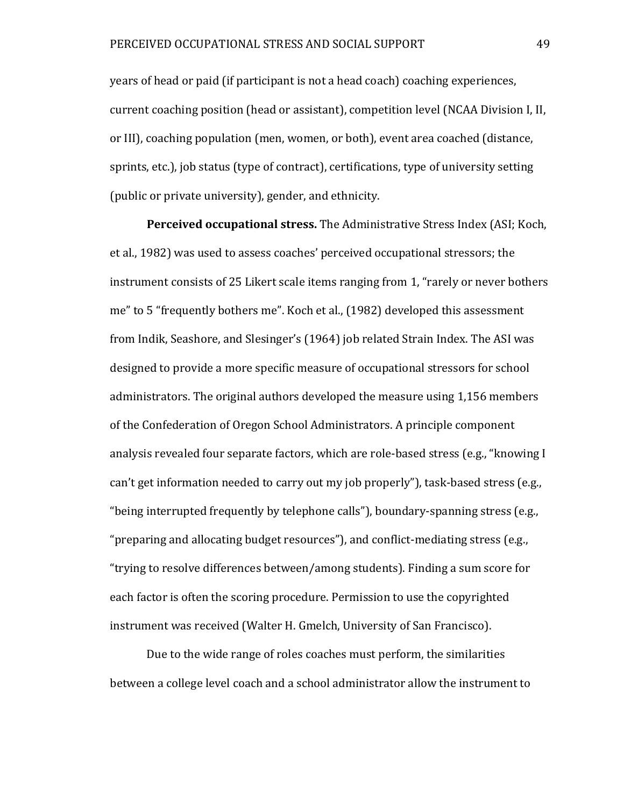years of head or paid (if participant is not a head coach) coaching experiences, current coaching position (head or assistant), competition level (NCAA Division I, II, or III), coaching population (men, women, or both), event area coached (distance, sprints, etc.), job status (type of contract), certifications, type of university setting (public or private university), gender, and ethnicity.

**Perceived occupational stress.** The Administrative Stress Index (ASI; Koch, et al., 1982) was used to assess coaches' perceived occupational stressors; the instrument consists of 25 Likert scale items ranging from 1, "rarely or never bothers me" to 5 "frequently bothers me". Koch et al., (1982) developed this assessment from Indik, Seashore, and Slesinger's (1964) job related Strain Index. The ASI was designed to provide a more specific measure of occupational stressors for school administrators. The original authors developed the measure using 1,156 members of the Confederation of Oregon School Administrators. A principle component analysis revealed four separate factors, which are role-based stress (e.g., "knowing I can't get information needed to carry out my job properly"), task-based stress (e.g., "being interrupted frequently by telephone calls"), boundary-spanning stress (e.g., "preparing and allocating budget resources"), and conflict-mediating stress (e.g., "trying to resolve differences between/among students). Finding a sum score for each factor is often the scoring procedure. Permission to use the copyrighted instrument was received (Walter H. Gmelch, University of San Francisco).

Due to the wide range of roles coaches must perform, the similarities between a college level coach and a school administrator allow the instrument to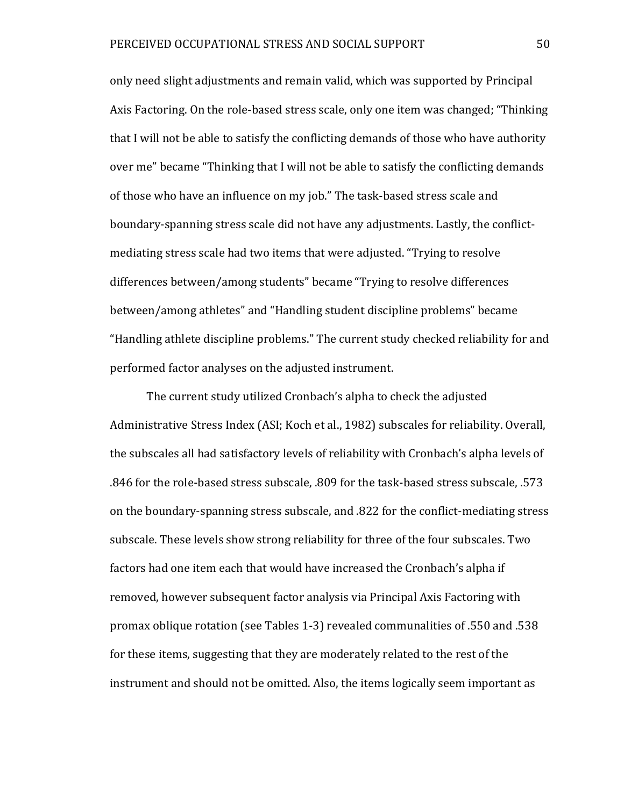only need slight adjustments and remain valid, which was supported by Principal Axis Factoring. On the role-based stress scale, only one item was changed; "Thinking that I will not be able to satisfy the conflicting demands of those who have authority over me" became "Thinking that I will not be able to satisfy the conflicting demands of those who have an influence on my job." The task-based stress scale and boundary-spanning stress scale did not have any adjustments. Lastly, the conflictmediating stress scale had two items that were adjusted. "Trying to resolve differences between/among students" became "Trying to resolve differences between/among athletes" and "Handling student discipline problems" became "Handling athlete discipline problems." The current study checked reliability for and performed factor analyses on the adjusted instrument.

The current study utilized Cronbach's alpha to check the adjusted Administrative Stress Index (ASI; Koch et al., 1982) subscales for reliability. Overall, the subscales all had satisfactory levels of reliability with Cronbach's alpha levels of .846 for the role-based stress subscale, .809 for the task-based stress subscale, .573 on the boundary-spanning stress subscale, and .822 for the conflict-mediating stress subscale. These levels show strong reliability for three of the four subscales. Two factors had one item each that would have increased the Cronbach's alpha if removed, however subsequent factor analysis via Principal Axis Factoring with promax oblique rotation (see Tables 1-3) revealed communalities of .550 and .538 for these items, suggesting that they are moderately related to the rest of the instrument and should not be omitted. Also, the items logically seem important as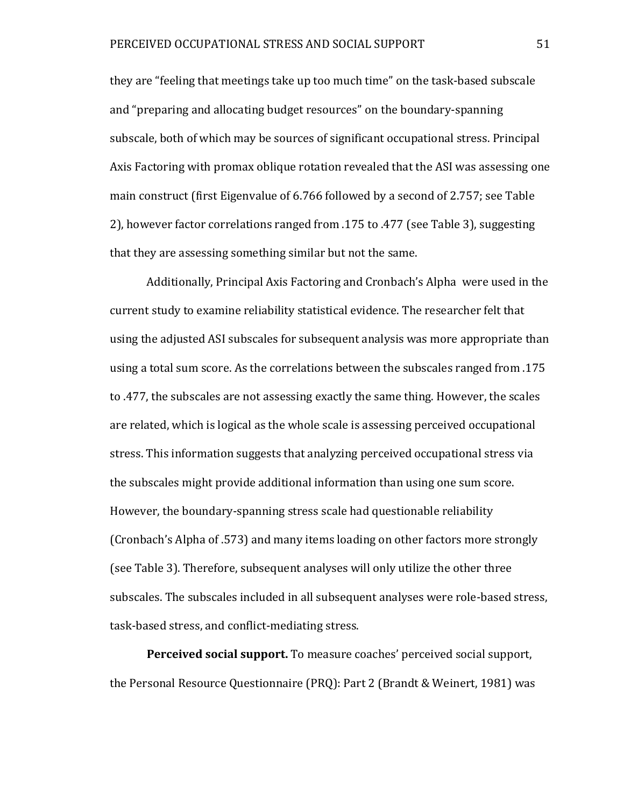they are "feeling that meetings take up too much time" on the task-based subscale and "preparing and allocating budget resources" on the boundary-spanning subscale, both of which may be sources of significant occupational stress. Principal Axis Factoring with promax oblique rotation revealed that the ASI was assessing one main construct (first Eigenvalue of 6.766 followed by a second of 2.757; see Table 2), however factor correlations ranged from .175 to .477 (see Table 3), suggesting that they are assessing something similar but not the same.

Additionally, Principal Axis Factoring and Cronbach's Alpha were used in the current study to examine reliability statistical evidence. The researcher felt that using the adjusted ASI subscales for subsequent analysis was more appropriate than using a total sum score. As the correlations between the subscales ranged from .175 to .477, the subscales are not assessing exactly the same thing. However, the scales are related, which is logical as the whole scale is assessing perceived occupational stress. This information suggests that analyzing perceived occupational stress via the subscales might provide additional information than using one sum score. However, the boundary-spanning stress scale had questionable reliability (Cronbach's Alpha of .573) and many items loading on other factors more strongly (see Table 3). Therefore, subsequent analyses will only utilize the other three subscales. The subscales included in all subsequent analyses were role-based stress, task-based stress, and conflict-mediating stress.

**Perceived social support.** To measure coaches' perceived social support, the Personal Resource Questionnaire (PRQ): Part 2 (Brandt & Weinert, 1981) was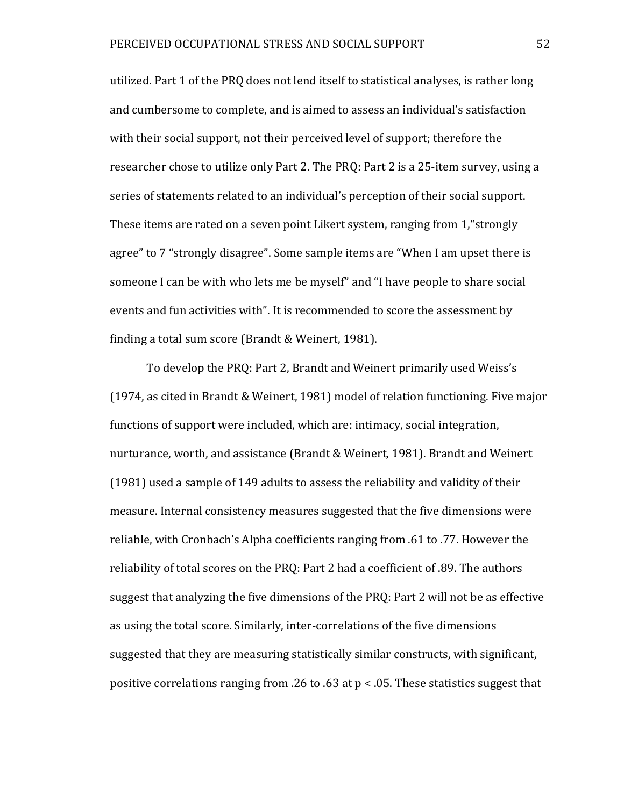utilized. Part 1 of the PRQ does not lend itself to statistical analyses, is rather long and cumbersome to complete, and is aimed to assess an individual's satisfaction with their social support, not their perceived level of support; therefore the researcher chose to utilize only Part 2. The PRQ: Part 2 is a 25-item survey, using a series of statements related to an individual's perception of their social support. These items are rated on a seven point Likert system, ranging from 1,"strongly agree" to 7 "strongly disagree". Some sample items are "When I am upset there is someone I can be with who lets me be myself" and "I have people to share social events and fun activities with". It is recommended to score the assessment by finding a total sum score (Brandt & Weinert, 1981).

To develop the PRQ: Part 2, Brandt and Weinert primarily used Weiss's (1974, as cited in Brandt & Weinert, 1981) model of relation functioning. Five major functions of support were included, which are: intimacy, social integration, nurturance, worth, and assistance (Brandt & Weinert, 1981). Brandt and Weinert (1981) used a sample of 149 adults to assess the reliability and validity of their measure. Internal consistency measures suggested that the five dimensions were reliable, with Cronbach's Alpha coefficients ranging from .61 to .77. However the reliability of total scores on the PRQ: Part 2 had a coefficient of .89. The authors suggest that analyzing the five dimensions of the PRQ: Part 2 will not be as effective as using the total score. Similarly, inter-correlations of the five dimensions suggested that they are measuring statistically similar constructs, with significant, positive correlations ranging from .26 to .63 at p < .05. These statistics suggest that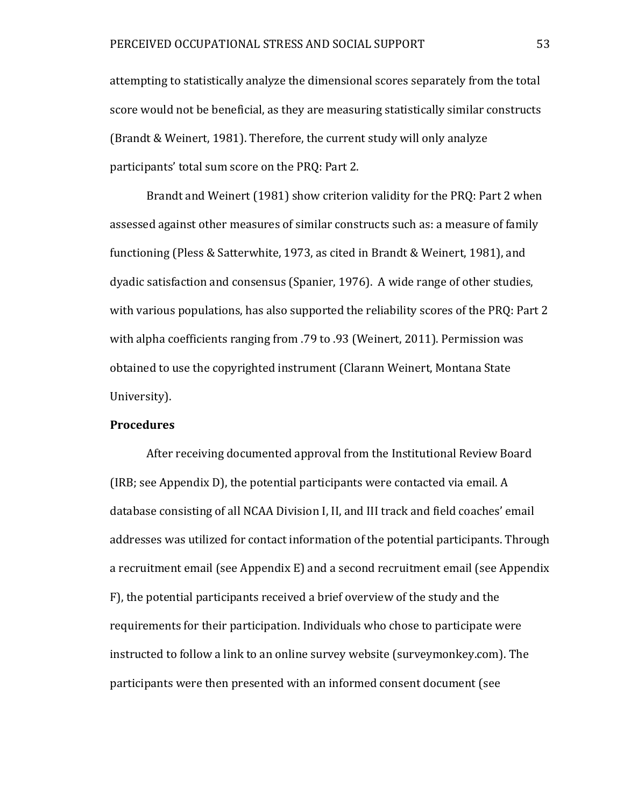attempting to statistically analyze the dimensional scores separately from the total score would not be beneficial, as they are measuring statistically similar constructs (Brandt & Weinert, 1981). Therefore, the current study will only analyze participants' total sum score on the PRQ: Part 2.

Brandt and Weinert (1981) show criterion validity for the PRQ: Part 2 when assessed against other measures of similar constructs such as: a measure of family functioning (Pless & Satterwhite, 1973, as cited in Brandt & Weinert, 1981), and dyadic satisfaction and consensus (Spanier, 1976). A wide range of other studies, with various populations, has also supported the reliability scores of the PRQ: Part 2 with alpha coefficients ranging from .79 to .93 (Weinert, 2011). Permission was obtained to use the copyrighted instrument (Clarann Weinert, Montana State University).

#### **Procedures**

After receiving documented approval from the Institutional Review Board (IRB; see Appendix D), the potential participants were contacted via email. A database consisting of all NCAA Division I, II, and III track and field coaches' email addresses was utilized for contact information of the potential participants. Through a recruitment email (see Appendix E) and a second recruitment email (see Appendix F), the potential participants received a brief overview of the study and the requirements for their participation. Individuals who chose to participate were instructed to follow a link to an online survey website (surveymonkey.com). The participants were then presented with an informed consent document (see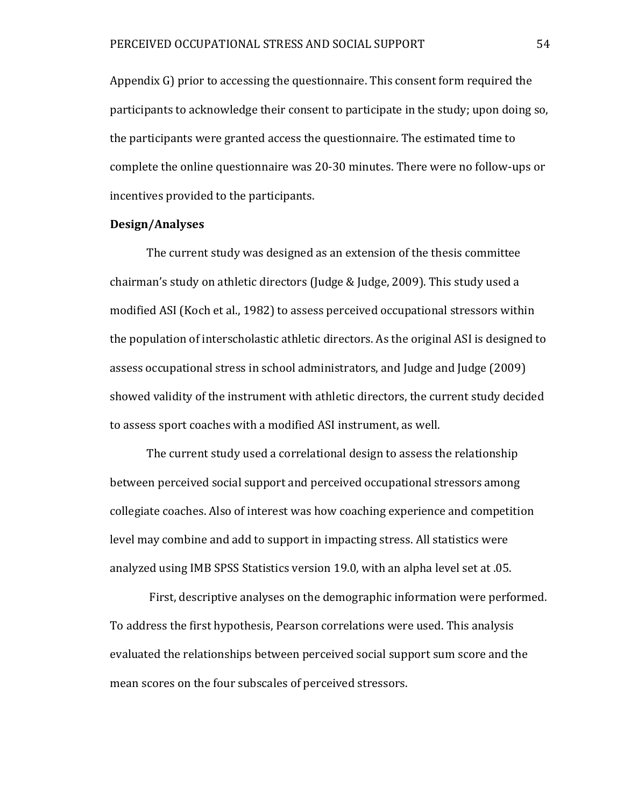Appendix G) prior to accessing the questionnaire. This consent form required the participants to acknowledge their consent to participate in the study; upon doing so, the participants were granted access the questionnaire. The estimated time to complete the online questionnaire was 20-30 minutes. There were no follow-ups or incentives provided to the participants.

# **Design/Analyses**

The current study was designed as an extension of the thesis committee chairman's study on athletic directors (Judge & Judge, 2009). This study used a modified ASI (Koch et al., 1982) to assess perceived occupational stressors within the population of interscholastic athletic directors. As the original ASI is designed to assess occupational stress in school administrators, and Judge and Judge (2009) showed validity of the instrument with athletic directors, the current study decided to assess sport coaches with a modified ASI instrument, as well.

The current study used a correlational design to assess the relationship between perceived social support and perceived occupational stressors among collegiate coaches. Also of interest was how coaching experience and competition level may combine and add to support in impacting stress. All statistics were analyzed using IMB SPSS Statistics version 19.0, with an alpha level set at .05.

First, descriptive analyses on the demographic information were performed. To address the first hypothesis, Pearson correlations were used. This analysis evaluated the relationships between perceived social support sum score and the mean scores on the four subscales of perceived stressors.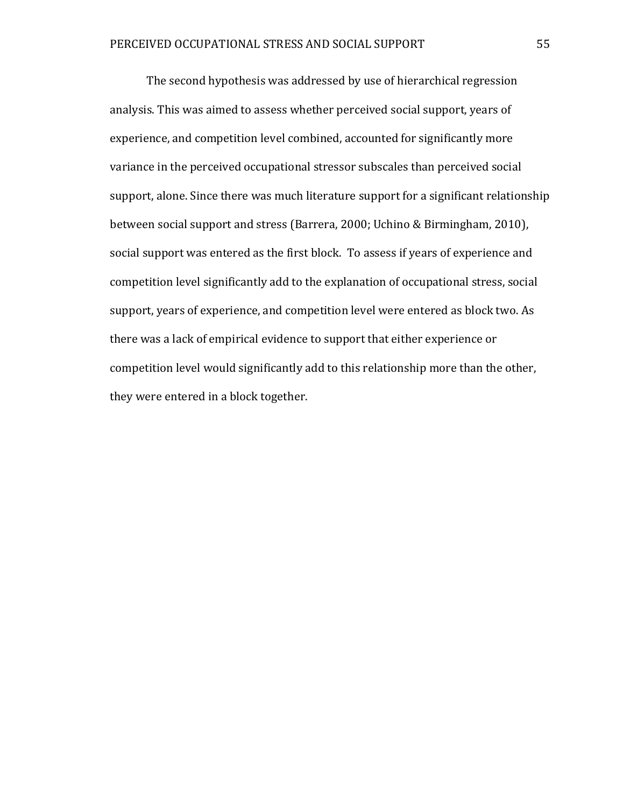The second hypothesis was addressed by use of hierarchical regression analysis. This was aimed to assess whether perceived social support, years of experience, and competition level combined, accounted for significantly more variance in the perceived occupational stressor subscales than perceived social support, alone. Since there was much literature support for a significant relationship between social support and stress (Barrera, 2000; Uchino & Birmingham, 2010), social support was entered as the first block. To assess if years of experience and competition level significantly add to the explanation of occupational stress, social support, years of experience, and competition level were entered as block two. As there was a lack of empirical evidence to support that either experience or competition level would significantly add to this relationship more than the other, they were entered in a block together.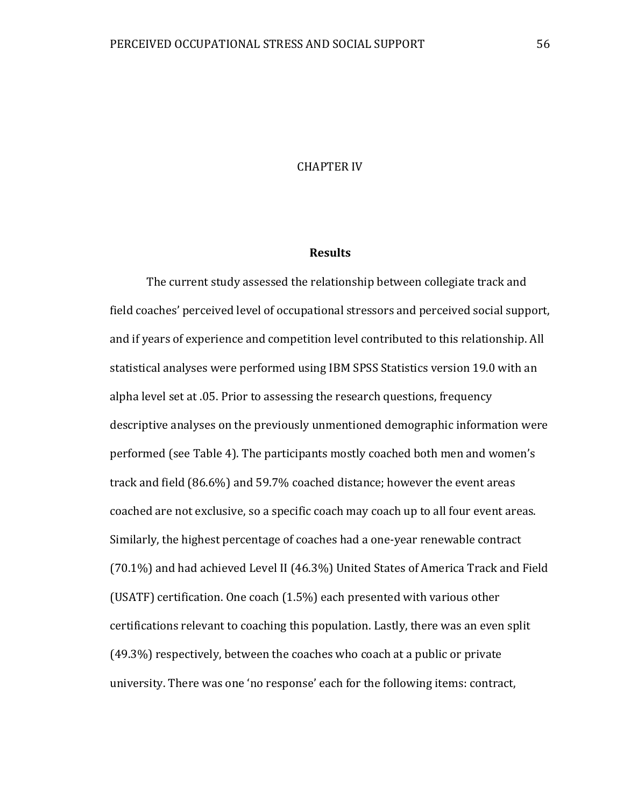## CHAPTER IV

## **Results**

The current study assessed the relationship between collegiate track and field coaches' perceived level of occupational stressors and perceived social support, and if years of experience and competition level contributed to this relationship. All statistical analyses were performed using IBM SPSS Statistics version 19.0 with an alpha level set at .05. Prior to assessing the research questions, frequency descriptive analyses on the previously unmentioned demographic information were performed (see Table 4). The participants mostly coached both men and women's track and field (86.6%) and 59.7% coached distance; however the event areas coached are not exclusive, so a specific coach may coach up to all four event areas. Similarly, the highest percentage of coaches had a one-year renewable contract (70.1%) and had achieved Level II (46.3%) United States of America Track and Field (USATF) certification. One coach (1.5%) each presented with various other certifications relevant to coaching this population. Lastly, there was an even split (49.3%) respectively, between the coaches who coach at a public or private university. There was one 'no response' each for the following items: contract,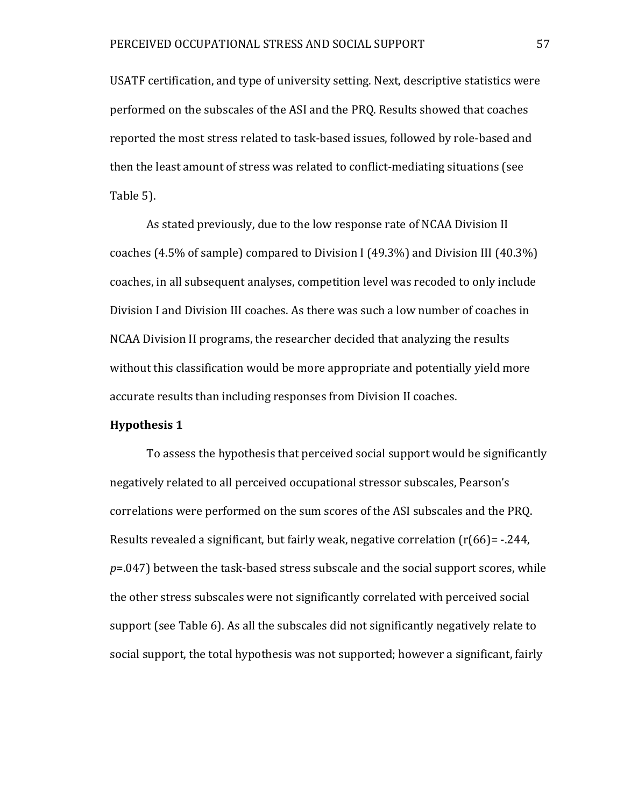USATF certification, and type of university setting. Next, descriptive statistics were performed on the subscales of the ASI and the PRQ. Results showed that coaches reported the most stress related to task-based issues, followed by role-based and then the least amount of stress was related to conflict-mediating situations (see Table 5).

As stated previously, due to the low response rate of NCAA Division II coaches (4.5% of sample) compared to Division I (49.3%) and Division III (40.3%) coaches, in all subsequent analyses, competition level was recoded to only include Division I and Division III coaches. As there was such a low number of coaches in NCAA Division II programs, the researcher decided that analyzing the results without this classification would be more appropriate and potentially yield more accurate results than including responses from Division II coaches.

#### **Hypothesis 1**

To assess the hypothesis that perceived social support would be significantly negatively related to all perceived occupational stressor subscales, Pearson's correlations were performed on the sum scores of the ASI subscales and the PRQ. Results revealed a significant, but fairly weak, negative correlation (r(66)= -.244, *p*=.047) between the task-based stress subscale and the social support scores, while the other stress subscales were not significantly correlated with perceived social support (see Table 6). As all the subscales did not significantly negatively relate to social support, the total hypothesis was not supported; however a significant, fairly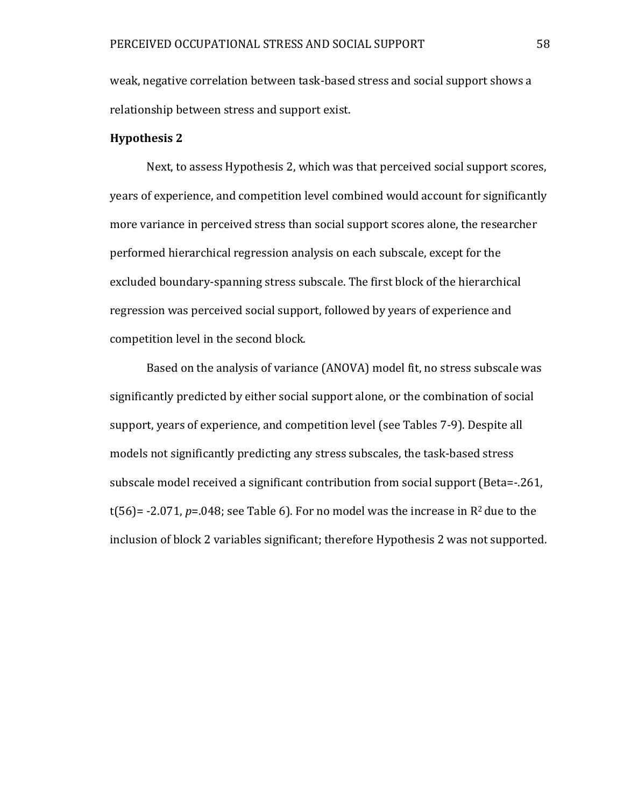weak, negative correlation between task-based stress and social support shows a relationship between stress and support exist.

# **Hypothesis 2**

Next, to assess Hypothesis 2, which was that perceived social support scores, years of experience, and competition level combined would account for significantly more variance in perceived stress than social support scores alone, the researcher performed hierarchical regression analysis on each subscale, except for the excluded boundary-spanning stress subscale. The first block of the hierarchical regression was perceived social support, followed by years of experience and competition level in the second block.

Based on the analysis of variance (ANOVA) model fit, no stress subscale was significantly predicted by either social support alone, or the combination of social support, years of experience, and competition level (see Tables 7-9). Despite all models not significantly predicting any stress subscales, the task-based stress subscale model received a significant contribution from social support (Beta=-.261, t(56)=  $-2.071$ ,  $p=.048$ ; see Table 6). For no model was the increase in  $\mathbb{R}^2$  due to the inclusion of block 2 variables significant; therefore Hypothesis 2 was not supported.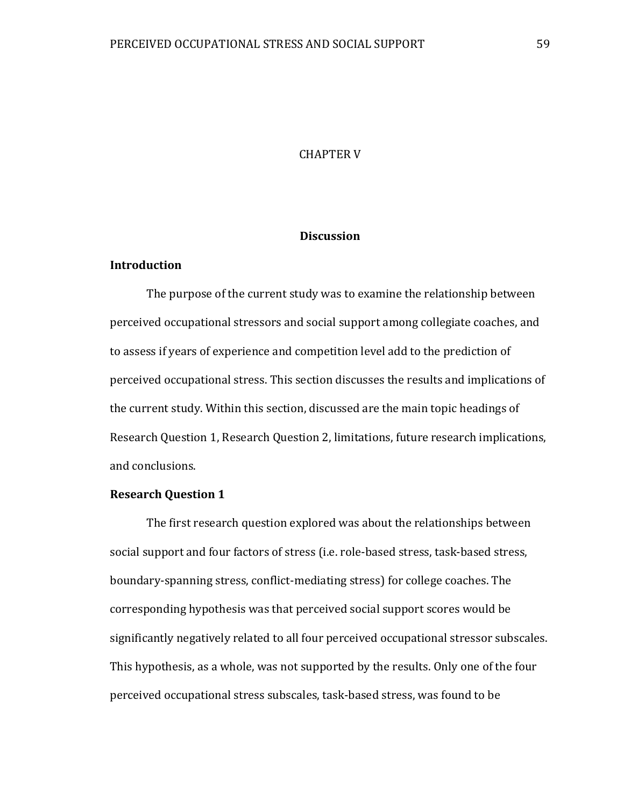## CHAPTER V

# **Discussion**

# **Introduction**

The purpose of the current study was to examine the relationship between perceived occupational stressors and social support among collegiate coaches, and to assess if years of experience and competition level add to the prediction of perceived occupational stress. This section discusses the results and implications of the current study. Within this section, discussed are the main topic headings of Research Question 1, Research Question 2, limitations, future research implications, and conclusions.

## **Research Question 1**

The first research question explored was about the relationships between social support and four factors of stress (i.e. role-based stress, task-based stress, boundary-spanning stress, conflict-mediating stress) for college coaches. The corresponding hypothesis was that perceived social support scores would be significantly negatively related to all four perceived occupational stressor subscales. This hypothesis, as a whole, was not supported by the results. Only one of the four perceived occupational stress subscales, task-based stress, was found to be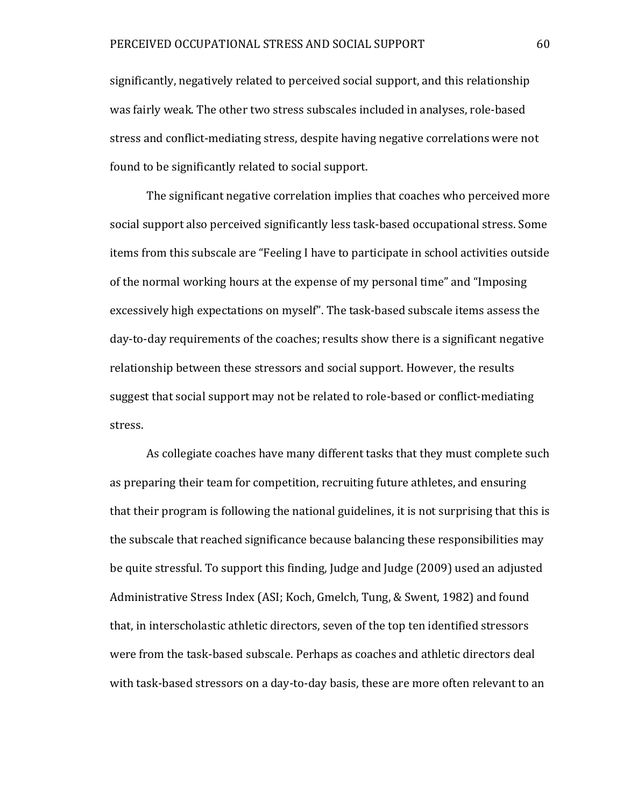significantly, negatively related to perceived social support, and this relationship was fairly weak. The other two stress subscales included in analyses, role-based stress and conflict-mediating stress, despite having negative correlations were not found to be significantly related to social support.

The significant negative correlation implies that coaches who perceived more social support also perceived significantly less task-based occupational stress. Some items from this subscale are "Feeling I have to participate in school activities outside of the normal working hours at the expense of my personal time" and "Imposing excessively high expectations on myself". The task-based subscale items assess the day-to-day requirements of the coaches; results show there is a significant negative relationship between these stressors and social support. However, the results suggest that social support may not be related to role-based or conflict-mediating stress.

As collegiate coaches have many different tasks that they must complete such as preparing their team for competition, recruiting future athletes, and ensuring that their program is following the national guidelines, it is not surprising that this is the subscale that reached significance because balancing these responsibilities may be quite stressful. To support this finding, Judge and Judge (2009) used an adjusted Administrative Stress Index (ASI; Koch, Gmelch, Tung, & Swent, 1982) and found that, in interscholastic athletic directors, seven of the top ten identified stressors were from the task-based subscale. Perhaps as coaches and athletic directors deal with task-based stressors on a day-to-day basis, these are more often relevant to an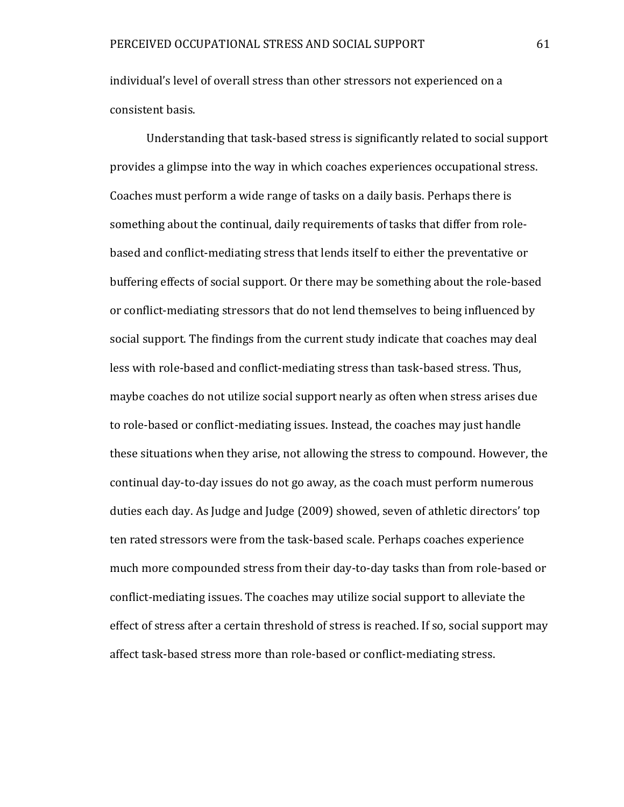individual's level of overall stress than other stressors not experienced on a consistent basis.

Understanding that task-based stress is significantly related to social support provides a glimpse into the way in which coaches experiences occupational stress. Coaches must perform a wide range of tasks on a daily basis. Perhaps there is something about the continual, daily requirements of tasks that differ from rolebased and conflict-mediating stress that lends itself to either the preventative or buffering effects of social support. Or there may be something about the role-based or conflict-mediating stressors that do not lend themselves to being influenced by social support. The findings from the current study indicate that coaches may deal less with role-based and conflict-mediating stress than task-based stress. Thus, maybe coaches do not utilize social support nearly as often when stress arises due to role-based or conflict-mediating issues. Instead, the coaches may just handle these situations when they arise, not allowing the stress to compound. However, the continual day-to-day issues do not go away, as the coach must perform numerous duties each day. As Judge and Judge (2009) showed, seven of athletic directors' top ten rated stressors were from the task-based scale. Perhaps coaches experience much more compounded stress from their day-to-day tasks than from role-based or conflict-mediating issues. The coaches may utilize social support to alleviate the effect of stress after a certain threshold of stress is reached. If so, social support may affect task-based stress more than role-based or conflict-mediating stress.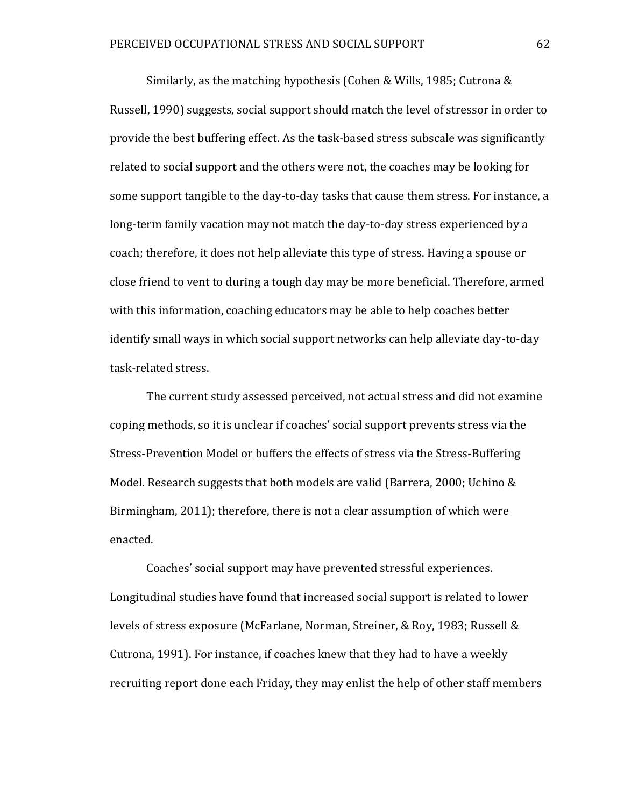Similarly, as the matching hypothesis (Cohen & Wills, 1985; Cutrona & Russell, 1990) suggests, social support should match the level of stressor in order to provide the best buffering effect. As the task-based stress subscale was significantly related to social support and the others were not, the coaches may be looking for some support tangible to the day-to-day tasks that cause them stress. For instance, a long-term family vacation may not match the day-to-day stress experienced by a coach; therefore, it does not help alleviate this type of stress. Having a spouse or close friend to vent to during a tough day may be more beneficial. Therefore, armed with this information, coaching educators may be able to help coaches better identify small ways in which social support networks can help alleviate day-to-day task-related stress.

The current study assessed perceived, not actual stress and did not examine coping methods, so it is unclear if coaches' social support prevents stress via the Stress-Prevention Model or buffers the effects of stress via the Stress-Buffering Model. Research suggests that both models are valid (Barrera, 2000; Uchino & Birmingham, 2011); therefore, there is not a clear assumption of which were enacted.

Coaches' social support may have prevented stressful experiences. Longitudinal studies have found that increased social support is related to lower levels of stress exposure (McFarlane, Norman, Streiner, & Roy, 1983; Russell & Cutrona, 1991). For instance, if coaches knew that they had to have a weekly recruiting report done each Friday, they may enlist the help of other staff members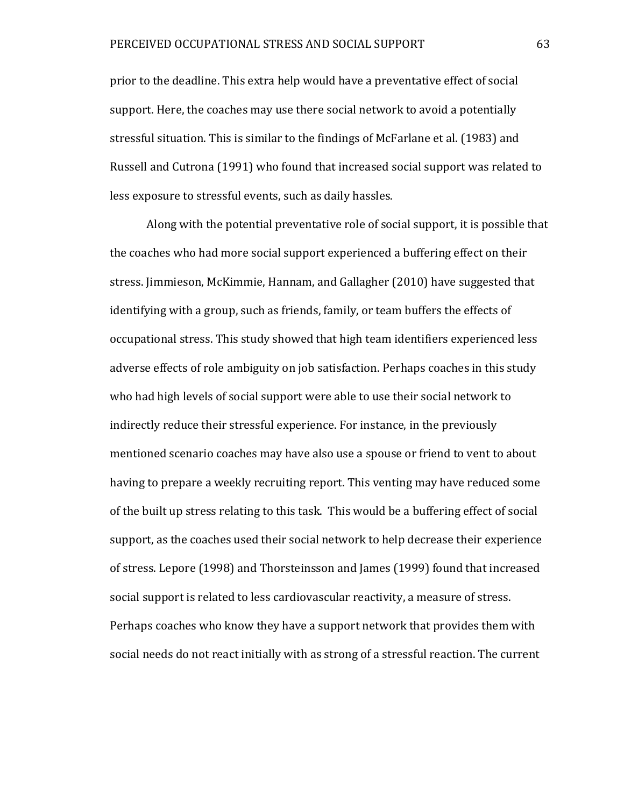prior to the deadline. This extra help would have a preventative effect of social support. Here, the coaches may use there social network to avoid a potentially stressful situation. This is similar to the findings of McFarlane et al. (1983) and Russell and Cutrona (1991) who found that increased social support was related to less exposure to stressful events, such as daily hassles.

Along with the potential preventative role of social support, it is possible that the coaches who had more social support experienced a buffering effect on their stress. Jimmieson, McKimmie, Hannam, and Gallagher (2010) have suggested that identifying with a group, such as friends, family, or team buffers the effects of occupational stress. This study showed that high team identifiers experienced less adverse effects of role ambiguity on job satisfaction. Perhaps coaches in this study who had high levels of social support were able to use their social network to indirectly reduce their stressful experience. For instance, in the previously mentioned scenario coaches may have also use a spouse or friend to vent to about having to prepare a weekly recruiting report. This venting may have reduced some of the built up stress relating to this task. This would be a buffering effect of social support, as the coaches used their social network to help decrease their experience of stress. Lepore (1998) and Thorsteinsson and James (1999) found that increased social support is related to less cardiovascular reactivity, a measure of stress. Perhaps coaches who know they have a support network that provides them with social needs do not react initially with as strong of a stressful reaction. The current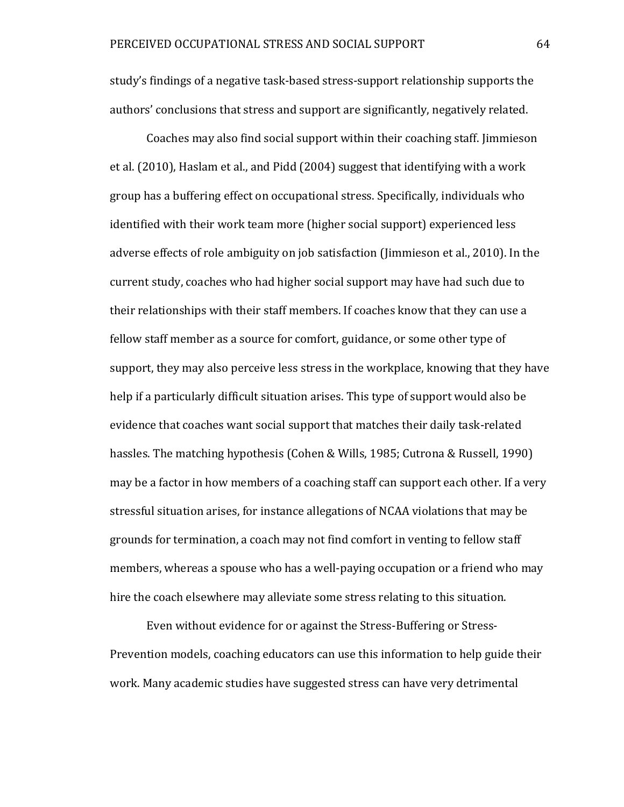study's findings of a negative task-based stress-support relationship supports the authors' conclusions that stress and support are significantly, negatively related.

Coaches may also find social support within their coaching staff. Jimmieson et al. (2010), Haslam et al., and Pidd (2004) suggest that identifying with a work group has a buffering effect on occupational stress. Specifically, individuals who identified with their work team more (higher social support) experienced less adverse effects of role ambiguity on job satisfaction (Jimmieson et al., 2010). In the current study, coaches who had higher social support may have had such due to their relationships with their staff members. If coaches know that they can use a fellow staff member as a source for comfort, guidance, or some other type of support, they may also perceive less stress in the workplace, knowing that they have help if a particularly difficult situation arises. This type of support would also be evidence that coaches want social support that matches their daily task-related hassles. The matching hypothesis (Cohen & Wills, 1985; Cutrona & Russell, 1990) may be a factor in how members of a coaching staff can support each other. If a very stressful situation arises, for instance allegations of NCAA violations that may be grounds for termination, a coach may not find comfort in venting to fellow staff members, whereas a spouse who has a well-paying occupation or a friend who may hire the coach elsewhere may alleviate some stress relating to this situation.

Even without evidence for or against the Stress-Buffering or Stress-Prevention models, coaching educators can use this information to help guide their work. Many academic studies have suggested stress can have very detrimental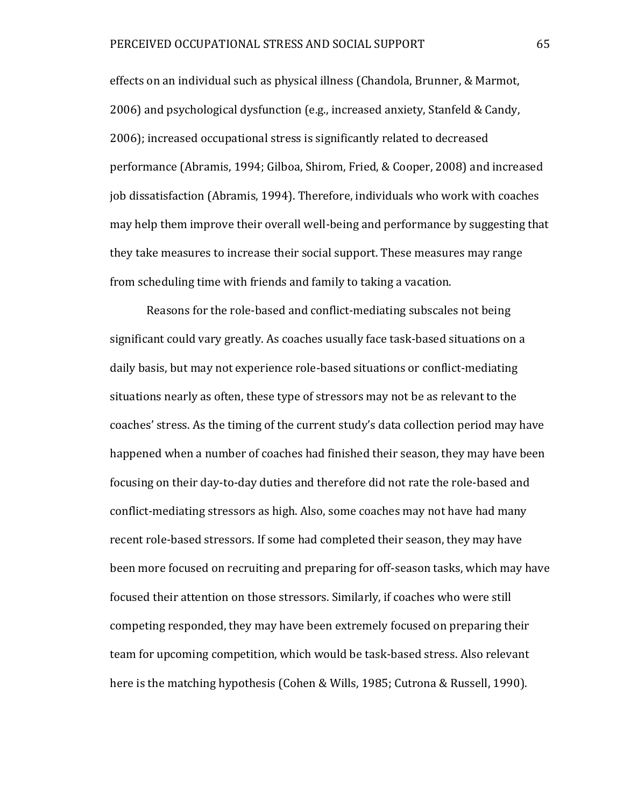effects on an individual such as physical illness (Chandola, Brunner, & Marmot, 2006) and psychological dysfunction (e.g., increased anxiety, Stanfeld & Candy, 2006); increased occupational stress is significantly related to decreased performance (Abramis, 1994; Gilboa, Shirom, Fried, & Cooper, 2008) and increased job dissatisfaction (Abramis, 1994). Therefore, individuals who work with coaches may help them improve their overall well-being and performance by suggesting that they take measures to increase their social support. These measures may range from scheduling time with friends and family to taking a vacation.

Reasons for the role-based and conflict-mediating subscales not being significant could vary greatly. As coaches usually face task-based situations on a daily basis, but may not experience role-based situations or conflict-mediating situations nearly as often, these type of stressors may not be as relevant to the coaches' stress. As the timing of the current study's data collection period may have happened when a number of coaches had finished their season, they may have been focusing on their day-to-day duties and therefore did not rate the role-based and conflict-mediating stressors as high. Also, some coaches may not have had many recent role-based stressors. If some had completed their season, they may have been more focused on recruiting and preparing for off-season tasks, which may have focused their attention on those stressors. Similarly, if coaches who were still competing responded, they may have been extremely focused on preparing their team for upcoming competition, which would be task-based stress. Also relevant here is the matching hypothesis (Cohen & Wills, 1985; Cutrona & Russell, 1990).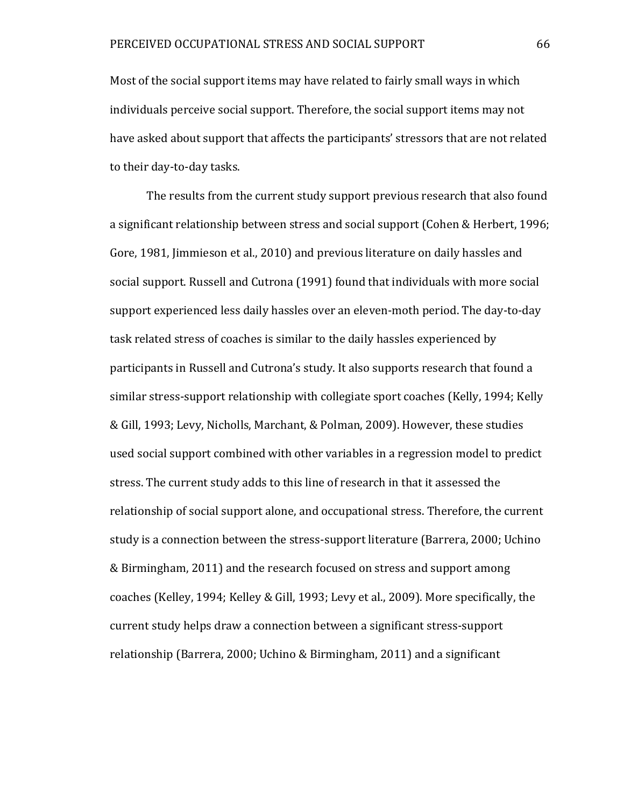Most of the social support items may have related to fairly small ways in which individuals perceive social support. Therefore, the social support items may not have asked about support that affects the participants' stressors that are not related to their day-to-day tasks.

The results from the current study support previous research that also found a significant relationship between stress and social support (Cohen & Herbert, 1996; Gore, 1981, Jimmieson et al., 2010) and previous literature on daily hassles and social support. Russell and Cutrona (1991) found that individuals with more social support experienced less daily hassles over an eleven-moth period. The day-to-day task related stress of coaches is similar to the daily hassles experienced by participants in Russell and Cutrona's study. It also supports research that found a similar stress-support relationship with collegiate sport coaches (Kelly, 1994; Kelly & Gill, 1993; Levy, Nicholls, Marchant, & Polman, 2009). However, these studies used social support combined with other variables in a regression model to predict stress. The current study adds to this line of research in that it assessed the relationship of social support alone, and occupational stress. Therefore, the current study is a connection between the stress-support literature (Barrera, 2000; Uchino & Birmingham, 2011) and the research focused on stress and support among coaches (Kelley, 1994; Kelley & Gill, 1993; Levy et al., 2009). More specifically, the current study helps draw a connection between a significant stress-support relationship (Barrera, 2000; Uchino & Birmingham, 2011) and a significant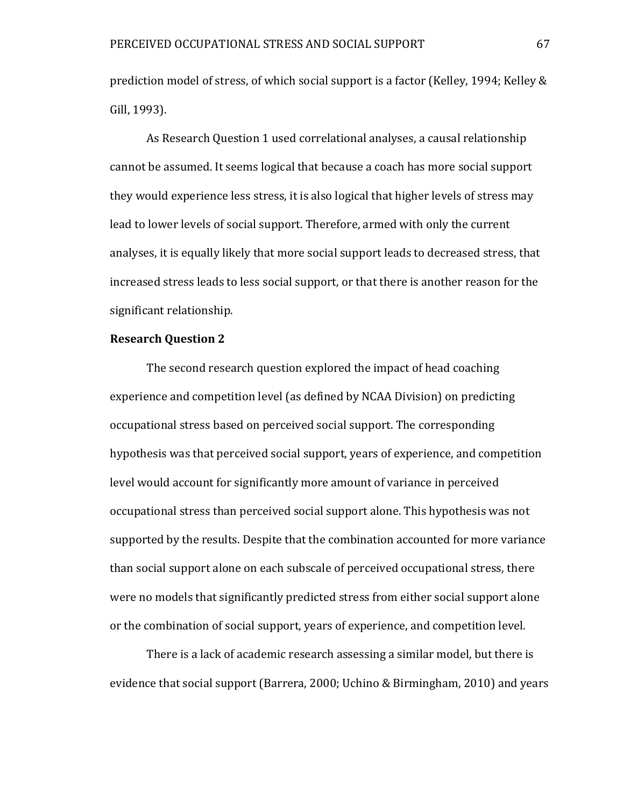prediction model of stress, of which social support is a factor (Kelley, 1994; Kelley & Gill, 1993).

As Research Question 1 used correlational analyses, a causal relationship cannot be assumed. It seems logical that because a coach has more social support they would experience less stress, it is also logical that higher levels of stress may lead to lower levels of social support. Therefore, armed with only the current analyses, it is equally likely that more social support leads to decreased stress, that increased stress leads to less social support, or that there is another reason for the significant relationship.

# **Research Question 2**

The second research question explored the impact of head coaching experience and competition level (as defined by NCAA Division) on predicting occupational stress based on perceived social support. The corresponding hypothesis was that perceived social support, years of experience, and competition level would account for significantly more amount of variance in perceived occupational stress than perceived social support alone. This hypothesis was not supported by the results. Despite that the combination accounted for more variance than social support alone on each subscale of perceived occupational stress, there were no models that significantly predicted stress from either social support alone or the combination of social support, years of experience, and competition level.

There is a lack of academic research assessing a similar model, but there is evidence that social support (Barrera, 2000; Uchino & Birmingham, 2010) and years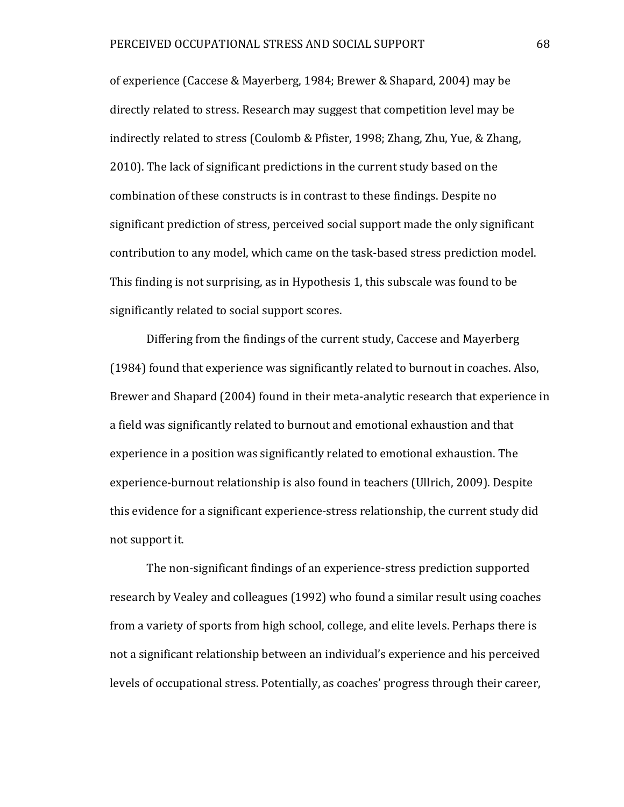of experience (Caccese & Mayerberg, 1984; Brewer & Shapard, 2004) may be directly related to stress. Research may suggest that competition level may be indirectly related to stress (Coulomb & Pfister, 1998; Zhang, Zhu, Yue, & Zhang, 2010). The lack of significant predictions in the current study based on the combination of these constructs is in contrast to these findings. Despite no significant prediction of stress, perceived social support made the only significant contribution to any model, which came on the task-based stress prediction model. This finding is not surprising, as in Hypothesis 1, this subscale was found to be significantly related to social support scores.

Differing from the findings of the current study, Caccese and Mayerberg (1984) found that experience was significantly related to burnout in coaches. Also, Brewer and Shapard (2004) found in their meta-analytic research that experience in a field was significantly related to burnout and emotional exhaustion and that experience in a position was significantly related to emotional exhaustion. The experience-burnout relationship is also found in teachers (Ullrich, 2009). Despite this evidence for a significant experience-stress relationship, the current study did not support it.

The non-significant findings of an experience-stress prediction supported research by Vealey and colleagues (1992) who found a similar result using coaches from a variety of sports from high school, college, and elite levels. Perhaps there is not a significant relationship between an individual's experience and his perceived levels of occupational stress. Potentially, as coaches' progress through their career,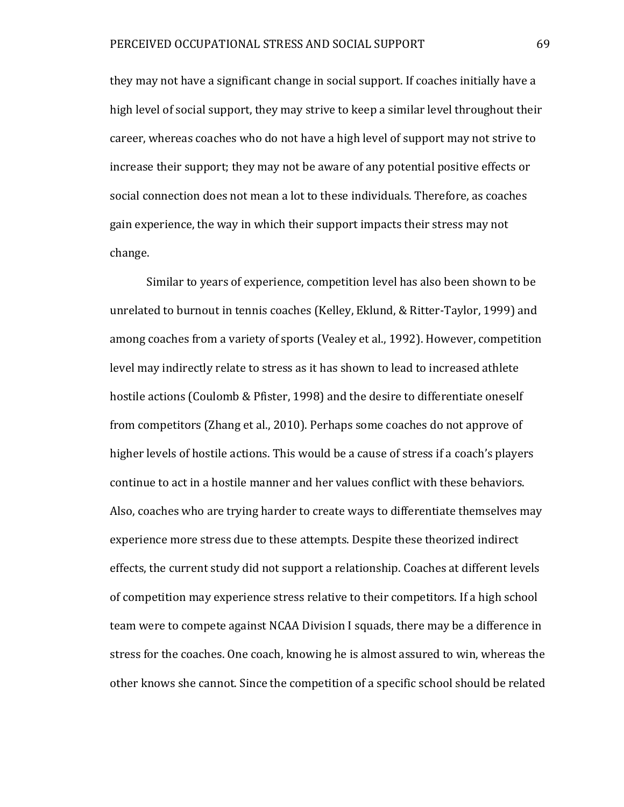they may not have a significant change in social support. If coaches initially have a high level of social support, they may strive to keep a similar level throughout their career, whereas coaches who do not have a high level of support may not strive to increase their support; they may not be aware of any potential positive effects or social connection does not mean a lot to these individuals. Therefore, as coaches gain experience, the way in which their support impacts their stress may not change.

Similar to years of experience, competition level has also been shown to be unrelated to burnout in tennis coaches (Kelley, Eklund, & Ritter-Taylor, 1999) and among coaches from a variety of sports (Vealey et al., 1992). However, competition level may indirectly relate to stress as it has shown to lead to increased athlete hostile actions (Coulomb & Pfister, 1998) and the desire to differentiate oneself from competitors (Zhang et al., 2010). Perhaps some coaches do not approve of higher levels of hostile actions. This would be a cause of stress if a coach's players continue to act in a hostile manner and her values conflict with these behaviors. Also, coaches who are trying harder to create ways to differentiate themselves may experience more stress due to these attempts. Despite these theorized indirect effects, the current study did not support a relationship. Coaches at different levels of competition may experience stress relative to their competitors. If a high school team were to compete against NCAA Division I squads, there may be a difference in stress for the coaches. One coach, knowing he is almost assured to win, whereas the other knows she cannot. Since the competition of a specific school should be related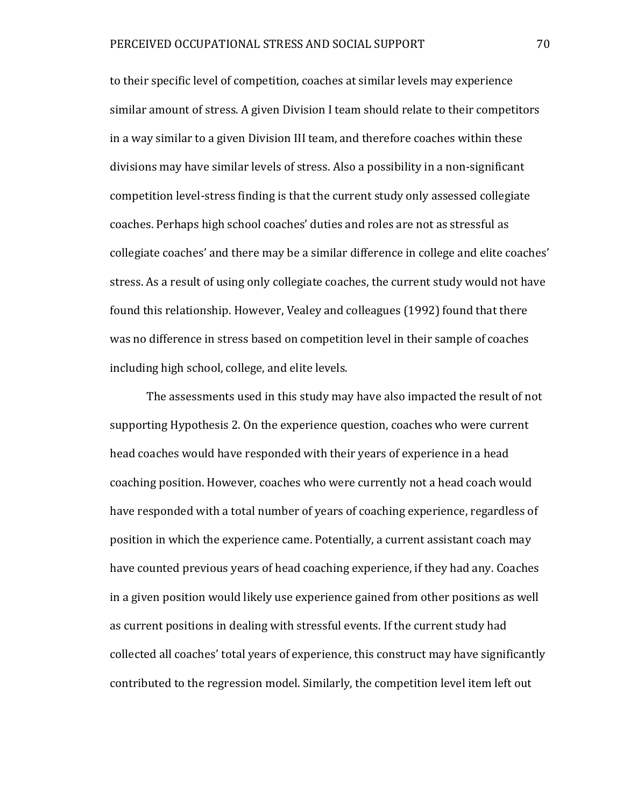to their specific level of competition, coaches at similar levels may experience similar amount of stress. A given Division I team should relate to their competitors in a way similar to a given Division III team, and therefore coaches within these divisions may have similar levels of stress. Also a possibility in a non-significant competition level-stress finding is that the current study only assessed collegiate coaches. Perhaps high school coaches' duties and roles are not as stressful as collegiate coaches' and there may be a similar difference in college and elite coaches' stress. As a result of using only collegiate coaches, the current study would not have found this relationship. However, Vealey and colleagues (1992) found that there was no difference in stress based on competition level in their sample of coaches including high school, college, and elite levels.

The assessments used in this study may have also impacted the result of not supporting Hypothesis 2. On the experience question, coaches who were current head coaches would have responded with their years of experience in a head coaching position. However, coaches who were currently not a head coach would have responded with a total number of years of coaching experience, regardless of position in which the experience came. Potentially, a current assistant coach may have counted previous years of head coaching experience, if they had any. Coaches in a given position would likely use experience gained from other positions as well as current positions in dealing with stressful events. If the current study had collected all coaches' total years of experience, this construct may have significantly contributed to the regression model. Similarly, the competition level item left out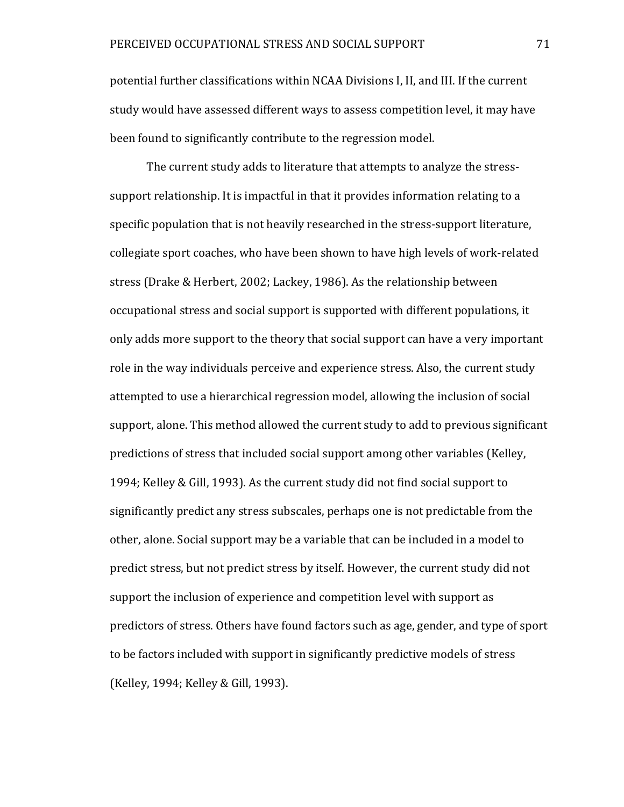potential further classifications within NCAA Divisions I, II, and III. If the current study would have assessed different ways to assess competition level, it may have been found to significantly contribute to the regression model.

The current study adds to literature that attempts to analyze the stresssupport relationship. It is impactful in that it provides information relating to a specific population that is not heavily researched in the stress-support literature, collegiate sport coaches, who have been shown to have high levels of work-related stress (Drake & Herbert, 2002; Lackey, 1986). As the relationship between occupational stress and social support is supported with different populations, it only adds more support to the theory that social support can have a very important role in the way individuals perceive and experience stress. Also, the current study attempted to use a hierarchical regression model, allowing the inclusion of social support, alone. This method allowed the current study to add to previous significant predictions of stress that included social support among other variables (Kelley, 1994; Kelley & Gill, 1993). As the current study did not find social support to significantly predict any stress subscales, perhaps one is not predictable from the other, alone. Social support may be a variable that can be included in a model to predict stress, but not predict stress by itself. However, the current study did not support the inclusion of experience and competition level with support as predictors of stress. Others have found factors such as age, gender, and type of sport to be factors included with support in significantly predictive models of stress (Kelley, 1994; Kelley & Gill, 1993).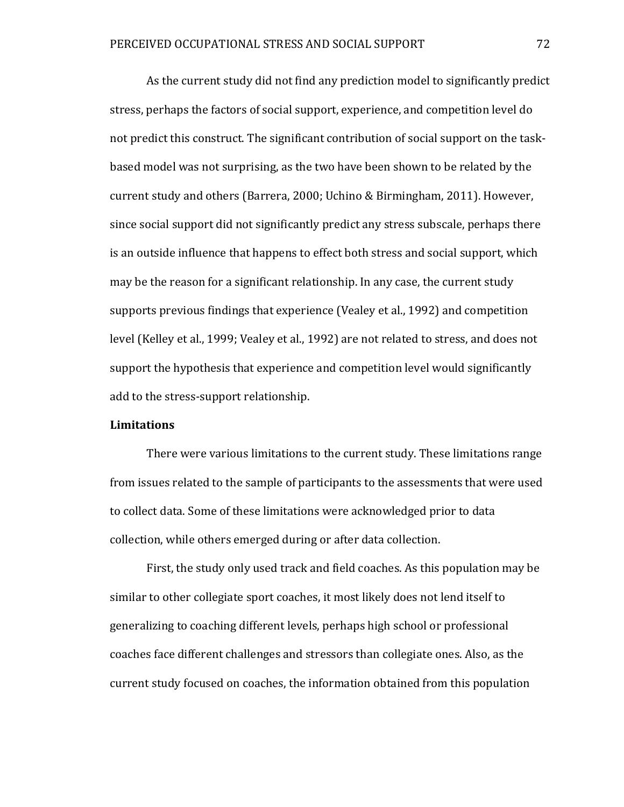As the current study did not find any prediction model to significantly predict stress, perhaps the factors of social support, experience, and competition level do not predict this construct. The significant contribution of social support on the taskbased model was not surprising, as the two have been shown to be related by the current study and others (Barrera, 2000; Uchino & Birmingham, 2011). However, since social support did not significantly predict any stress subscale, perhaps there is an outside influence that happens to effect both stress and social support, which may be the reason for a significant relationship. In any case, the current study supports previous findings that experience (Vealey et al., 1992) and competition level (Kelley et al., 1999; Vealey et al., 1992) are not related to stress, and does not support the hypothesis that experience and competition level would significantly add to the stress-support relationship.

#### **Limitations**

There were various limitations to the current study. These limitations range from issues related to the sample of participants to the assessments that were used to collect data. Some of these limitations were acknowledged prior to data collection, while others emerged during or after data collection.

First, the study only used track and field coaches. As this population may be similar to other collegiate sport coaches, it most likely does not lend itself to generalizing to coaching different levels, perhaps high school or professional coaches face different challenges and stressors than collegiate ones. Also, as the current study focused on coaches, the information obtained from this population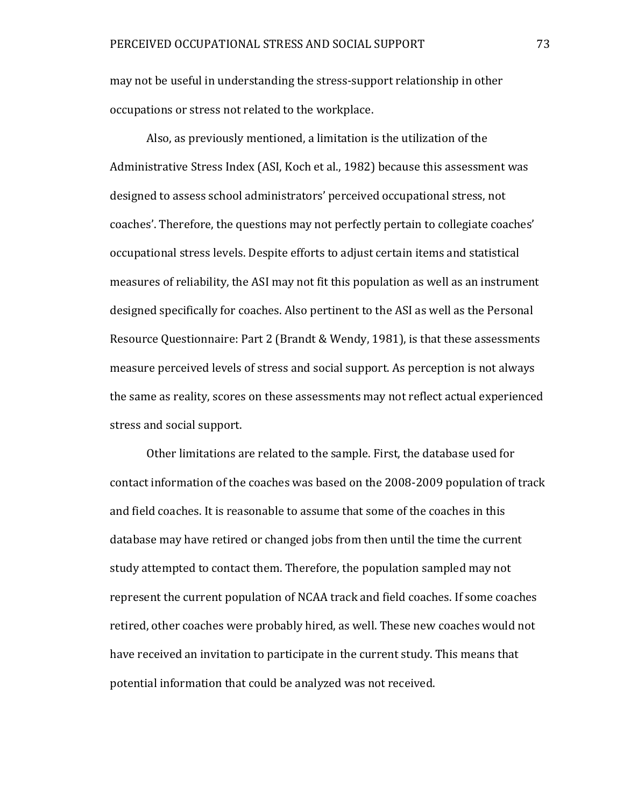may not be useful in understanding the stress-support relationship in other occupations or stress not related to the workplace.

Also, as previously mentioned, a limitation is the utilization of the Administrative Stress Index (ASI, Koch et al., 1982) because this assessment was designed to assess school administrators' perceived occupational stress, not coaches'. Therefore, the questions may not perfectly pertain to collegiate coaches' occupational stress levels. Despite efforts to adjust certain items and statistical measures of reliability, the ASI may not fit this population as well as an instrument designed specifically for coaches. Also pertinent to the ASI as well as the Personal Resource Questionnaire: Part 2 (Brandt & Wendy, 1981), is that these assessments measure perceived levels of stress and social support. As perception is not always the same as reality, scores on these assessments may not reflect actual experienced stress and social support.

Other limitations are related to the sample. First, the database used for contact information of the coaches was based on the 2008-2009 population of track and field coaches. It is reasonable to assume that some of the coaches in this database may have retired or changed jobs from then until the time the current study attempted to contact them. Therefore, the population sampled may not represent the current population of NCAA track and field coaches. If some coaches retired, other coaches were probably hired, as well. These new coaches would not have received an invitation to participate in the current study. This means that potential information that could be analyzed was not received.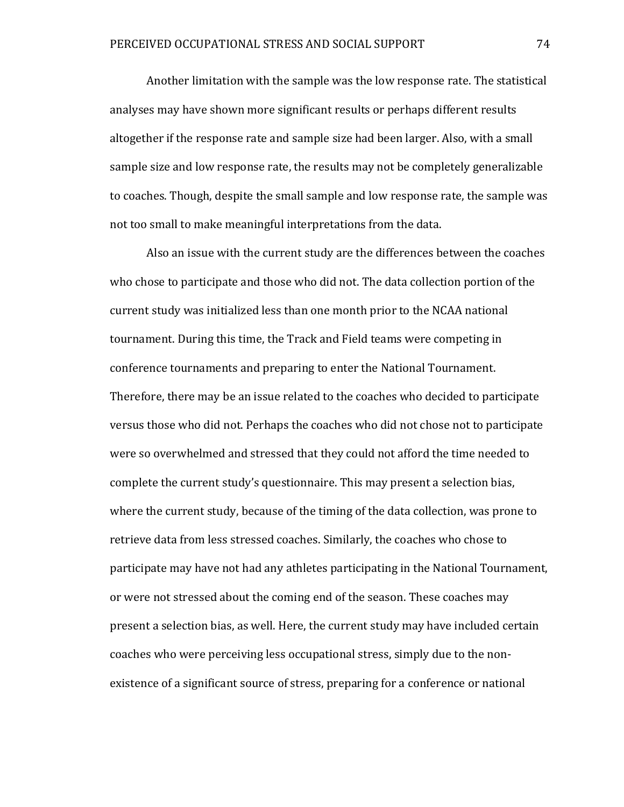Another limitation with the sample was the low response rate. The statistical analyses may have shown more significant results or perhaps different results altogether if the response rate and sample size had been larger. Also, with a small sample size and low response rate, the results may not be completely generalizable to coaches. Though, despite the small sample and low response rate, the sample was not too small to make meaningful interpretations from the data.

Also an issue with the current study are the differences between the coaches who chose to participate and those who did not. The data collection portion of the current study was initialized less than one month prior to the NCAA national tournament. During this time, the Track and Field teams were competing in conference tournaments and preparing to enter the National Tournament. Therefore, there may be an issue related to the coaches who decided to participate versus those who did not. Perhaps the coaches who did not chose not to participate were so overwhelmed and stressed that they could not afford the time needed to complete the current study's questionnaire. This may present a selection bias, where the current study, because of the timing of the data collection, was prone to retrieve data from less stressed coaches. Similarly, the coaches who chose to participate may have not had any athletes participating in the National Tournament, or were not stressed about the coming end of the season. These coaches may present a selection bias, as well. Here, the current study may have included certain coaches who were perceiving less occupational stress, simply due to the nonexistence of a significant source of stress, preparing for a conference or national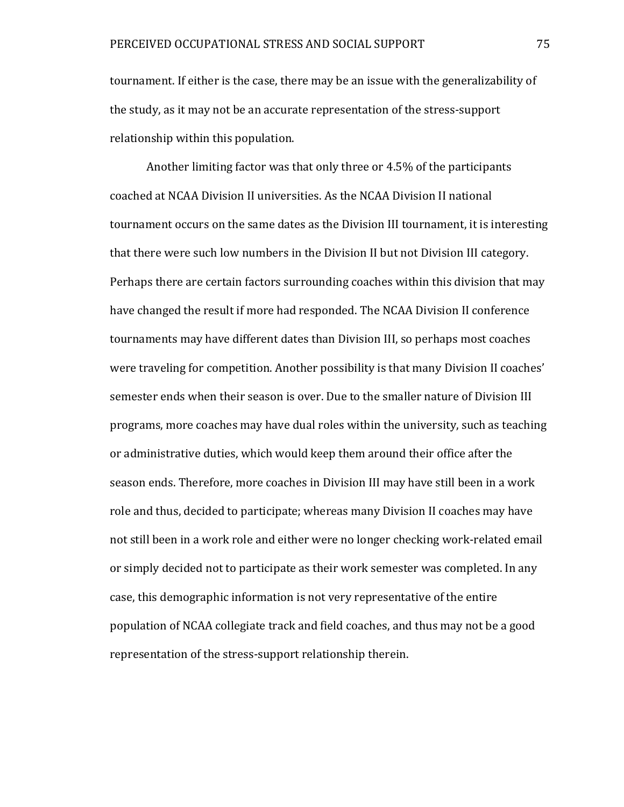tournament. If either is the case, there may be an issue with the generalizability of the study, as it may not be an accurate representation of the stress-support relationship within this population.

Another limiting factor was that only three or 4.5% of the participants coached at NCAA Division II universities. As the NCAA Division II national tournament occurs on the same dates as the Division III tournament, it is interesting that there were such low numbers in the Division II but not Division III category. Perhaps there are certain factors surrounding coaches within this division that may have changed the result if more had responded. The NCAA Division II conference tournaments may have different dates than Division III, so perhaps most coaches were traveling for competition. Another possibility is that many Division II coaches' semester ends when their season is over. Due to the smaller nature of Division III programs, more coaches may have dual roles within the university, such as teaching or administrative duties, which would keep them around their office after the season ends. Therefore, more coaches in Division III may have still been in a work role and thus, decided to participate; whereas many Division II coaches may have not still been in a work role and either were no longer checking work-related email or simply decided not to participate as their work semester was completed. In any case, this demographic information is not very representative of the entire population of NCAA collegiate track and field coaches, and thus may not be a good representation of the stress-support relationship therein.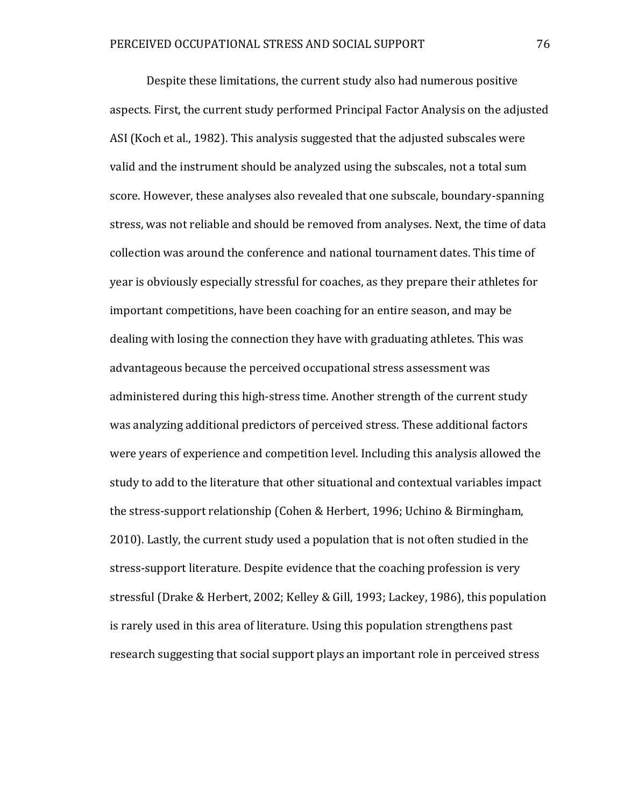Despite these limitations, the current study also had numerous positive aspects. First, the current study performed Principal Factor Analysis on the adjusted ASI (Koch et al., 1982). This analysis suggested that the adjusted subscales were valid and the instrument should be analyzed using the subscales, not a total sum score. However, these analyses also revealed that one subscale, boundary-spanning stress, was not reliable and should be removed from analyses. Next, the time of data collection was around the conference and national tournament dates. This time of year is obviously especially stressful for coaches, as they prepare their athletes for important competitions, have been coaching for an entire season, and may be dealing with losing the connection they have with graduating athletes. This was advantageous because the perceived occupational stress assessment was administered during this high-stress time. Another strength of the current study was analyzing additional predictors of perceived stress. These additional factors were years of experience and competition level. Including this analysis allowed the study to add to the literature that other situational and contextual variables impact the stress-support relationship (Cohen & Herbert, 1996; Uchino & Birmingham, 2010). Lastly, the current study used a population that is not often studied in the stress-support literature. Despite evidence that the coaching profession is very stressful (Drake & Herbert, 2002; Kelley & Gill, 1993; Lackey, 1986), this population is rarely used in this area of literature. Using this population strengthens past research suggesting that social support plays an important role in perceived stress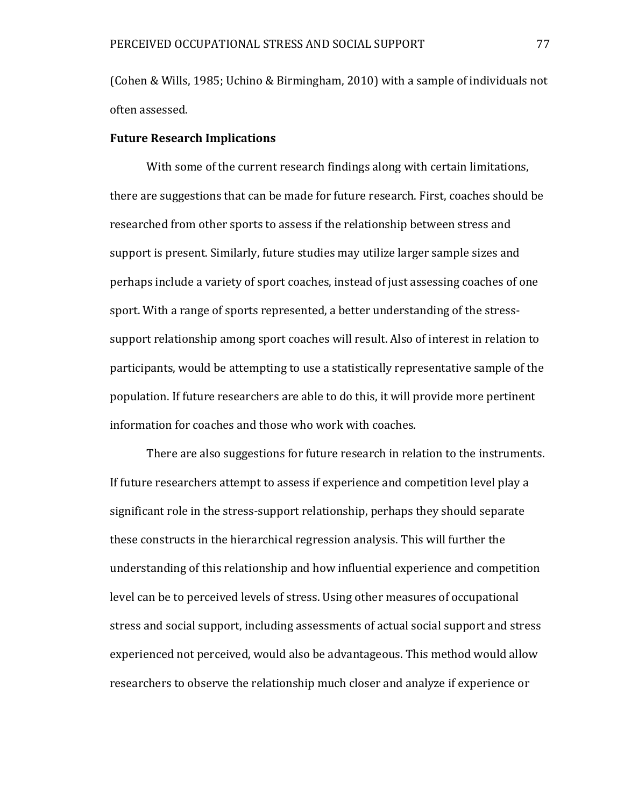(Cohen & Wills, 1985; Uchino & Birmingham, 2010) with a sample of individuals not often assessed.

#### **Future Research Implications**

With some of the current research findings along with certain limitations, there are suggestions that can be made for future research. First, coaches should be researched from other sports to assess if the relationship between stress and support is present. Similarly, future studies may utilize larger sample sizes and perhaps include a variety of sport coaches, instead of just assessing coaches of one sport. With a range of sports represented, a better understanding of the stresssupport relationship among sport coaches will result. Also of interest in relation to participants, would be attempting to use a statistically representative sample of the population. If future researchers are able to do this, it will provide more pertinent information for coaches and those who work with coaches.

There are also suggestions for future research in relation to the instruments. If future researchers attempt to assess if experience and competition level play a significant role in the stress-support relationship, perhaps they should separate these constructs in the hierarchical regression analysis. This will further the understanding of this relationship and how influential experience and competition level can be to perceived levels of stress. Using other measures of occupational stress and social support, including assessments of actual social support and stress experienced not perceived, would also be advantageous. This method would allow researchers to observe the relationship much closer and analyze if experience or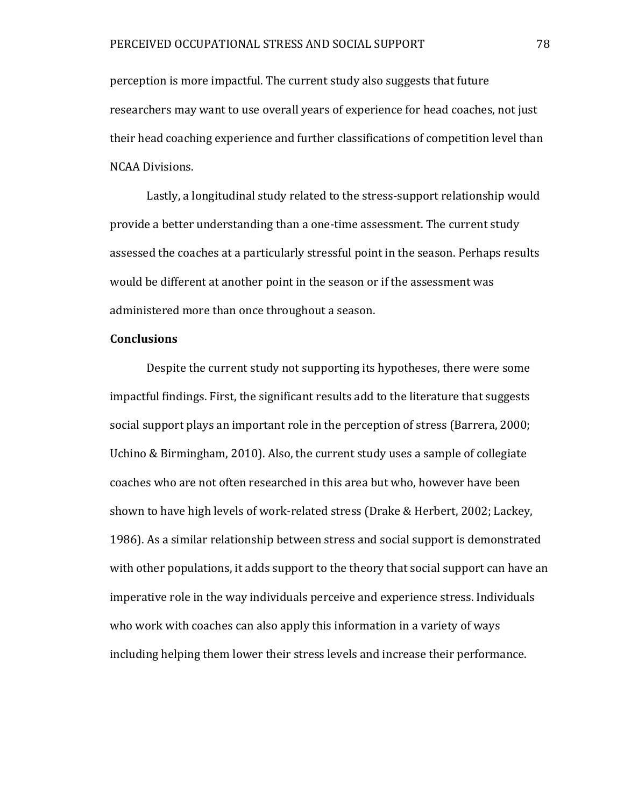perception is more impactful. The current study also suggests that future researchers may want to use overall years of experience for head coaches, not just their head coaching experience and further classifications of competition level than NCAA Divisions.

Lastly, a longitudinal study related to the stress-support relationship would provide a better understanding than a one-time assessment. The current study assessed the coaches at a particularly stressful point in the season. Perhaps results would be different at another point in the season or if the assessment was administered more than once throughout a season.

#### **Conclusions**

Despite the current study not supporting its hypotheses, there were some impactful findings. First, the significant results add to the literature that suggests social support plays an important role in the perception of stress (Barrera, 2000; Uchino & Birmingham, 2010). Also, the current study uses a sample of collegiate coaches who are not often researched in this area but who, however have been shown to have high levels of work-related stress (Drake & Herbert, 2002; Lackey, 1986). As a similar relationship between stress and social support is demonstrated with other populations, it adds support to the theory that social support can have an imperative role in the way individuals perceive and experience stress. Individuals who work with coaches can also apply this information in a variety of ways including helping them lower their stress levels and increase their performance.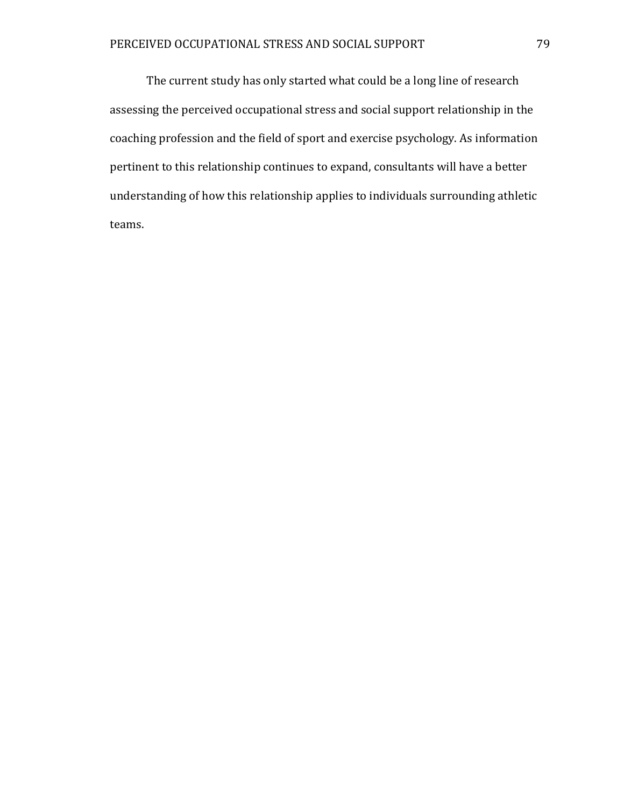The current study has only started what could be a long line of research assessing the perceived occupational stress and social support relationship in the coaching profession and the field of sport and exercise psychology. As information pertinent to this relationship continues to expand, consultants will have a better understanding of how this relationship applies to individuals surrounding athletic teams.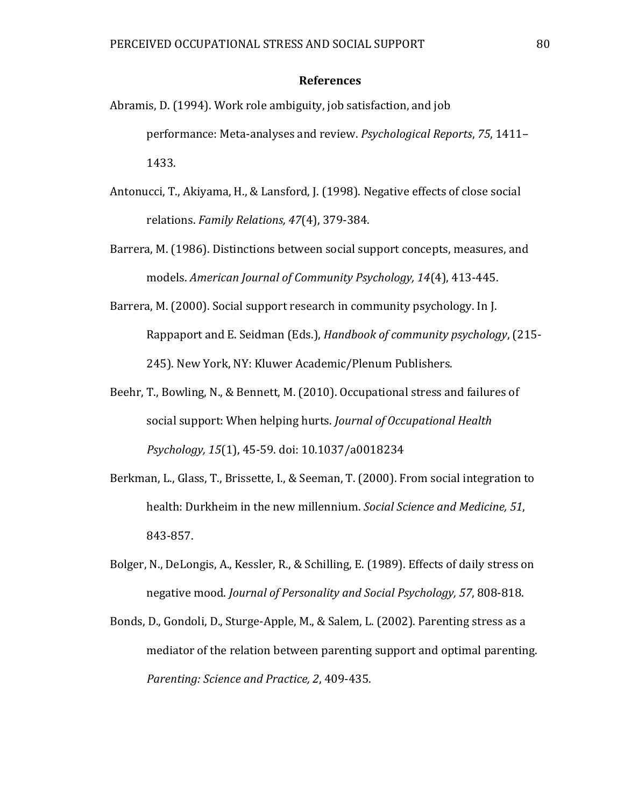#### **References**

- Abramis, D. (1994). Work role ambiguity, job satisfaction, and job performance: Meta-analyses and review. *Psychological Reports*, *75*, 1411– 1433.
- Antonucci, T., Akiyama, H., & Lansford, J. (1998). Negative effects of close social relations. *Family Relations, 47*(4), 379-384.
- Barrera, M. (1986). Distinctions between social support concepts, measures, and models. *American Journal of Community Psychology, 14*(4), 413-445.
- Barrera, M. (2000). Social support research in community psychology. In J. Rappaport and E. Seidman (Eds.), *Handbook of community psychology*, (215- 245). New York, NY: Kluwer Academic/Plenum Publishers.
- Beehr, T., Bowling, N., & Bennett, M. (2010). Occupational stress and failures of social support: When helping hurts. *Journal of Occupational Health Psychology, 15*(1), 45-59. doi: 10.1037/a0018234
- Berkman, L., Glass, T., Brissette, I., & Seeman, T. (2000). From social integration to health: Durkheim in the new millennium. *Social Science and Medicine, 51*, 843-857.
- Bolger, N., DeLongis, A., Kessler, R., & Schilling, E. (1989). Effects of daily stress on negative mood. *Journal of Personality and Social Psychology, 57*, 808-818.
- Bonds, D., Gondoli, D., Sturge-Apple, M., & Salem, L. (2002). Parenting stress as a mediator of the relation between parenting support and optimal parenting. *Parenting: Science and Practice, 2*, 409-435.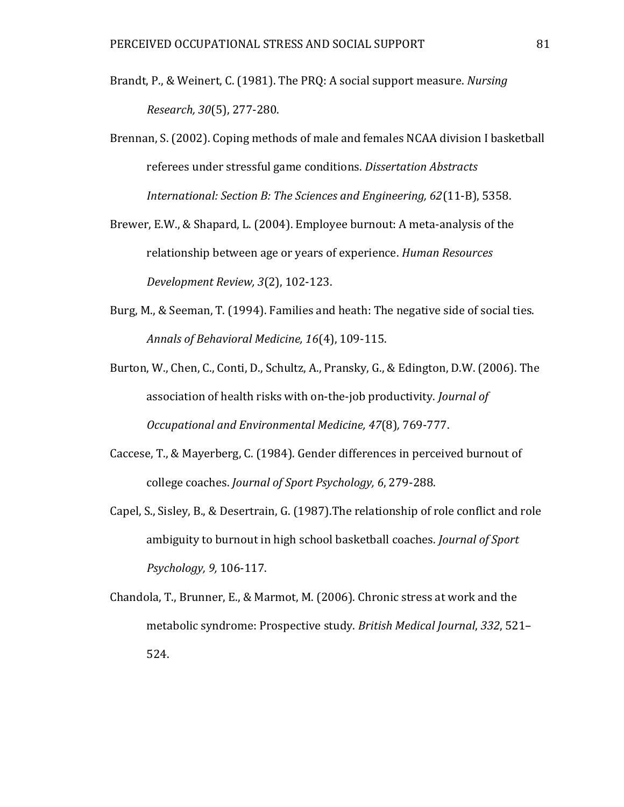- Brandt, P., & Weinert, C. (1981). The PRQ: A social support measure. *Nursing Research, 30*(5), 277-280.
- Brennan, S. (2002). Coping methods of male and females NCAA division I basketball referees under stressful game conditions. *Dissertation Abstracts International: Section B: The Sciences and Engineering, 62*(11-B), 5358.
- Brewer, E.W., & Shapard, L. (2004). Employee burnout: A meta-analysis of the relationship between age or years of experience. *Human Resources Development Review, 3*(2), 102-123.
- Burg, M., & Seeman, T. (1994). Families and heath: The negative side of social ties. *Annals of Behavioral Medicine, 16*(4), 109-115.
- Burton, W., Chen, C., Conti, D., Schultz, A., Pransky, G., & Edington, D.W. (2006). The association of health risks with on-the-job productivity. *Journal of Occupational and Environmental Medicine, 47*(8)*,* 769-777.
- Caccese, T., & Mayerberg, C. (1984). Gender differences in perceived burnout of college coaches. *Journal of Sport Psychology, 6*, 279-288.
- Capel, S., Sisley, B., & Desertrain, G. (1987).The relationship of role conflict and role ambiguity to burnout in high school basketball coaches. *Journal of Sport Psychology, 9,* 106-117.
- Chandola, T., Brunner, E., & Marmot, M. (2006). Chronic stress at work and the metabolic syndrome: Prospective study. *British Medical Journal*, *332*, 521– 524.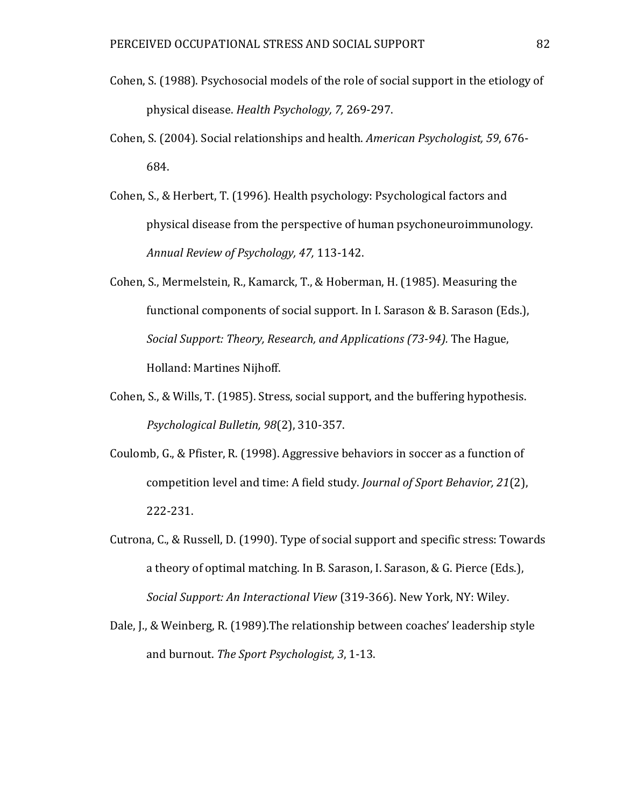- Cohen, S. (1988). Psychosocial models of the role of social support in the etiology of physical disease. *Health Psychology, 7,* 269-297.
- Cohen, S. (2004). Social relationships and health. *American Psychologist, 59*, 676- 684.
- Cohen, S., & Herbert, T. (1996). Health psychology: Psychological factors and physical disease from the perspective of human psychoneuroimmunology. *Annual Review of Psychology, 47,* 113-142.
- Cohen, S., Mermelstein, R., Kamarck, T., & Hoberman, H. (1985). Measuring the functional components of social support. In I. Sarason & B. Sarason (Eds.), *Social Support: Theory, Research, and Applications (73-94).* The Hague, Holland: Martines Nijhoff.
- Cohen, S., & Wills, T. (1985). Stress, social support, and the buffering hypothesis. *Psychological Bulletin, 98*(2), 310-357.
- Coulomb, G., & Pfister, R. (1998). Aggressive behaviors in soccer as a function of competition level and time: A field study. *Journal of Sport Behavior, 21*(2), 222-231.
- Cutrona, C., & Russell, D. (1990). Type of social support and specific stress: Towards a theory of optimal matching. In B. Sarason, I. Sarason, & G. Pierce (Eds.), *Social Support: An Interactional View* (319-366). New York, NY: Wiley.
- Dale, J., & Weinberg, R. (1989).The relationship between coaches' leadership style and burnout. *The Sport Psychologist, 3*, 1-13.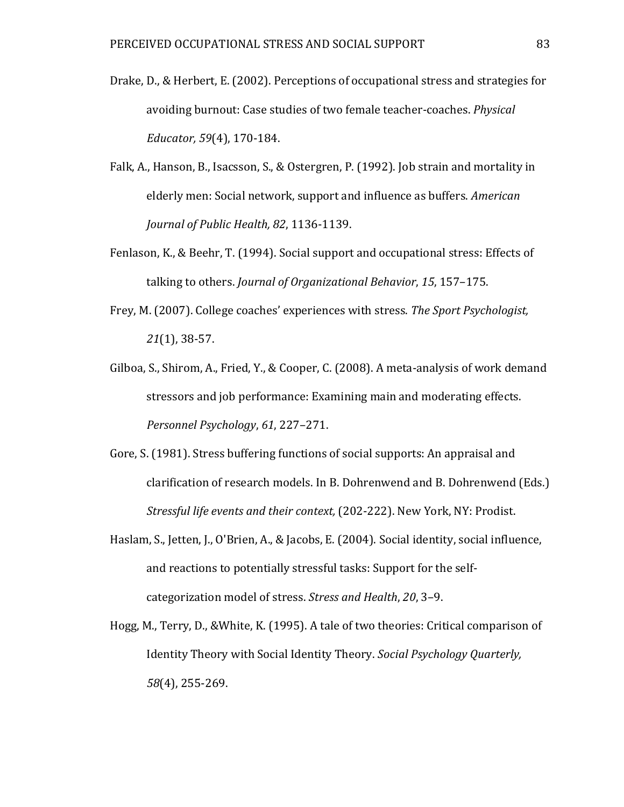- Drake, D., & Herbert, E. (2002). Perceptions of occupational stress and strategies for avoiding burnout: Case studies of two female teacher-coaches. *Physical Educator, 59*(4), 170-184.
- Falk, A., Hanson, B., Isacsson, S., & Ostergren, P. (1992). Job strain and mortality in elderly men: Social network, support and influence as buffers. *American Journal of Public Health, 82*, 1136-1139.
- Fenlason, K., & Beehr, T. (1994). Social support and occupational stress: Effects of talking to others. *Journal of Organizational Behavior*, *15*, 157–175.
- Frey, M. (2007). College coaches' experiences with stress. *The Sport Psychologist, 21*(1), 38-57.
- Gilboa, S., Shirom, A., Fried, Y., & Cooper, C. (2008). A meta-analysis of work demand stressors and job performance: Examining main and moderating effects. *Personnel Psychology*, *61*, 227–271.
- Gore, S. (1981). Stress buffering functions of social supports: An appraisal and clarification of research models. In B. Dohrenwend and B. Dohrenwend (Eds.) *Stressful life events and their context,* (202-222). New York, NY: Prodist.
- Haslam, S., Jetten, J., O'Brien, A., & Jacobs, E. (2004). Social identity, social influence, and reactions to potentially stressful tasks: Support for the selfcategorization model of stress. *Stress and Health*, *20*, 3–9.
- Hogg, M., Terry, D., &White, K. (1995). A tale of two theories: Critical comparison of Identity Theory with Social Identity Theory. *Social Psychology Quarterly, 58*(4), 255-269.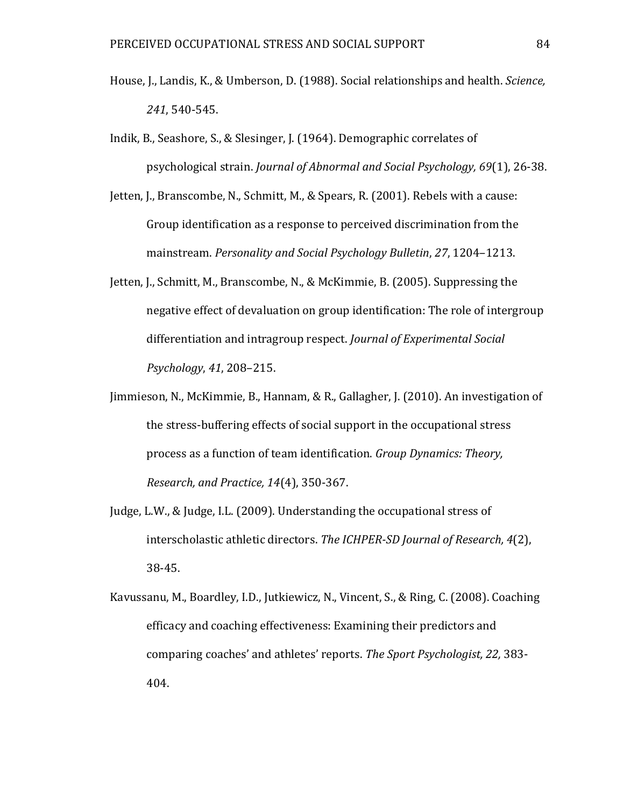- House, J., Landis, K., & Umberson, D. (1988). Social relationships and health. *Science, 241*, 540-545.
- Indik, B., Seashore, S., & Slesinger, J. (1964). Demographic correlates of psychological strain. *Journal of Abnormal and Social Psychology, 69*(1), 26-38.
- Jetten, J., Branscombe, N., Schmitt, M., & Spears, R. (2001). Rebels with a cause: Group identification as a response to perceived discrimination from the mainstream. *Personality and Social Psychology Bulletin*, *27*, 1204–1213.
- Jetten, J., Schmitt, M., Branscombe, N., & McKimmie, B. (2005). Suppressing the negative effect of devaluation on group identification: The role of intergroup differentiation and intragroup respect. *Journal of Experimental Social Psychology*, *41*, 208–215.
- Jimmieson, N., McKimmie, B., Hannam, & R., Gallagher, J. (2010). An investigation of the stress-buffering effects of social support in the occupational stress process as a function of team identification. *Group Dynamics: Theory, Research, and Practice, 14*(4), 350-367.
- Judge, L.W., & Judge, I.L. (2009). Understanding the occupational stress of interscholastic athletic directors. *The ICHPER-SD Journal of Research, 4*(2), 38-45.
- Kavussanu, M., Boardley, I.D., Jutkiewicz, N., Vincent, S., & Ring, C. (2008). Coaching efficacy and coaching effectiveness: Examining their predictors and comparing coaches' and athletes' reports. *The Sport Psychologist, 22,* 383- 404.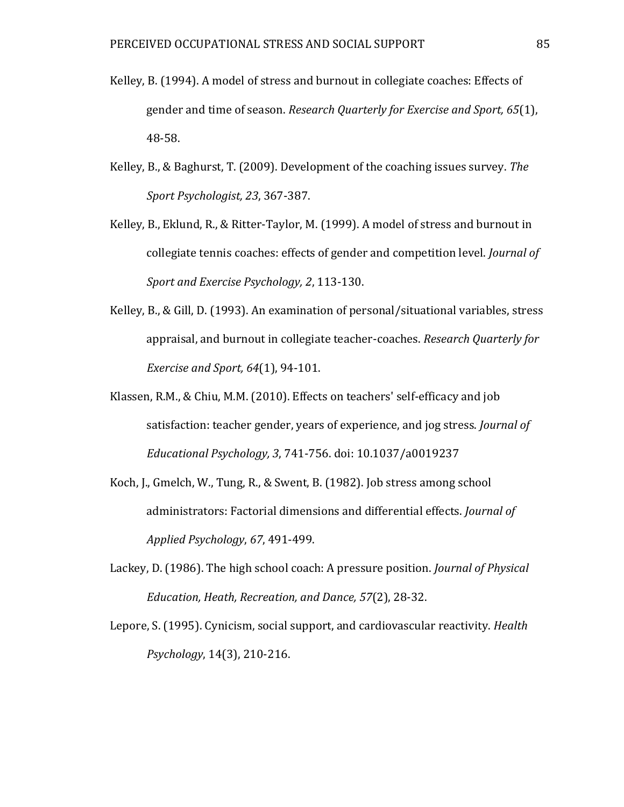- Kelley, B. (1994). A model of stress and burnout in collegiate coaches: Effects of gender and time of season. *Research Quarterly for Exercise and Sport, 65*(1), 48-58.
- Kelley, B., & Baghurst, T. (2009). Development of the coaching issues survey. *The Sport Psychologist, 23*, 367-387.
- Kelley, B., Eklund, R., & Ritter-Taylor, M. (1999). A model of stress and burnout in collegiate tennis coaches: effects of gender and competition level. *Journal of Sport and Exercise Psychology, 2*, 113-130.
- Kelley, B., & Gill, D. (1993). An examination of personal/situational variables, stress appraisal, and burnout in collegiate teacher-coaches. *Research Quarterly for Exercise and Sport, 64*(1), 94-101.
- Klassen, R.M., & Chiu, M.M. (2010). Effects on teachers' self-efficacy and job satisfaction: teacher gender, years of experience, and jog stress. *Journal of Educational Psychology, 3*, 741-756. doi: 10.1037/a0019237
- Koch, J., Gmelch, W., Tung, R., & Swent, B. (1982). Job stress among school administrators: Factorial dimensions and differential effects. *Journal of Applied Psychology*, *67*, 491-499.
- Lackey, D. (1986). The high school coach: A pressure position. *Journal of Physical Education, Heath, Recreation, and Dance, 57*(2), 28-32.
- Lepore, S. (1995). Cynicism, social support, and cardiovascular reactivity. *Health Psychology*, 14(3), 210-216.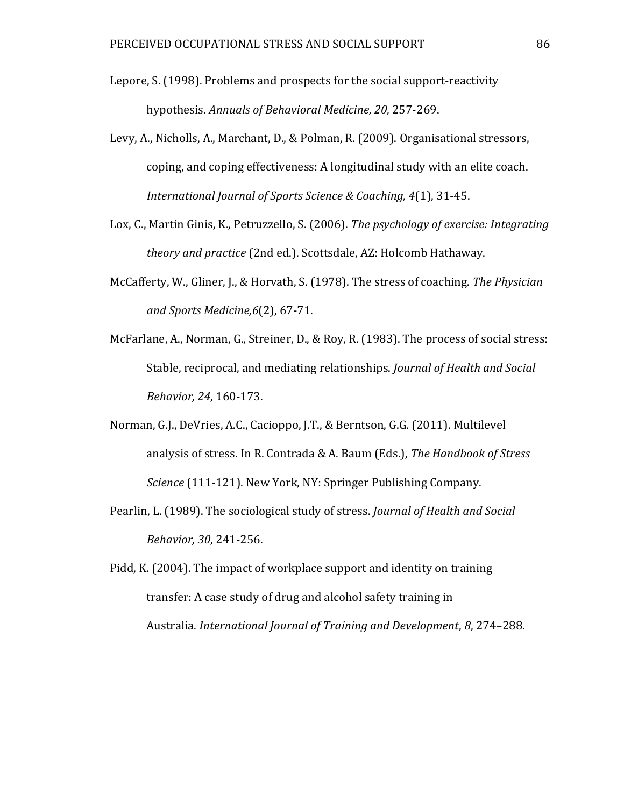- Lepore, S. (1998). Problems and prospects for the social support-reactivity hypothesis. *Annuals of Behavioral Medicine, 20,* 257-269.
- Levy, A., Nicholls, A., Marchant, D., & Polman, R. (2009). Organisational stressors, coping, and coping effectiveness: A longitudinal study with an elite coach. *International Journal of Sports Science & Coaching, 4*(1), 31-45.
- Lox, C., Martin Ginis, K., Petruzzello, S. (2006). *The psychology of exercise: Integrating theory and practice* (2nd ed.). Scottsdale, AZ: Holcomb Hathaway.
- McCafferty, W., Gliner, J., & Horvath, S. (1978). The stress of coaching. *The Physician and Sports Medicine,6*(2), 67-71.
- McFarlane, A., Norman, G., Streiner, D., & Roy, R. (1983). The process of social stress: Stable, reciprocal, and mediating relationships. *Journal of Health and Social Behavior, 24*, 160-173.
- Norman, G.J., DeVries, A.C., Cacioppo, J.T., & Berntson, G.G. (2011). Multilevel analysis of stress. In R. Contrada & A. Baum (Eds.), *The Handbook of Stress Science* (111-121). New York, NY: Springer Publishing Company.
- Pearlin, L. (1989). The sociological study of stress. *Journal of Health and Social Behavior, 30*, 241-256.
- Pidd, K. (2004). The impact of workplace support and identity on training transfer: A case study of drug and alcohol safety training in Australia. *International Journal of Training and Development*, *8*, 274–288.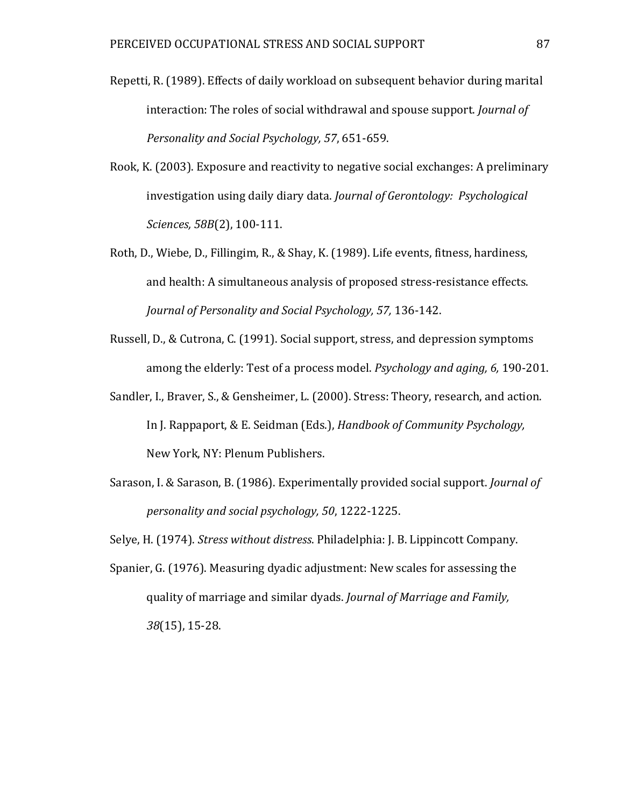- Repetti, R. (1989). Effects of daily workload on subsequent behavior during marital interaction: The roles of social withdrawal and spouse support. *Journal of Personality and Social Psychology, 57*, 651-659.
- Rook, K. (2003). Exposure and reactivity to negative social exchanges: A preliminary investigation using daily diary data. *Journal of Gerontology: Psychological Sciences, 58B*(2), 100-111.
- Roth, D., Wiebe, D., Fillingim, R., & Shay, K. (1989). Life events, fitness, hardiness, and health: A simultaneous analysis of proposed stress-resistance effects. *Journal of Personality and Social Psychology, 57,* 136-142.
- Russell, D., & Cutrona, C. (1991). Social support, stress, and depression symptoms among the elderly: Test of a process model. *Psychology and aging, 6,* 190-201.
- Sandler, I., Braver, S., & Gensheimer, L. (2000). Stress: Theory, research, and action. In J. Rappaport, & E. Seidman (Eds.), *Handbook of Community Psychology,* New York, NY: Plenum Publishers.
- Sarason, I. & Sarason, B. (1986). Experimentally provided social support. *Journal of personality and social psychology, 50*, 1222-1225.

Selye, H. (1974). *Stress without distress*. Philadelphia: J. B. Lippincott Company.

Spanier, G. (1976). Measuring dyadic adjustment: New scales for assessing the quality of marriage and similar dyads. *Journal of Marriage and Family, 38*(15), 15-28.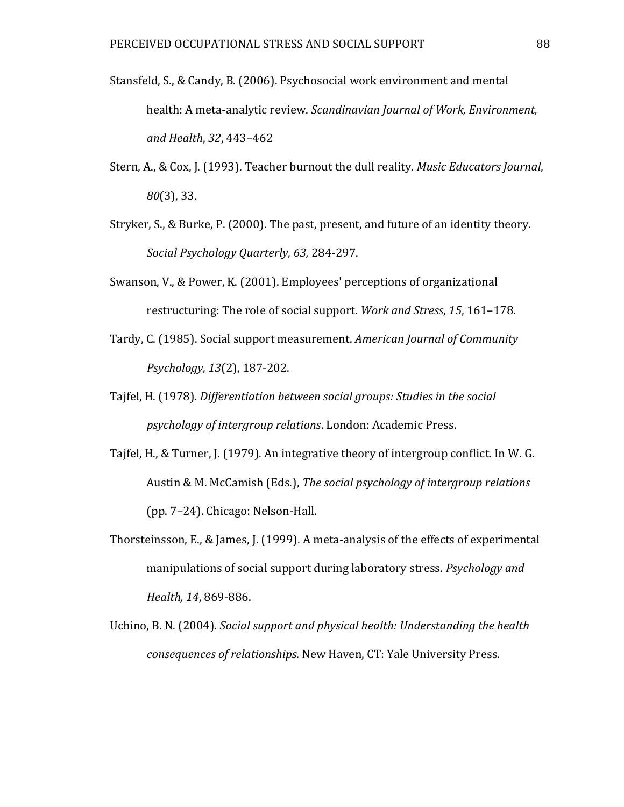- Stansfeld, S., & Candy, B. (2006). Psychosocial work environment and mental health: A meta-analytic review. *Scandinavian Journal of Work, Environment, and Health*, *32*, 443–462
- Stern, A., & Cox, J. (1993). Teacher burnout the dull reality. *Music Educators Journal*, *80*(3), 33.
- Stryker, S., & Burke, P. (2000). The past, present, and future of an identity theory. *Social Psychology Quarterly, 63,* 284-297.
- Swanson, V., & Power, K. (2001). Employees' perceptions of organizational restructuring: The role of social support. *Work and Stress*, *15*, 161–178.
- Tardy, C. (1985). Social support measurement. *American Journal of Community Psychology, 13*(2), 187-202.
- Tajfel, H. (1978). *Differentiation between social groups: Studies in the social psychology of intergroup relations*. London: Academic Press.
- Tajfel, H., & Turner, J. (1979). An integrative theory of intergroup conflict. In W. G. Austin & M. McCamish (Eds.), *The social psychology of intergroup relations* (pp. 7–24). Chicago: Nelson-Hall.
- Thorsteinsson, E., & James, J. (1999). A meta-analysis of the effects of experimental manipulations of social support during laboratory stress. *Psychology and Health, 14*, 869-886.
- Uchino, B. N. (2004). *Social support and physical health: Understanding the health consequences of relationships*. New Haven, CT: Yale University Press.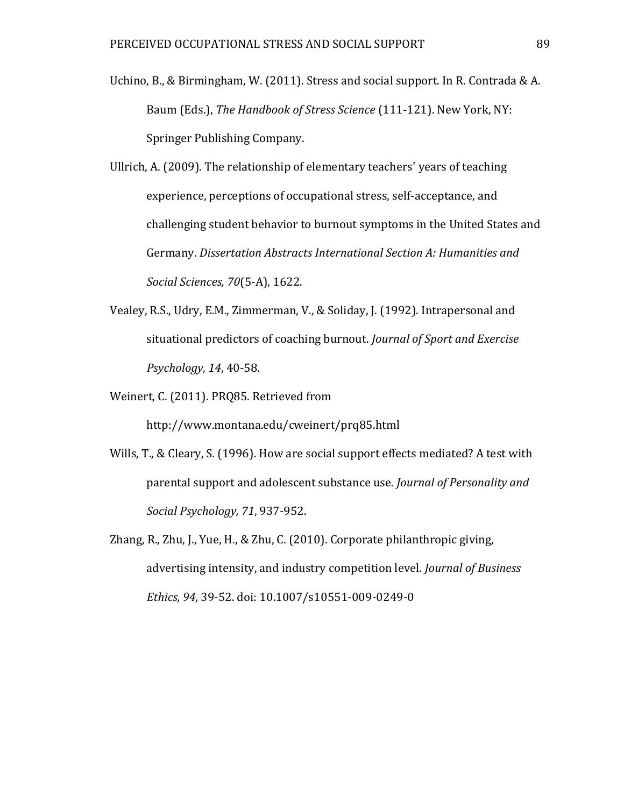- Uchino, B., & Birmingham, W. (2011). Stress and social support. In R. Contrada & A. Baum (Eds.), *The Handbook of Stress Science* (111-121). New York, NY: Springer Publishing Company.
- Ullrich, A. (2009). The relationship of elementary teachers' years of teaching experience, perceptions of occupational stress, self-acceptance, and challenging student behavior to burnout symptoms in the United States and Germany. *Dissertation Abstracts International Section A: Humanities and Social Sciences, 70*(5-A), 1622.
- Vealey, R.S., Udry, E.M., Zimmerman, V., & Soliday, J. (1992). Intrapersonal and situational predictors of coaching burnout. *Journal of Sport and Exercise Psychology, 14*, 40-58.
- Weinert, C. (2011). PRQ85. Retrieved from

http://www.montana.edu/cweinert/prq85.html

- Wills, T., & Cleary, S. (1996). How are social support effects mediated? A test with parental support and adolescent substance use. *Journal of Personality and Social Psychology, 71*, 937-952.
- Zhang, R., Zhu, J., Yue, H., & Zhu, C. (2010). Corporate philanthropic giving, advertising intensity, and industry competition level. *Journal of Business Ethics, 94*, 39-52. doi: 10.1007/s10551-009-0249-0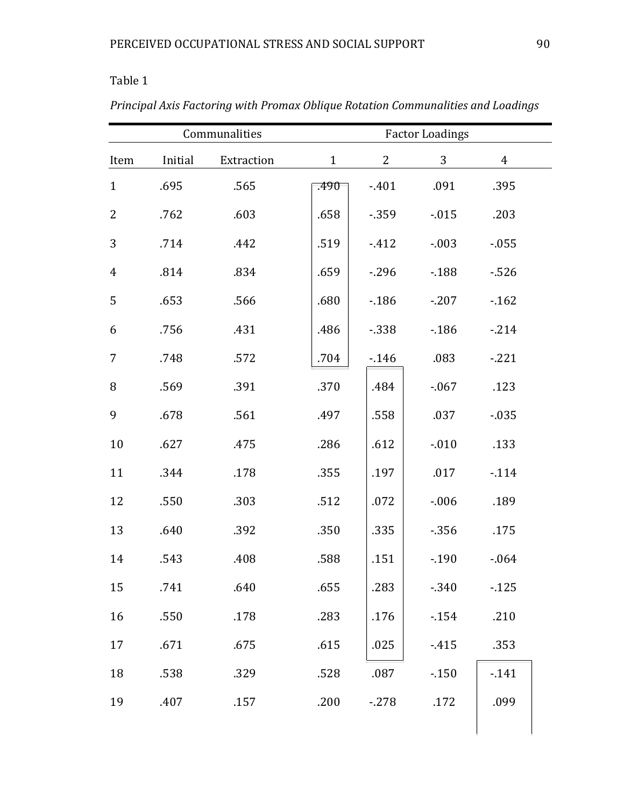|                | Communalities |            |              | <b>Factor Loadings</b> |              |                |  |  |
|----------------|---------------|------------|--------------|------------------------|--------------|----------------|--|--|
| Item           | Initial       | Extraction | $\mathbf{1}$ | $\overline{2}$         | $\mathbf{3}$ | $\overline{4}$ |  |  |
| $\mathbf{1}$   | .695          | .565       | .490         | $-401$                 | .091         | .395           |  |  |
| $\overline{2}$ | .762          | .603       | .658         | $-359$                 | $-0.015$     | .203           |  |  |
| 3              | .714          | .442       | .519         | $-412$                 | $-.003$      | $-0.055$       |  |  |
| $\overline{4}$ | .814          | .834       | .659         | $-296$                 | $-188$       | $-526$         |  |  |
| 5              | .653          | .566       | .680         | $-186$                 | $-207$       | $-162$         |  |  |
| 6              | .756          | .431       | .486         | $-338$                 | $-186$       | $-214$         |  |  |
| $\overline{7}$ | .748          | .572       | .704         | $-146$                 | .083         | $-221$         |  |  |
| 8              | .569          | .391       | .370         | .484                   | $-0.067$     | .123           |  |  |
| 9              | .678          | .561       | .497         | .558                   | .037         | $-0.035$       |  |  |
| 10             | .627          | .475       | .286         | .612                   | $-0.010$     | .133           |  |  |
| 11             | .344          | .178       | .355         | .197                   | .017         | $-114$         |  |  |
| 12             | .550          | .303       | .512         | .072                   | $-0.06$      | .189           |  |  |
| 13             | .640          | .392       | .350         | .335                   | $-356$       | .175           |  |  |
| 14             | .543          | .408       | .588         | .151                   | $-190$       | $-064$         |  |  |
| 15             | .741          | .640       | .655         | .283                   | $-0.340$     | $-125$         |  |  |
| 16             | .550          | .178       | .283         | .176                   | $-154$       | .210           |  |  |
| 17             | .671          | .675       | .615         | .025                   | $-415$       | .353           |  |  |
| 18             | .538          | .329       | .528         | .087                   | $-150$       | $-141$         |  |  |
| 19             | .407          | .157       | .200         | $-278$                 | .172         | .099           |  |  |
|                |               |            |              |                        |              |                |  |  |

*Principal Axis Factoring with Promax Oblique Rotation Communalities and Loadings*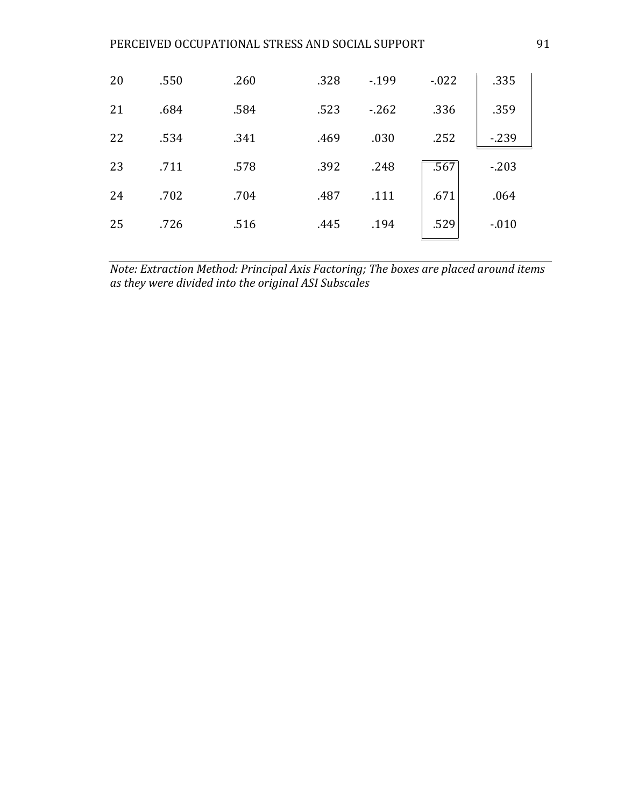| 20 | .550 | .260 | .328 | $-199$ | $-0.022$ | .335    |
|----|------|------|------|--------|----------|---------|
| 21 | .684 | .584 | .523 | $-262$ | .336     | .359    |
| 22 | .534 | .341 | .469 | .030   | .252     | $-239$  |
| 23 | .711 | .578 | .392 | .248   | .567     | $-203$  |
| 24 | .702 | .704 | .487 | .111   | .671     | .064    |
| 25 | .726 | .516 | .445 | .194   | .529     | $-.010$ |

*Note: Extraction Method: Principal Axis Factoring; The boxes are placed around items as they were divided into the original ASI Subscales*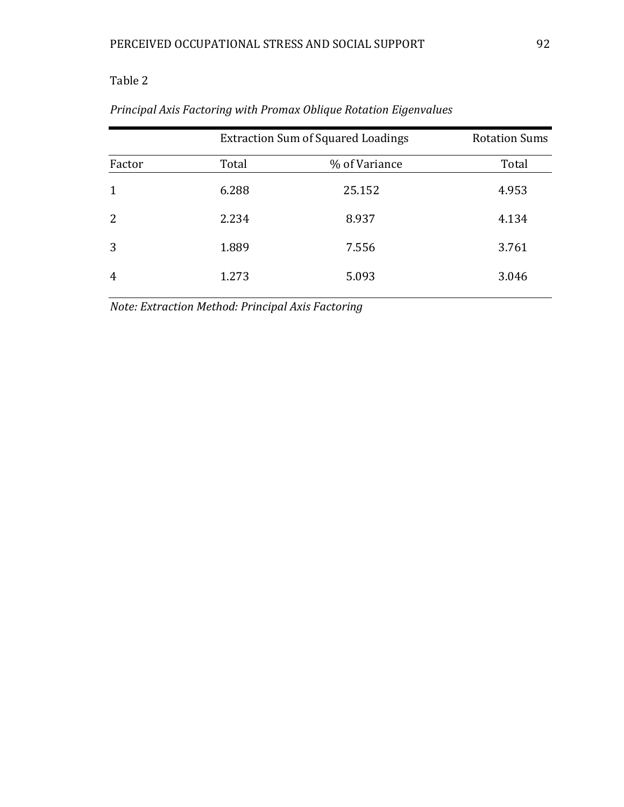|                | <b>Extraction Sum of Squared Loadings</b> | <b>Rotation Sums</b> |       |
|----------------|-------------------------------------------|----------------------|-------|
| Factor         | Total                                     | % of Variance        | Total |
| $\mathbf{1}$   | 6.288                                     | 25.152               | 4.953 |
| 2              | 2.234                                     | 8.937                | 4.134 |
| 3              | 1.889                                     | 7.556                | 3.761 |
| $\overline{4}$ | 1.273                                     | 5.093                | 3.046 |

# *Principal Axis Factoring with Promax Oblique Rotation Eigenvalues*

*Note: Extraction Method: Principal Axis Factoring*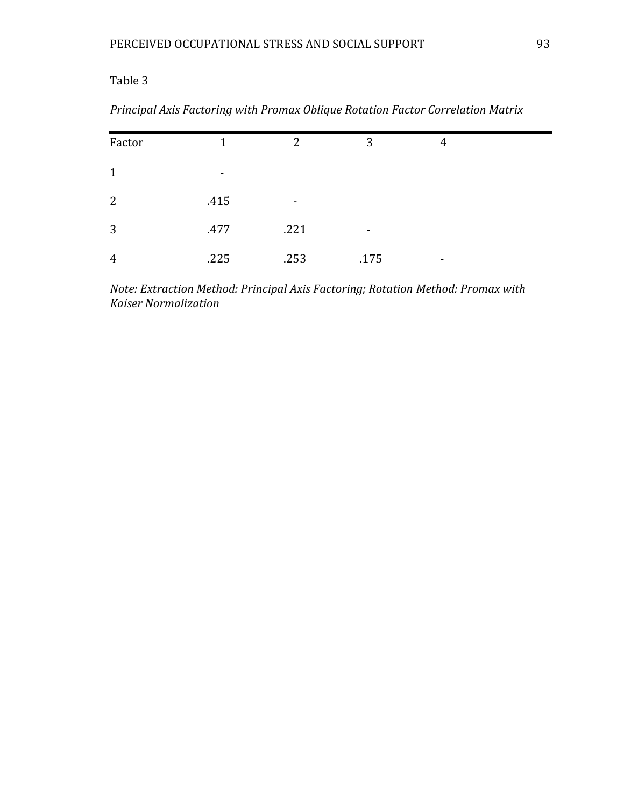| Factor         | 1    | $\overline{2}$ | 3    | 4 |  |
|----------------|------|----------------|------|---|--|
| $\mathbf{1}$   | -    |                |      |   |  |
| 2              | .415 | $\blacksquare$ |      |   |  |
| 3              | .477 | .221           | $\,$ |   |  |
| $\overline{4}$ | .225 | .253           | .175 | ۰ |  |

*Principal Axis Factoring with Promax Oblique Rotation Factor Correlation Matrix*

*Note: Extraction Method: Principal Axis Factoring; Rotation Method: Promax with Kaiser Normalization*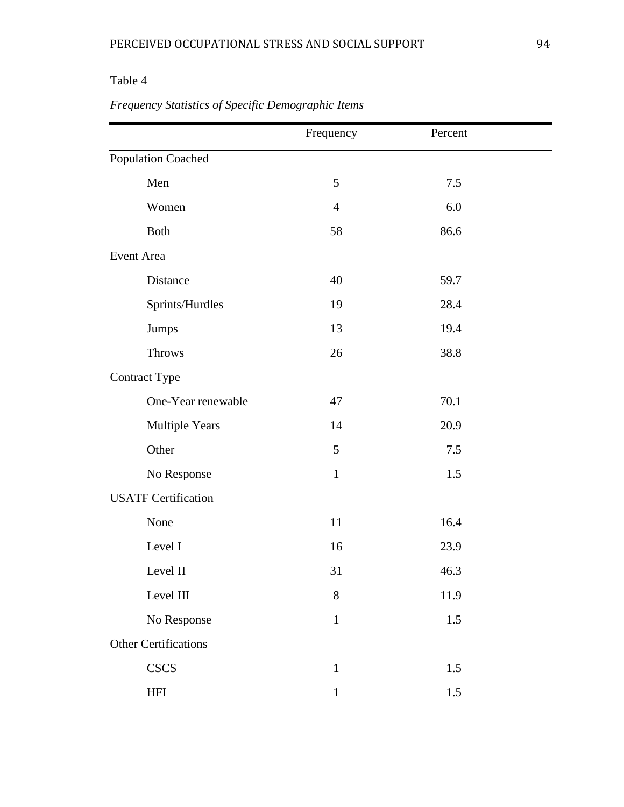|                             | Frequency      | Percent |  |
|-----------------------------|----------------|---------|--|
| Population Coached          |                |         |  |
| Men                         | 5              | 7.5     |  |
| Women                       | $\overline{4}$ | 6.0     |  |
| <b>Both</b>                 | 58             | 86.6    |  |
| Event Area                  |                |         |  |
| Distance                    | 40             | 59.7    |  |
| Sprints/Hurdles             | 19             | 28.4    |  |
| Jumps                       | 13             | 19.4    |  |
| <b>Throws</b>               | 26             | 38.8    |  |
| <b>Contract Type</b>        |                |         |  |
| One-Year renewable          | 47             | 70.1    |  |
| <b>Multiple Years</b>       | 14             | 20.9    |  |
| Other                       | 5              | 7.5     |  |
| No Response                 | $\mathbf{1}$   | 1.5     |  |
| <b>USATF Certification</b>  |                |         |  |
| None                        | 11             | 16.4    |  |
| Level I                     | 16             | 23.9    |  |
| Level II                    | 31             | 46.3    |  |
| Level III                   | 8              | 11.9    |  |
| No Response                 | $\mathbf{1}$   | 1.5     |  |
| <b>Other Certifications</b> |                |         |  |
| <b>CSCS</b>                 | $\mathbf{1}$   | 1.5     |  |
| <b>HFI</b>                  | $\mathbf{1}$   | 1.5     |  |

# *Frequency Statistics of Specific Demographic Items*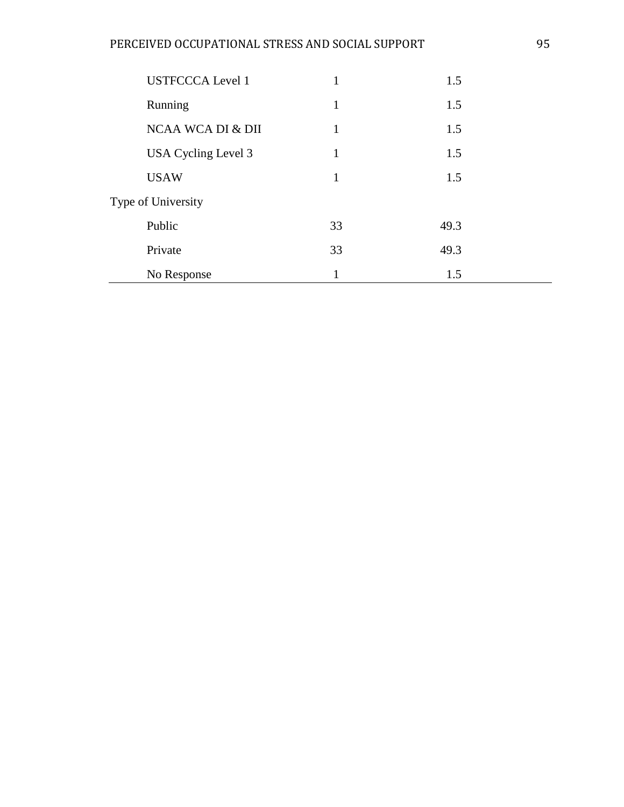| <b>USTFCCCA Level 1</b> | 1            | 1.5  |  |
|-------------------------|--------------|------|--|
| Running                 | 1            | 1.5  |  |
| NCAA WCA DI & DII       | $\mathbf{1}$ | 1.5  |  |
| USA Cycling Level 3     | 1            | 1.5  |  |
| <b>USAW</b>             | 1            | 1.5  |  |
| Type of University      |              |      |  |
| Public                  | 33           | 49.3 |  |
| Private                 | 33           | 49.3 |  |
| No Response             | 1            | 1.5  |  |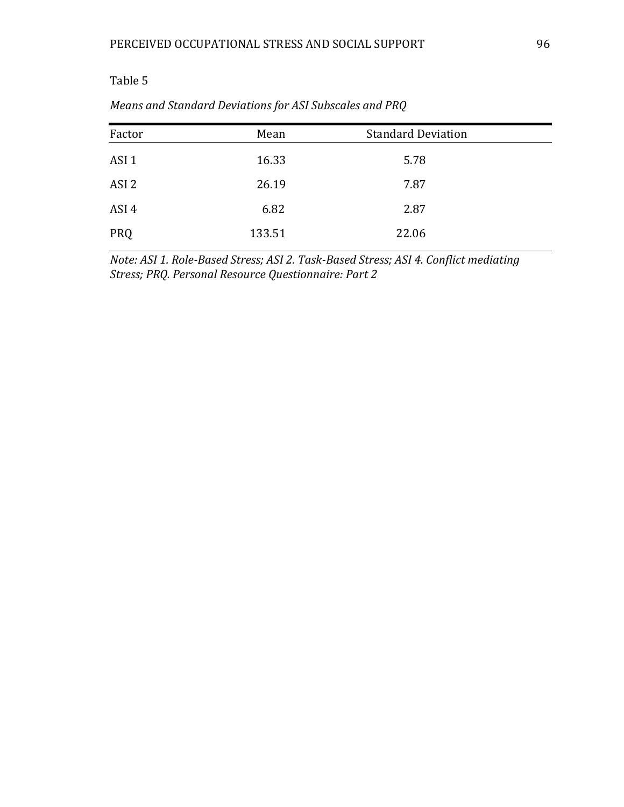| Factor           | Mean   | <b>Standard Deviation</b> |  |
|------------------|--------|---------------------------|--|
| ASI <sub>1</sub> | 16.33  | 5.78                      |  |
| ASI <sub>2</sub> | 26.19  | 7.87                      |  |
| ASI 4            | 6.82   | 2.87                      |  |
| <b>PRQ</b>       | 133.51 | 22.06                     |  |
|                  |        |                           |  |

*Means and Standard Deviations for ASI Subscales and PRQ*

*Note: ASI 1. Role-Based Stress; ASI 2. Task-Based Stress; ASI 4. Conflict mediating Stress; PRQ. Personal Resource Questionnaire: Part 2*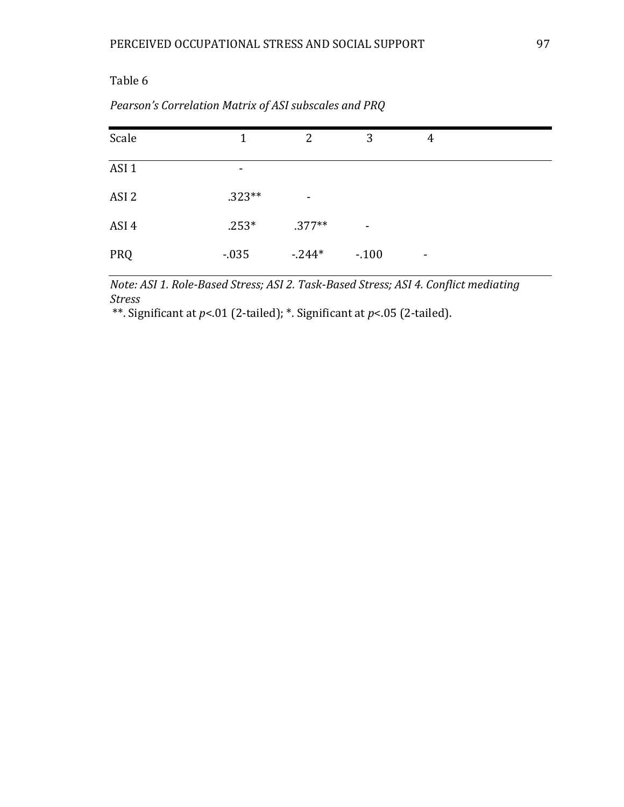| Scale            | 1        | 2              | 3              | 4              |
|------------------|----------|----------------|----------------|----------------|
| ASI <sub>1</sub> | -        |                |                |                |
| ASI <sub>2</sub> | $.323**$ | $\blacksquare$ |                |                |
| ASI 4            | $.253*$  | $.377**$       | $\blacksquare$ |                |
| PRQ              | $-0.035$ | $-244*$        | $-.100$        | $\blacksquare$ |

### *Pearson's Correlation Matrix of ASI subscales and PRQ*

*Note: ASI 1. Role-Based Stress; ASI 2. Task-Based Stress; ASI 4. Conflict mediating Stress*

\*\*. Significant at *p*<.01 (2-tailed); \*. Significant at *p*<.05 (2-tailed).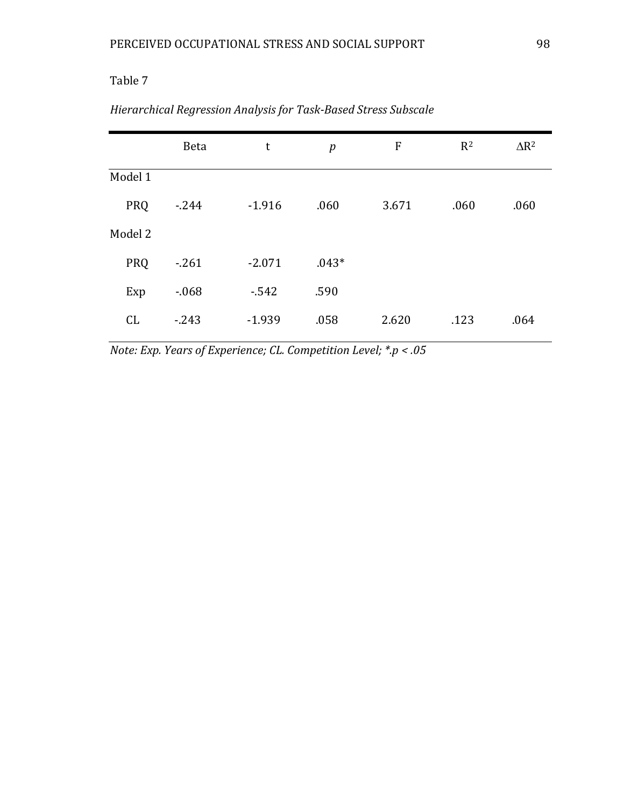|            | <b>Beta</b> | t        | p       | $\boldsymbol{\mathrm{F}}$ | $R^2$ | $\Delta$ R <sup>2</sup> |
|------------|-------------|----------|---------|---------------------------|-------|-------------------------|
| Model 1    |             |          |         |                           |       |                         |
| PRQ        | $-244$      | $-1.916$ | .060    | 3.671                     | .060  | .060                    |
| Model 2    |             |          |         |                           |       |                         |
| <b>PRQ</b> | $-261$      | $-2.071$ | $.043*$ |                           |       |                         |
| Exp        | $-0.68$     | $-542$   | .590    |                           |       |                         |
| CL         | $-243$      | $-1.939$ | .058    | 2.620                     | .123  | .064                    |

|  |  |  |  | Hierarchical Regression Analysis for Task-Based Stress Subscale |  |
|--|--|--|--|-----------------------------------------------------------------|--|
|--|--|--|--|-----------------------------------------------------------------|--|

*Note: Exp. Years of Experience; CL. Competition Level; \*.p < .05*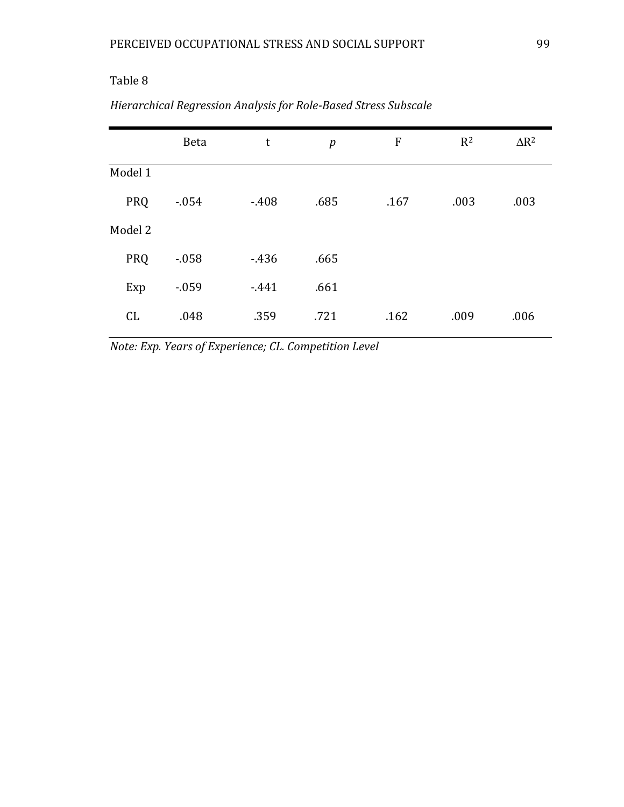|            | <b>Beta</b> | t      | p    | ${\bf F}$ | $R^2$ | $\Delta$ R <sup>2</sup> |
|------------|-------------|--------|------|-----------|-------|-------------------------|
| Model 1    |             |        |      |           |       |                         |
| <b>PRQ</b> | $-0.054$    | $-408$ | .685 | .167      | .003  | .003                    |
| Model 2    |             |        |      |           |       |                         |
| <b>PRQ</b> | $-0.058$    | $-436$ | .665 |           |       |                         |
| Exp        | $-0.059$    | $-441$ | .661 |           |       |                         |
| CL         | .048        | .359   | .721 | .162      | .009  | .006                    |

# *Hierarchical Regression Analysis for Role-Based Stress Subscale*

*Note: Exp. Years of Experience; CL. Competition Level*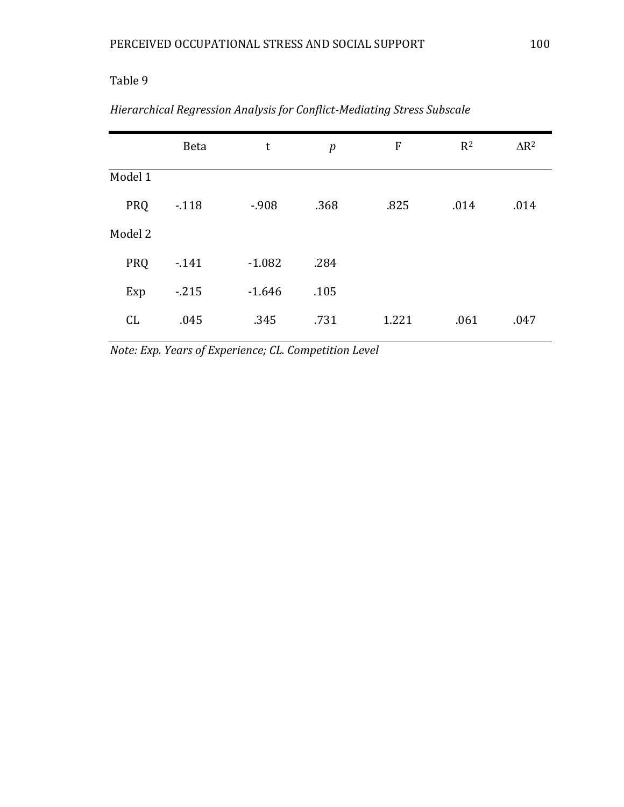|            | <b>Beta</b> | $\mathsf t$ | p    | $\boldsymbol{\mathrm{F}}$ | $R^2$ | $\Delta$ R <sup>2</sup> |
|------------|-------------|-------------|------|---------------------------|-------|-------------------------|
| Model 1    |             |             |      |                           |       |                         |
| <b>PRQ</b> | $-118$      | $-908$      | .368 | .825                      | .014  | .014                    |
| Model 2    |             |             |      |                           |       |                         |
| PRQ        | $-141$      | $-1.082$    | .284 |                           |       |                         |
| Exp        | $-215$      | $-1.646$    | .105 |                           |       |                         |
| CL         | .045        | .345        | .731 | 1.221                     | .061  | .047                    |

|  |  |  |  | Hierarchical Regression Analysis for Conflict-Mediating Stress Subscale |  |
|--|--|--|--|-------------------------------------------------------------------------|--|
|--|--|--|--|-------------------------------------------------------------------------|--|

*Note: Exp. Years of Experience; CL. Competition Level*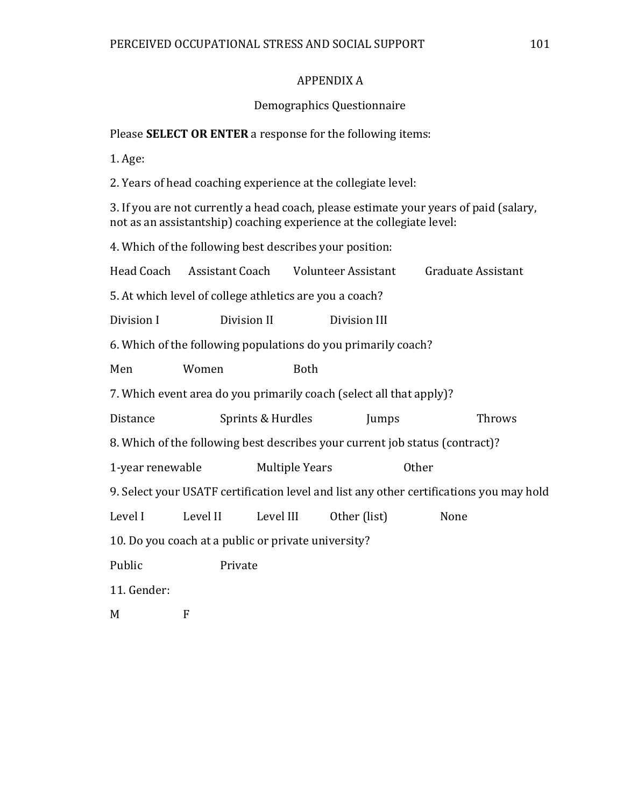### APPENDIX A

### Demographics Questionnaire

Please **SELECT OR ENTER** a response for the following items:

1. Age:

2. Years of head coaching experience at the collegiate level:

3. If you are not currently a head coach, please estimate your years of paid (salary, not as an assistantship) coaching experience at the collegiate level:

4. Which of the following best describes your position:

| Head Coach Assistant Coach                                                              |          |                   | Volunteer Assistant | Graduate Assistant |        |  |  |
|-----------------------------------------------------------------------------------------|----------|-------------------|---------------------|--------------------|--------|--|--|
| 5. At which level of college athletics are you a coach?                                 |          |                   |                     |                    |        |  |  |
| Division I                                                                              |          | Division II       | Division III        |                    |        |  |  |
| 6. Which of the following populations do you primarily coach?                           |          |                   |                     |                    |        |  |  |
| Men                                                                                     | Women    | <b>Both</b>       |                     |                    |        |  |  |
| 7. Which event area do you primarily coach (select all that apply)?                     |          |                   |                     |                    |        |  |  |
| Distance                                                                                |          | Sprints & Hurdles | Jumps               |                    | Throws |  |  |
| 8. Which of the following best describes your current job status (contract)?            |          |                   |                     |                    |        |  |  |
| 1-year renewable Multiple Years                                                         |          |                   |                     |                    |        |  |  |
| 9. Select your USATF certification level and list any other certifications you may hold |          |                   |                     |                    |        |  |  |
| Level I                                                                                 | Level II | Level III         | Other (list)        | None               |        |  |  |
| 10. Do you coach at a public or private university?                                     |          |                   |                     |                    |        |  |  |
| Public                                                                                  | Private  |                   |                     |                    |        |  |  |
| 11. Gender:                                                                             |          |                   |                     |                    |        |  |  |
| M                                                                                       | F        |                   |                     |                    |        |  |  |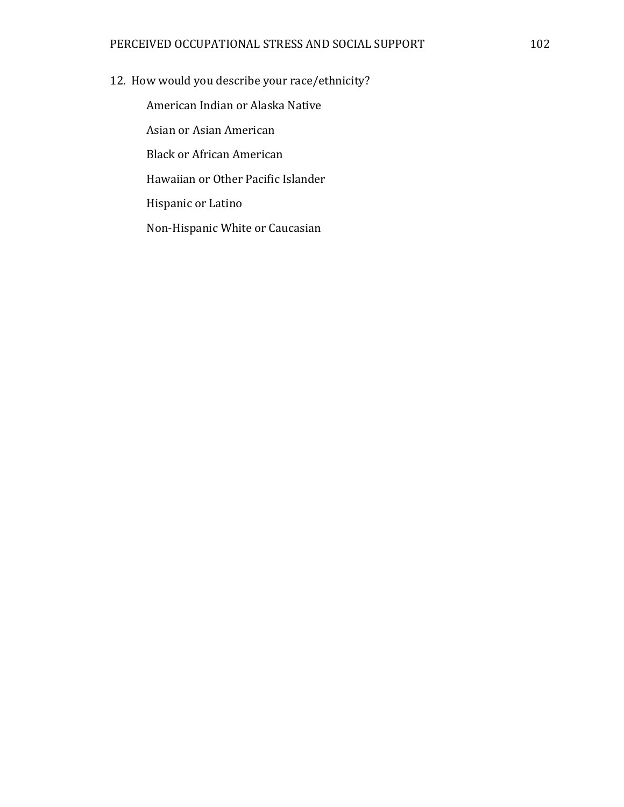12. How would you describe your race/ethnicity?

American Indian or Alaska Native Asian or Asian American Black or African American Hawaiian or Other Pacific Islander Hispanic or Latino Non-Hispanic White or Caucasian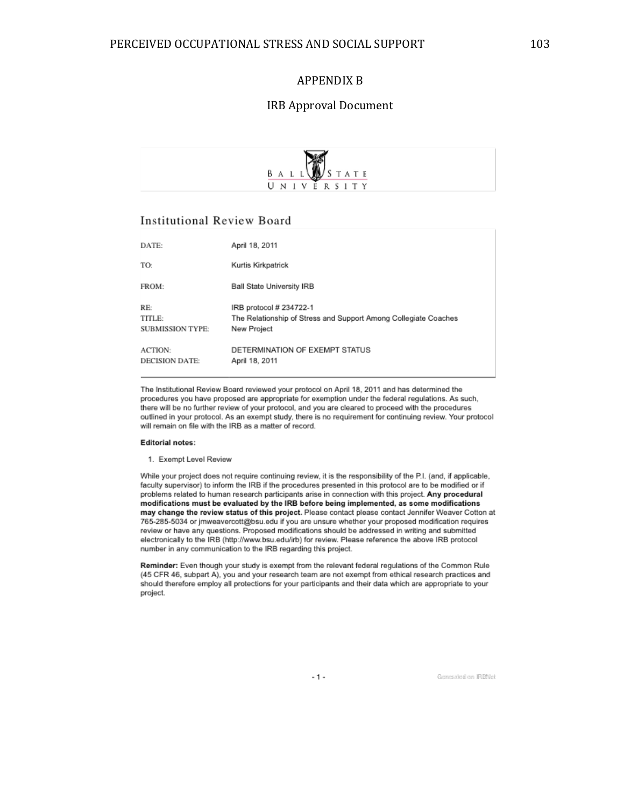#### APPENDIX B

#### IRB Approval Document



#### **Institutional Review Board**

| DATE:                                    | April 18, 2011                                                                                            |
|------------------------------------------|-----------------------------------------------------------------------------------------------------------|
| TO:                                      | Kurtis Kirkpatrick                                                                                        |
| FROM:                                    | <b>Ball State University IRB</b>                                                                          |
| RE:<br>TITLE:<br><b>SUBMISSION TYPE:</b> | IRB protocol # 234722-1<br>The Relationship of Stress and Support Among Collegiate Coaches<br>New Project |
| <b>ACTION:</b><br><b>DECISION DATE:</b>  | DETERMINATION OF EXEMPT STATUS<br>April 18, 2011                                                          |

The Institutional Review Board reviewed your protocol on April 18, 2011 and has determined the procedures you have proposed are appropriate for exemption under the federal regulations. As such, there will be no further review of your protocol, and you are cleared to proceed with the procedures outlined in your protocol. As an exempt study, there is no requirement for continuing review. Your protocol will remain on file with the IRB as a matter of record.

#### **Editorial notes:**

1. Exempt Level Review

While your project does not require continuing review, it is the responsibility of the P.I. (and, if applicable, faculty supervisor) to inform the IRB if the procedures presented in this protocol are to be modified or if problems related to human research participants arise in connection with this project. Any procedural modifications must be evaluated by the IRB before being implemented, as some modifications may change the review status of this project. Please contact please contact Jennifer Weaver Cotton at 765-285-5034 or jmweavercott@bsu.edu if you are unsure whether your proposed modification requires review or have any questions. Proposed modifications should be addressed in writing and submitted electronically to the IRB (http://www.bsu.edu/irb) for review. Please reference the above IRB protocol number in any communication to the IRB regarding this project.

Reminder: Even though your study is exempt from the relevant federal regulations of the Common Rule (45 CFR 46, subpart A), you and your research team are not exempt from ethical research practices and should therefore employ all protections for your participants and their data which are appropriate to your project.

 $-1 -$ 

Generated on IRBNet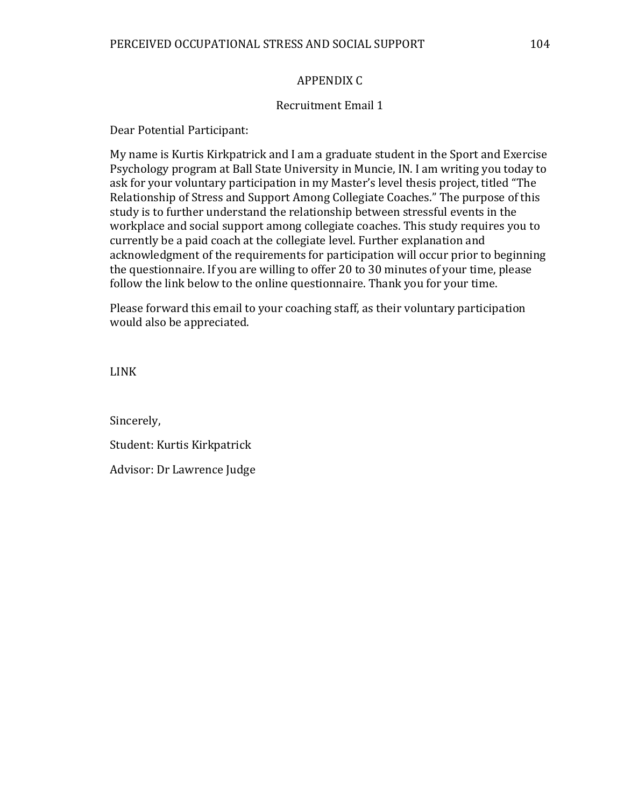#### APPENDIX C

#### Recruitment Email 1

Dear Potential Participant:

My name is Kurtis Kirkpatrick and I am a graduate student in the Sport and Exercise Psychology program at Ball State University in Muncie, IN. I am writing you today to ask for your voluntary participation in my Master's level thesis project, titled "The Relationship of Stress and Support Among Collegiate Coaches." The purpose of this study is to further understand the relationship between stressful events in the workplace and social support among collegiate coaches. This study requires you to currently be a paid coach at the collegiate level. Further explanation and acknowledgment of the requirements for participation will occur prior to beginning the questionnaire. If you are willing to offer 20 to 30 minutes of your time, please follow the link below to the online questionnaire. Thank you for your time.

Please forward this email to your coaching staff, as their voluntary participation would also be appreciated.

LINK

Sincerely, Student: Kurtis Kirkpatrick Advisor: Dr Lawrence Judge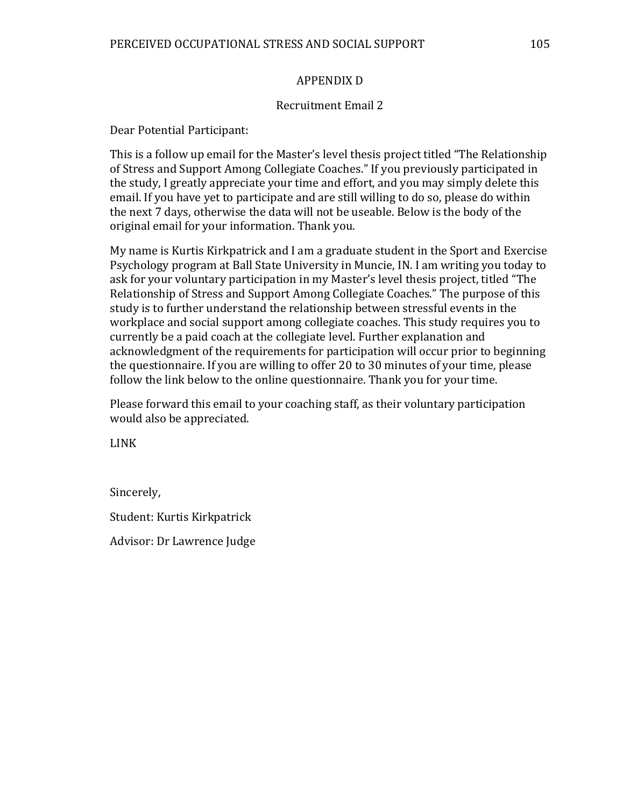#### APPENDIX D

#### Recruitment Email 2

Dear Potential Participant:

This is a follow up email for the Master's level thesis project titled "The Relationship of Stress and Support Among Collegiate Coaches." If you previously participated in the study, I greatly appreciate your time and effort, and you may simply delete this email. If you have yet to participate and are still willing to do so, please do within the next 7 days, otherwise the data will not be useable. Below is the body of the original email for your information. Thank you.

My name is Kurtis Kirkpatrick and I am a graduate student in the Sport and Exercise Psychology program at Ball State University in Muncie, IN. I am writing you today to ask for your voluntary participation in my Master's level thesis project, titled "The Relationship of Stress and Support Among Collegiate Coaches." The purpose of this study is to further understand the relationship between stressful events in the workplace and social support among collegiate coaches. This study requires you to currently be a paid coach at the collegiate level. Further explanation and acknowledgment of the requirements for participation will occur prior to beginning the questionnaire. If you are willing to offer 20 to 30 minutes of your time, please follow the link below to the online questionnaire. Thank you for your time.

Please forward this email to your coaching staff, as their voluntary participation would also be appreciated.

LINK

Sincerely,

Student: Kurtis Kirkpatrick

Advisor: Dr Lawrence Judge